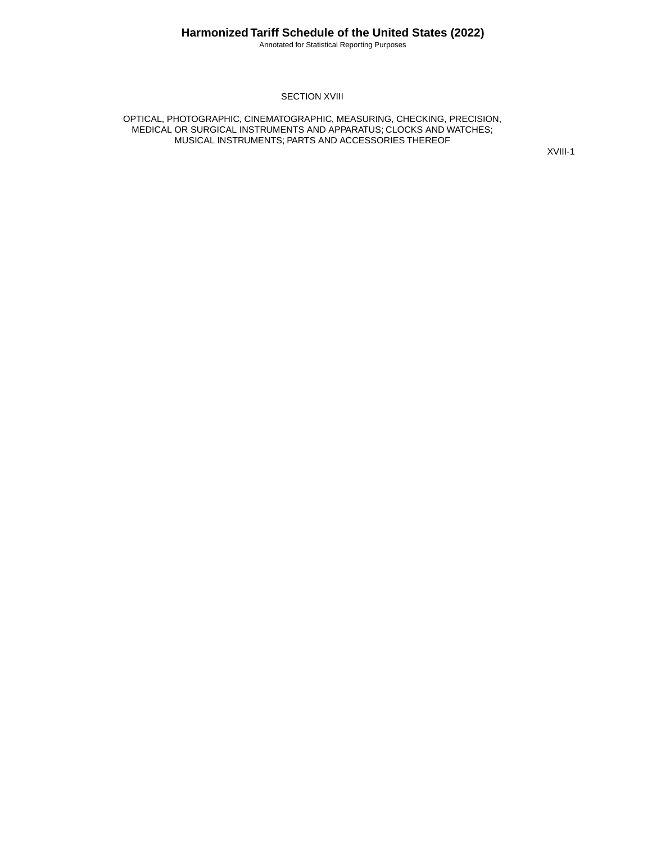Annotated for Statistical Reporting Purposes

#### **SECTION XVIII**

OPTICAL, PHOTOGRAPHIC, CINEMATOGRAPHIC, MEASURING, CHECKING, PRECISION, MEDICAL OR SURGICAL INSTRUMENTS AND APPARATUS; CLOCKS AND WATCHES; MUSICAL INSTRUMENTS; PARTS AND ACCESSORIES THEREOF

XVIII-1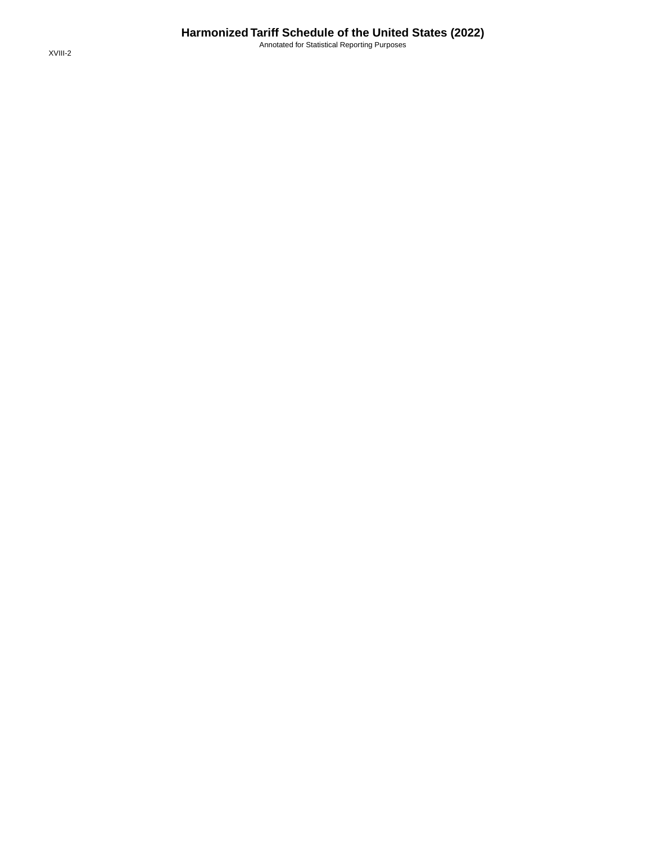Annotated for Statistical Reporting Purposes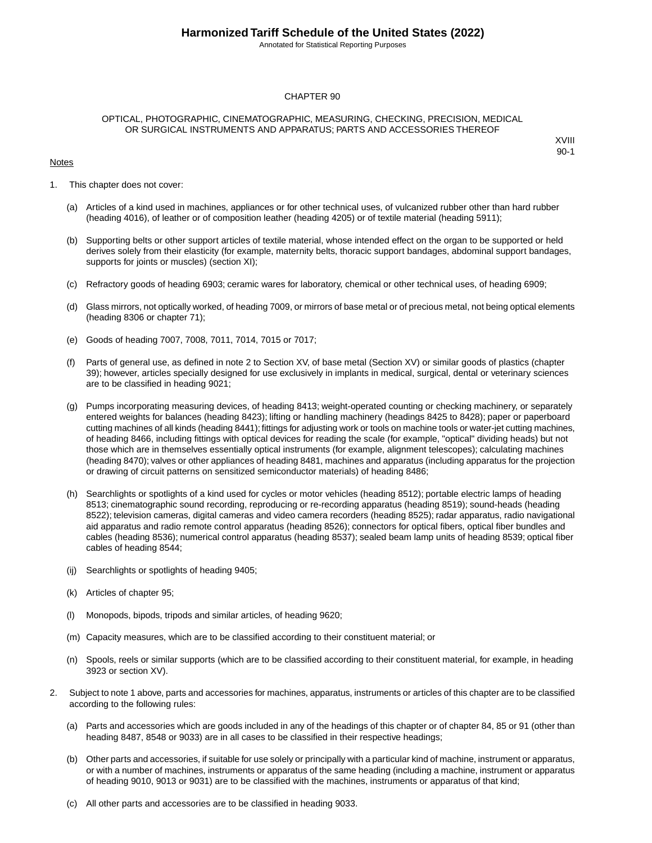Annotated for Statistical Reporting Purposes

#### CHAPTER 90

#### OPTICAL, PHOTOGRAPHIC, CINEMATOGRAPHIC, MEASURING, CHECKING, PRECISION, MEDICAL OR SURGICAL INSTRUMENTS AND APPARATUS; PARTS AND ACCESSORIES THEREOF

#### **Notes**

- 1. This chapter does not cover:
	- (a) Articles of a kind used in machines, appliances or for other technical uses, of vulcanized rubber other than hard rubber (heading 4016), of leather or of composition leather (heading 4205) or of textile material (heading 5911);
	- (b) Supporting belts or other support articles of textile material, whose intended effect on the organ to be supported or held derives solely from their elasticity (for example, maternity belts, thoracic support bandages, abdominal support bandages, supports for joints or muscles) (section XI);
	- (c) Refractory goods of heading 6903; ceramic wares for laboratory, chemical or other technical uses, of heading 6909;
	- (d) Glass mirrors, not optically worked, of heading 7009, or mirrors of base metal or of precious metal, not being optical elements (heading 8306 or chapter 71);
	- (e) Goods of heading 7007, 7008, 7011, 7014, 7015 or 7017;
	- (f) Parts of general use, as defined in note 2 to Section XV, of base metal (Section XV) or similar goods of plastics (chapter 39); however, articles specially designed for use exclusively in implants in medical, surgical, dental or veterinary sciences are to be classified in heading 9021;
	- (g) Pumps incorporating measuring devices, of heading 8413; weight-operated counting or checking machinery, or separately entered weights for balances (heading 8423); lifting or handling machinery (headings 8425 to 8428); paper or paperboard cutting machines of all kinds (heading 8441); fittings for adjusting work or tools on machine tools or water-jet cutting machines, of heading 8466, including fittings with optical devices for reading the scale (for example, "optical" dividing heads) but not those which are in themselves essentially optical instruments (for example, alignment telescopes); calculating machines (heading 8470); valves or other appliances of heading 8481, machines and apparatus (including apparatus for the projection or drawing of circuit patterns on sensitized semiconductor materials) of heading 8486;
	- (h) Searchlights or spotlights of a kind used for cycles or motor vehicles (heading 8512); portable electric lamps of heading 8513; cinematographic sound recording, reproducing or re-recording apparatus (heading 8519); sound-heads (heading 8522); television cameras, digital cameras and video camera recorders (heading 8525); radar apparatus, radio navigational aid apparatus and radio remote control apparatus (heading 8526); connectors for optical fibers, optical fiber bundles and cables (heading 8536); numerical control apparatus (heading 8537); sealed beam lamp units of heading 8539; optical fiber cables of heading 8544;
	- (ij) Searchlights or spotlights of heading 9405;
	- (k) Articles of chapter 95;
	- Monopods, bipods, tripods and similar articles, of heading 9620;
	- (m) Capacity measures, which are to be classified according to their constituent material; or
	- (n) Spools, reels or similar supports (which are to be classified according to their constituent material, for example, in heading 3923 or section XV).
- 2. Subject to note 1 above, parts and accessories for machines, apparatus, instruments or articles of this chapter are to be classified according to the following rules:
	- (a) Parts and accessories which are goods included in any of the headings of this chapter or of chapter 84, 85 or 91 (other than heading 8487, 8548 or 9033) are in all cases to be classified in their respective headings;
	- (b) Other parts and accessories, if suitable for use solely or principally with a particular kind of machine, instrument or apparatus, or with a number of machines, instruments or apparatus of the same heading (including a machine, instrument or apparatus of heading 9010, 9013 or 9031) are to be classified with the machines, instruments or apparatus of that kind;
	- (c) All other parts and accessories are to be classified in heading 9033.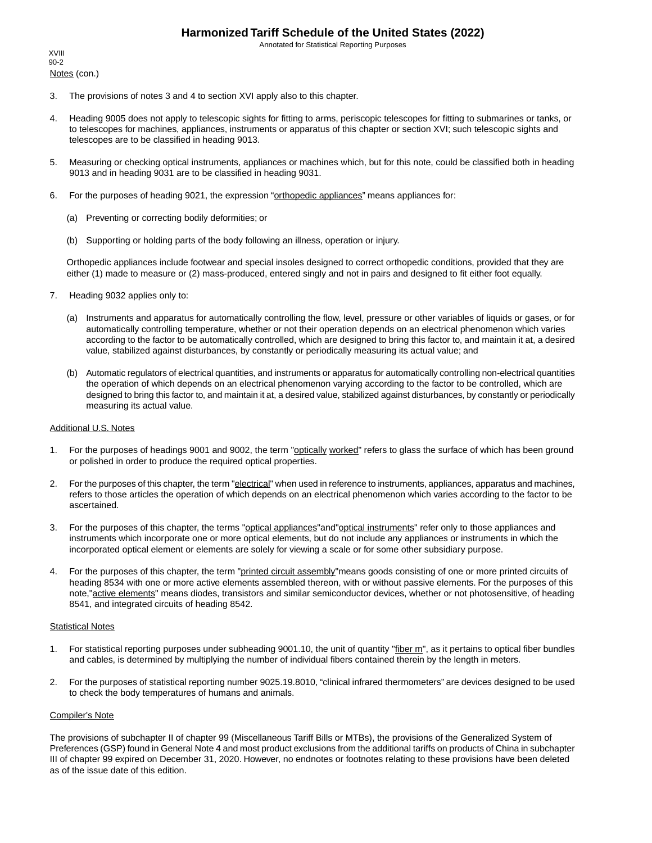Annotated for Statistical Reporting Purposes

Notes (con.) XVIII 90-2

- 3. The provisions of notes 3 and 4 to section XVI apply also to this chapter.
- 4. Heading 9005 does not apply to telescopic sights for fitting to arms, periscopic telescopes for fitting to submarines or tanks, or to telescopes for machines, appliances, instruments or apparatus of this chapter or section XVI; such telescopic sights and telescopes are to be classified in heading 9013.
- 5. Measuring or checking optical instruments, appliances or machines which, but for this note, could be classified both in heading 9013 and in heading 9031 are to be classified in heading 9031.
- 6. For the purposes of heading 9021, the expression "orthopedic appliances" means appliances for:
	- (a) Preventing or correcting bodily deformities; or
	- (b) Supporting or holding parts of the body following an illness, operation or injury.

Orthopedic appliances include footwear and special insoles designed to correct orthopedic conditions, provided that they are either (1) made to measure or (2) mass-produced, entered singly and not in pairs and designed to fit either foot equally.

- 7. Heading 9032 applies only to:
	- (a) Instruments and apparatus for automatically controlling the flow, level, pressure or other variables of liquids or gases, or for automatically controlling temperature, whether or not their operation depends on an electrical phenomenon which varies according to the factor to be automatically controlled, which are designed to bring this factor to, and maintain it at, a desired value, stabilized against disturbances, by constantly or periodically measuring its actual value; and
	- (b) Automatic regulators of electrical quantities, and instruments or apparatus for automatically controlling non-electrical quantities the operation of which depends on an electrical phenomenon varying according to the factor to be controlled, which are designed to bring this factor to, and maintain it at, a desired value, stabilized against disturbances, by constantly or periodically measuring its actual value.

#### Additional U.S. Notes

- 1. For the purposes of headings 9001 and 9002, the term "optically worked" refers to glass the surface of which has been ground or polished in order to produce the required optical properties.
- 2. For the purposes of this chapter, the term "electrical" when used in reference to instruments, appliances, apparatus and machines, refers to those articles the operation of which depends on an electrical phenomenon which varies according to the factor to be ascertained.
- 3. For the purposes of this chapter, the terms "optical appliances" and "optical instruments" refer only to those appliances and instruments which incorporate one or more optical elements, but do not include any appliances or instruments in which the incorporated optical element or elements are solely for viewing a scale or for some other subsidiary purpose.
- 4. For the purposes of this chapter, the term "printed circuit assembly" means goods consisting of one or more printed circuits of heading 8534 with one or more active elements assembled thereon, with or without passive elements. For the purposes of this note,"active elements" means diodes, transistors and similar semiconductor devices, whether or not photosensitive, of heading 8541, and integrated circuits of heading 8542.

#### **Statistical Notes**

- 1. For statistical reporting purposes under subheading 9001.10, the unit of quantity "fiber m", as it pertains to optical fiber bundles and cables, is determined by multiplying the number of individual fibers contained therein by the length in meters.
- 2. For the purposes of statistical reporting number 9025.19.8010, "clinical infrared thermometers" are devices designed to be used to check the body temperatures of humans and animals.

#### Compiler's Note

The provisions of subchapter II of chapter 99 (Miscellaneous Tariff Bills or MTBs), the provisions of the Generalized System of Preferences (GSP) found in General Note 4 and most product exclusions from the additional tariffs on products of China in subchapter III of chapter 99 expired on December 31, 2020. However, no endnotes or footnotes relating to these provisions have been deleted as of the issue date of this edition.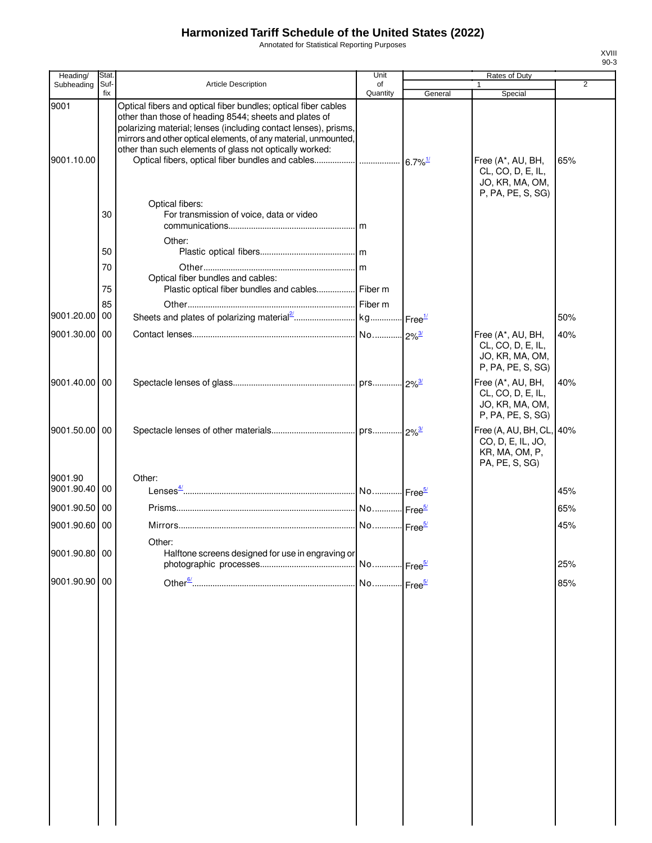Annotated for Statistical Reporting Purposes

|     |                                                                                                                                                                                     | Unit                                                                      |                                                                                                                                                                                                                                                    | Rates of Duty                                                                     |                                                   |
|-----|-------------------------------------------------------------------------------------------------------------------------------------------------------------------------------------|---------------------------------------------------------------------------|----------------------------------------------------------------------------------------------------------------------------------------------------------------------------------------------------------------------------------------------------|-----------------------------------------------------------------------------------|---------------------------------------------------|
| fix |                                                                                                                                                                                     | of<br>Quantity                                                            | General                                                                                                                                                                                                                                            |                                                                                   | 2                                                 |
|     | Optical fibers and optical fiber bundles; optical fiber cables<br>other than those of heading 8544; sheets and plates of<br>other than such elements of glass not optically worked: |                                                                           |                                                                                                                                                                                                                                                    | Free (A*, AU, BH,<br>CL, CO, D, E, IL,<br>JO, KR, MA, OM,                         | 65%                                               |
| 30  | Optical fibers:<br>For transmission of voice, data or video                                                                                                                         |                                                                           |                                                                                                                                                                                                                                                    |                                                                                   |                                                   |
|     | Other:                                                                                                                                                                              |                                                                           |                                                                                                                                                                                                                                                    |                                                                                   |                                                   |
| 70  |                                                                                                                                                                                     |                                                                           |                                                                                                                                                                                                                                                    |                                                                                   |                                                   |
| 75  |                                                                                                                                                                                     |                                                                           |                                                                                                                                                                                                                                                    |                                                                                   |                                                   |
| 85  |                                                                                                                                                                                     |                                                                           |                                                                                                                                                                                                                                                    |                                                                                   |                                                   |
|     |                                                                                                                                                                                     |                                                                           |                                                                                                                                                                                                                                                    |                                                                                   | 50%                                               |
|     |                                                                                                                                                                                     |                                                                           |                                                                                                                                                                                                                                                    | CL, CO, D, E, IL,<br>JO, KR, MA, OM,<br>P, PA, PE, S, SG)                         | 40%                                               |
|     |                                                                                                                                                                                     |                                                                           |                                                                                                                                                                                                                                                    | Free (A*, AU, BH,<br>CL, CO, D, E, IL,<br>JO, KR, MA, OM,<br>P, PA, PE, S, SG)    | 40%                                               |
|     |                                                                                                                                                                                     |                                                                           |                                                                                                                                                                                                                                                    | Free (A, AU, BH, CL, 40%<br>CO, D, E, IL, JO,<br>KR, MA, OM, P,<br>PA, PE, S, SG) |                                                   |
|     | Other:                                                                                                                                                                              |                                                                           |                                                                                                                                                                                                                                                    |                                                                                   |                                                   |
|     |                                                                                                                                                                                     |                                                                           |                                                                                                                                                                                                                                                    |                                                                                   | 45%                                               |
|     |                                                                                                                                                                                     |                                                                           |                                                                                                                                                                                                                                                    |                                                                                   | 65%<br>45%                                        |
|     |                                                                                                                                                                                     |                                                                           |                                                                                                                                                                                                                                                    |                                                                                   |                                                   |
|     |                                                                                                                                                                                     |                                                                           |                                                                                                                                                                                                                                                    |                                                                                   | 25%                                               |
|     |                                                                                                                                                                                     |                                                                           |                                                                                                                                                                                                                                                    |                                                                                   | 85%                                               |
|     |                                                                                                                                                                                     |                                                                           |                                                                                                                                                                                                                                                    |                                                                                   |                                                   |
|     | Stat.<br>Suf-<br>50<br>9001.20.00<br>00<br>9001.30.00 00<br>9001.40.00 00<br>9001.50.00 00<br>9001.90.40 00<br>9001.90.50 00<br>9001.90.60<br>00<br>9001.90.80 00<br>9001.90.90 00  | <b>Article Description</b><br>Optical fiber bundles and cables:<br>Other: | polarizing material; lenses (including contact lenses), prisms,<br>mirrors and other optical elements, of any material, unmounted,<br>.Im<br>Plastic optical fiber bundles and cables Fiber m<br>Halftone screens designed for use in engraving or | No 2% <sup>3/</sup><br>No Free <sup>5/</sup><br>No Free <sup>5/</sup>             | Special<br>P, PA, PE, S, SG)<br>Free (A*, AU, BH, |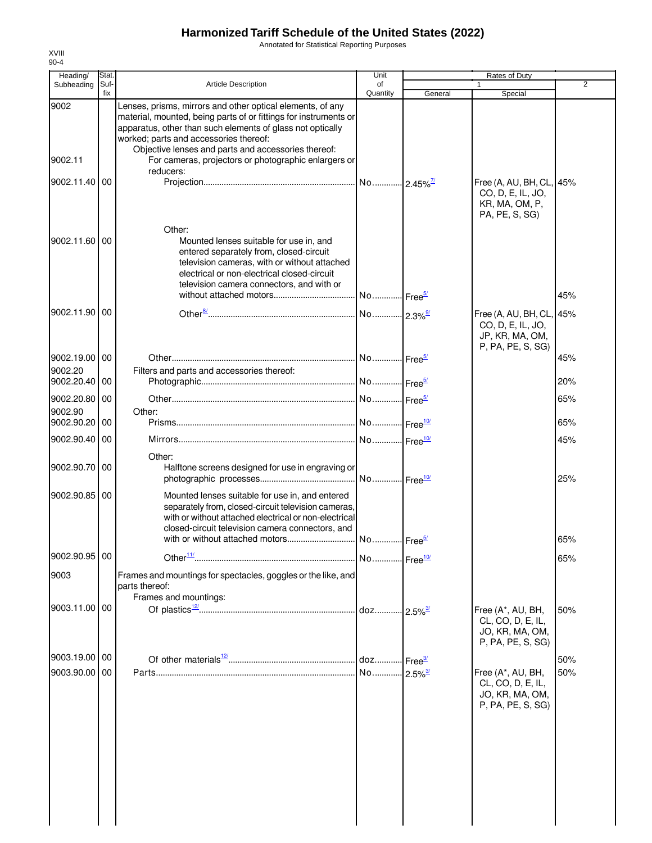Annotated for Statistical Reporting Purposes

| Heading/              | <b>Stat</b> |                                                                                                                                                                                                                                                                                               | Unit                   |         | Rates of Duty                                                                     |                |
|-----------------------|-------------|-----------------------------------------------------------------------------------------------------------------------------------------------------------------------------------------------------------------------------------------------------------------------------------------------|------------------------|---------|-----------------------------------------------------------------------------------|----------------|
| Subheading            | Suf-<br>fix | <b>Article Description</b>                                                                                                                                                                                                                                                                    | of<br>Quantity         | General | Special                                                                           | $\overline{2}$ |
| 9002                  |             | Lenses, prisms, mirrors and other optical elements, of any<br>material, mounted, being parts of or fittings for instruments or<br>apparatus, other than such elements of glass not optically<br>worked; parts and accessories thereof:<br>Objective lenses and parts and accessories thereof: |                        |         |                                                                                   |                |
| 9002.11               |             | For cameras, projectors or photographic enlargers or<br>reducers:                                                                                                                                                                                                                             |                        |         |                                                                                   |                |
| 9002.11.40            | 00          |                                                                                                                                                                                                                                                                                               |                        |         | Free (A, AU, BH, CL, 45%<br>CO, D, E, IL, JO,<br>KR, MA, OM, P,<br>PA, PE, S, SG) |                |
| 9002.11.60            | 00          | Other:<br>Mounted lenses suitable for use in, and<br>entered separately from, closed-circuit<br>television cameras, with or without attached<br>electrical or non-electrical closed-circuit<br>television camera connectors, and with or                                                      |                        |         |                                                                                   |                |
|                       |             |                                                                                                                                                                                                                                                                                               | No Free <sup>5/</sup>  |         |                                                                                   | 45%            |
| 9002.11.90            | 00          |                                                                                                                                                                                                                                                                                               |                        |         | Free (A, AU, BH, CL, 45%                                                          |                |
|                       |             |                                                                                                                                                                                                                                                                                               |                        |         | CO, D, E, IL, JO,<br>JP, KR, MA, OM,<br>P, PA, PE, S, SG)                         |                |
| 9002.19.00 00         |             |                                                                                                                                                                                                                                                                                               |                        |         |                                                                                   | 45%            |
| 9002.20<br>9002.20.40 | 00          | Filters and parts and accessories thereof:                                                                                                                                                                                                                                                    |                        |         |                                                                                   | 20%            |
| 9002.20.80 00         |             |                                                                                                                                                                                                                                                                                               |                        |         |                                                                                   | 65%            |
| 9002.90               |             | Other:                                                                                                                                                                                                                                                                                        |                        |         |                                                                                   |                |
| 9002.90.20            | 00          |                                                                                                                                                                                                                                                                                               |                        |         |                                                                                   | 65%            |
| 9002.90.40            | 00          |                                                                                                                                                                                                                                                                                               |                        |         |                                                                                   | 45%            |
| 9002.90.70            | 00          | Other:<br>Halftone screens designed for use in engraving or                                                                                                                                                                                                                                   | No Free <sup>10/</sup> |         |                                                                                   | 25%            |
| 9002.90.85 00         |             | Mounted lenses suitable for use in, and entered<br>separately from, closed-circuit television cameras,<br>with or without attached electrical or non-electrical<br>closed-circuit television camera connectors, and                                                                           |                        |         |                                                                                   | 65%            |
| 9002.90.95 00         |             |                                                                                                                                                                                                                                                                                               |                        |         |                                                                                   |                |
|                       |             |                                                                                                                                                                                                                                                                                               |                        |         |                                                                                   | 65%            |
| 9003                  |             | Frames and mountings for spectacles, goggles or the like, and<br>parts thereof:<br>Frames and mountings:                                                                                                                                                                                      |                        |         |                                                                                   |                |
| 9003.11.00 00         |             |                                                                                                                                                                                                                                                                                               | doz 2.5% <sup>3/</sup> |         | Free (A*, AU, BH,<br>CL, CO, D, E, IL,<br>JO, KR, MA, OM,<br>P, PA, PE, S, SG)    | 50%            |
| 9003.19.00 00         |             |                                                                                                                                                                                                                                                                                               | doz Free <sup>3/</sup> |         |                                                                                   | 50%            |
| 9003.90.00            | 00          |                                                                                                                                                                                                                                                                                               | No 2.5% <sup>3/</sup>  |         | Free (A*, AU, BH,<br>CL, CO, D, E, IL,<br>JO, KR, MA, OM,<br>P, PA, PE, S, SG)    | 50%            |
|                       |             |                                                                                                                                                                                                                                                                                               |                        |         |                                                                                   |                |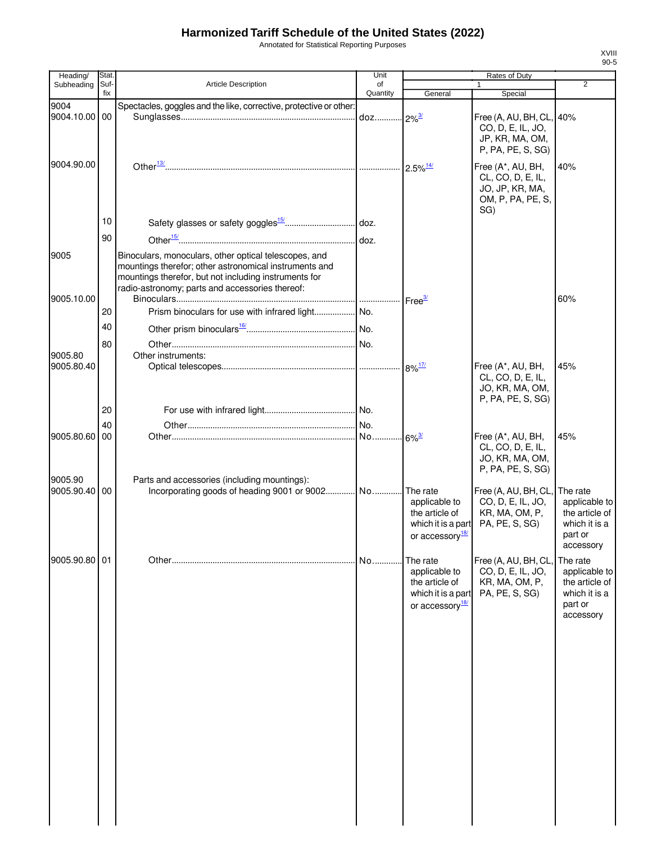Annotated for Statistical Reporting Purposes

| Heading/              | Stat. |                                                                                                                                                                                                                             | Unit     |                                                                                                  | Rates of Duty                                                                         |                                                                                      |
|-----------------------|-------|-----------------------------------------------------------------------------------------------------------------------------------------------------------------------------------------------------------------------------|----------|--------------------------------------------------------------------------------------------------|---------------------------------------------------------------------------------------|--------------------------------------------------------------------------------------|
| Subheading            | Suf-  | Article Description                                                                                                                                                                                                         | of       |                                                                                                  | 1                                                                                     | 2                                                                                    |
|                       | fix   |                                                                                                                                                                                                                             | Quantity | General                                                                                          | Special                                                                               |                                                                                      |
| 9004<br>9004.10.00    | 00    | Spectacles, goggles and the like, corrective, protective or other:                                                                                                                                                          |          |                                                                                                  | Free (A, AU, BH, CL, 40%<br>CO, D, E, IL, JO,<br>JP, KR, MA, OM,<br>P, PA, PE, S, SG) |                                                                                      |
| 9004.90.00            |       |                                                                                                                                                                                                                             |          | $2.5\%$ <sup>14/</sup>                                                                           | Free (A*, AU, BH,<br>CL, CO, D, E, IL,<br>JO, JP, KR, MA,<br>OM, P, PA, PE, S,<br>SG) | 40%                                                                                  |
|                       | 10    |                                                                                                                                                                                                                             |          |                                                                                                  |                                                                                       |                                                                                      |
|                       | 90    |                                                                                                                                                                                                                             | doz.     |                                                                                                  |                                                                                       |                                                                                      |
| 9005                  |       | Binoculars, monoculars, other optical telescopes, and<br>mountings therefor; other astronomical instruments and<br>mountings therefor, but not including instruments for<br>radio-astronomy; parts and accessories thereof: |          |                                                                                                  |                                                                                       |                                                                                      |
| 9005.10.00            | 20    |                                                                                                                                                                                                                             |          |                                                                                                  |                                                                                       | 60%                                                                                  |
|                       |       |                                                                                                                                                                                                                             |          |                                                                                                  |                                                                                       |                                                                                      |
|                       | 40    |                                                                                                                                                                                                                             |          |                                                                                                  |                                                                                       |                                                                                      |
|                       | 80    |                                                                                                                                                                                                                             |          |                                                                                                  |                                                                                       |                                                                                      |
| 9005.80<br>9005.80.40 |       | Other instruments:                                                                                                                                                                                                          |          | 8%17/                                                                                            | Free (A*, AU, BH,                                                                     | 45%                                                                                  |
|                       |       |                                                                                                                                                                                                                             |          |                                                                                                  | CL, CO, D, E, IL,<br>JO, KR, MA, OM,<br>P, PA, PE, S, SG)                             |                                                                                      |
|                       | 20    |                                                                                                                                                                                                                             |          |                                                                                                  |                                                                                       |                                                                                      |
|                       | 40    |                                                                                                                                                                                                                             | No.      |                                                                                                  |                                                                                       |                                                                                      |
| 9005.80.60<br>9005.90 | 00    | Parts and accessories (including mountings):                                                                                                                                                                                |          | $.6\%$ <sup>3/</sup>                                                                             | Free (A*, AU, BH,<br>CL, CO, D, E, IL,<br>JO, KR, MA, OM,<br>P, PA, PE, S, SG)        | 45%                                                                                  |
| 9005.90.40            | 00    | Incorporating goods of heading 9001 or 9002 No                                                                                                                                                                              |          | The rate<br>applicable to<br>the article of<br>which it is a part<br>or accessory <sup>18/</sup> | Free (A, AU, BH, CL,<br>CO, D, E, IL, JO,<br>KR, MA, OM, P,<br>PA, PE, S, SG)         | The rate<br>applicable to<br>the article of<br>which it is a<br>part or<br>accessory |
| 9005.90.80 01         |       |                                                                                                                                                                                                                             | No       | The rate<br>applicable to<br>the article of<br>which it is a part<br>or accessory <sup>18/</sup> | Free (A, AU, BH, CL.<br>CO, D, E, IL, JO,<br>KR, MA, OM, P,<br>PA, PE, S, SG)         | The rate<br>applicable to<br>the article of<br>which it is a<br>part or<br>accessory |
|                       |       |                                                                                                                                                                                                                             |          |                                                                                                  |                                                                                       |                                                                                      |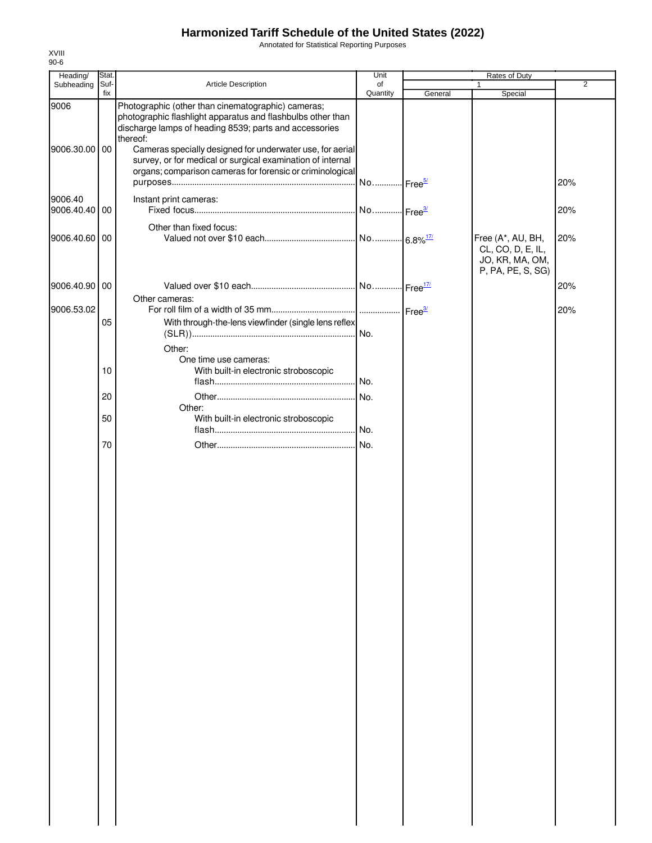Annotated for Statistical Reporting Purposes

| Heading/              | Stat.       |                                                                                                                                                                                                                                                                                                                                                                                 | Unit                  |         | Rates of Duty                                                                  |                |
|-----------------------|-------------|---------------------------------------------------------------------------------------------------------------------------------------------------------------------------------------------------------------------------------------------------------------------------------------------------------------------------------------------------------------------------------|-----------------------|---------|--------------------------------------------------------------------------------|----------------|
| Subheading            | Suf-<br>fix | Article Description                                                                                                                                                                                                                                                                                                                                                             | of<br>Quantity        | General | 1<br>Special                                                                   | $\overline{2}$ |
| 9006<br>9006.30.00 00 |             | Photographic (other than cinematographic) cameras;<br>photographic flashlight apparatus and flashbulbs other than<br>discharge lamps of heading 8539; parts and accessories<br>thereof:<br>Cameras specially designed for underwater use, for aerial<br>survey, or for medical or surgical examination of internal<br>organs; comparison cameras for forensic or criminological |                       |         |                                                                                |                |
| 9006.40               |             | Instant print cameras:                                                                                                                                                                                                                                                                                                                                                          | No Free <sup>5/</sup> |         |                                                                                | 20%            |
| 9006.40.40 00         |             | Other than fixed focus:                                                                                                                                                                                                                                                                                                                                                         | No Free <sup>3/</sup> |         |                                                                                | 20%            |
| 9006.40.60 00         |             |                                                                                                                                                                                                                                                                                                                                                                                 |                       |         | Free (A*, AU, BH,<br>CL, CO, D, E, IL,<br>JO, KR, MA, OM,<br>P, PA, PE, S, SG) | 20%            |
| 9006.40.90 00         |             | Other cameras:                                                                                                                                                                                                                                                                                                                                                                  |                       |         |                                                                                | 20%            |
| 9006.53.02            |             |                                                                                                                                                                                                                                                                                                                                                                                 |                       |         |                                                                                | 20%            |
|                       | 05          | With through-the-lens viewfinder (single lens reflex<br>Other:                                                                                                                                                                                                                                                                                                                  |                       |         |                                                                                |                |
|                       | 10          | One time use cameras:<br>With built-in electronic stroboscopic                                                                                                                                                                                                                                                                                                                  | No.                   |         |                                                                                |                |
|                       | 20          |                                                                                                                                                                                                                                                                                                                                                                                 | No.                   |         |                                                                                |                |
|                       | 50          | Other:<br>With built-in electronic stroboscopic                                                                                                                                                                                                                                                                                                                                 |                       |         |                                                                                |                |
|                       | 70          |                                                                                                                                                                                                                                                                                                                                                                                 | . No.<br>No.          |         |                                                                                |                |
|                       |             |                                                                                                                                                                                                                                                                                                                                                                                 |                       |         |                                                                                |                |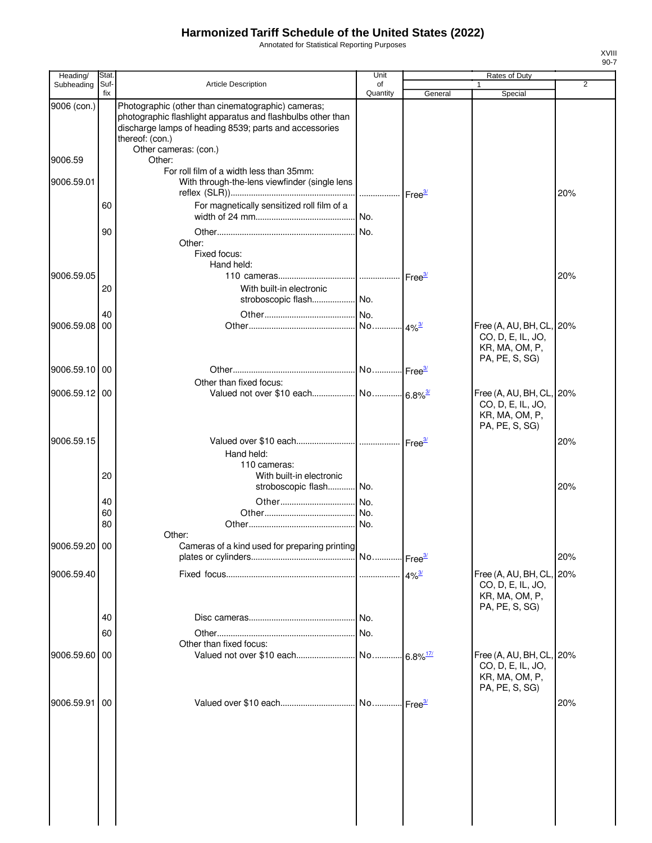Annotated for Statistical Reporting Purposes

| Heading/      | Stat.       |                                                                                                                                                                                                                         | Unit           |                     | Rates of Duty                                                                     |     |
|---------------|-------------|-------------------------------------------------------------------------------------------------------------------------------------------------------------------------------------------------------------------------|----------------|---------------------|-----------------------------------------------------------------------------------|-----|
| Subheading    | Suf-<br>fix | Article Description                                                                                                                                                                                                     | of<br>Quantity | General             | 1<br>Special                                                                      | 2   |
| 9006 (con.)   |             | Photographic (other than cinematographic) cameras;<br>photographic flashlight apparatus and flashbulbs other than<br>discharge lamps of heading 8539; parts and accessories<br>thereof: (con.)<br>Other cameras: (con.) |                |                     |                                                                                   |     |
| 9006.59       |             | Other:<br>For roll film of a width less than 35mm:                                                                                                                                                                      |                |                     |                                                                                   |     |
| 9006.59.01    |             | With through-the-lens viewfinder (single lens                                                                                                                                                                           |                |                     |                                                                                   | 20% |
|               | 60          | For magnetically sensitized roll film of a                                                                                                                                                                              |                |                     |                                                                                   |     |
|               | 90          | Other:<br>Fixed focus:<br>Hand held:                                                                                                                                                                                    |                |                     |                                                                                   |     |
| 9006.59.05    |             |                                                                                                                                                                                                                         |                |                     |                                                                                   | 20% |
|               | 20          | With built-in electronic<br>stroboscopic flash No.                                                                                                                                                                      |                |                     |                                                                                   |     |
|               | 40          |                                                                                                                                                                                                                         |                |                     |                                                                                   |     |
| 9006.59.08    | 00          |                                                                                                                                                                                                                         |                |                     | Free (A, AU, BH, CL, 20%<br>CO, D, E, IL, JO,<br>KR, MA, OM, P,<br>PA, PE, S, SG) |     |
| 9006.59.10 00 |             | Other than fixed focus:                                                                                                                                                                                                 |                |                     |                                                                                   |     |
| 9006.59.12 00 |             |                                                                                                                                                                                                                         |                |                     | Free (A, AU, BH, CL, 20%<br>CO, D, E, IL, JO,<br>KR, MA, OM, P,<br>PA, PE, S, SG) |     |
| 9006.59.15    |             | Hand held:                                                                                                                                                                                                              |                |                     |                                                                                   | 20% |
|               | 20          | 110 cameras:<br>With built-in electronic<br>stroboscopic flash No.                                                                                                                                                      |                |                     |                                                                                   | 20% |
|               | 40          |                                                                                                                                                                                                                         |                |                     |                                                                                   |     |
|               | 60          |                                                                                                                                                                                                                         |                |                     |                                                                                   |     |
|               | 80          |                                                                                                                                                                                                                         |                |                     |                                                                                   |     |
| 9006.59.20 00 |             | Other:<br>Cameras of a kind used for preparing printing                                                                                                                                                                 |                |                     |                                                                                   | 20% |
| 9006.59.40    |             |                                                                                                                                                                                                                         |                | $4\%$ <sup>3/</sup> | Free (A, AU, BH, CL,                                                              | 20% |
|               |             |                                                                                                                                                                                                                         |                |                     | CO, D, E, IL, JO,<br>KR, MA, OM, P,<br>PA, PE, S, SG)                             |     |
|               | 40          |                                                                                                                                                                                                                         |                |                     |                                                                                   |     |
|               | 60          |                                                                                                                                                                                                                         |                |                     |                                                                                   |     |
| 9006.59.60 00 |             | Other than fixed focus:                                                                                                                                                                                                 |                |                     | Free (A, AU, BH, CL, 20%<br>CO, D, E, IL, JO,<br>KR, MA, OM, P,<br>PA, PE, S, SG) |     |
| 9006.59.91    | 00          |                                                                                                                                                                                                                         |                |                     |                                                                                   | 20% |
|               |             |                                                                                                                                                                                                                         |                |                     |                                                                                   |     |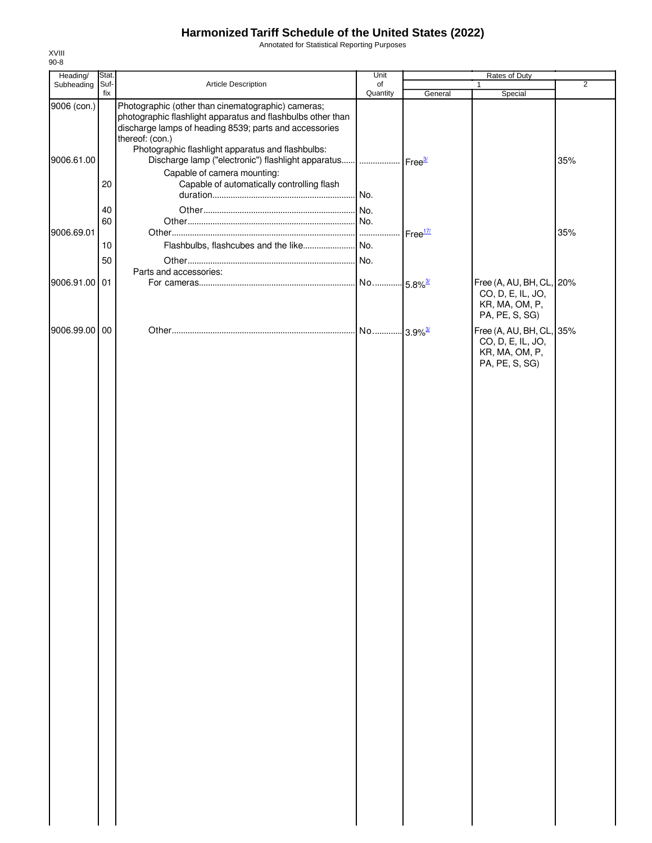Annotated for Statistical Reporting Purposes

| Heading/    | Stat. |                                                                                                                                          | Unit       |                        | Rates of Duty                                         |                |
|-------------|-------|------------------------------------------------------------------------------------------------------------------------------------------|------------|------------------------|-------------------------------------------------------|----------------|
| Subheading  | Suf-  | Article Description                                                                                                                      | of         |                        | $\mathbf{1}$                                          | $\overline{2}$ |
| 9006 (con.) | fix   | Photographic (other than cinematographic) cameras;                                                                                       | Quantity   | General                | Special                                               |                |
|             |       | photographic flashlight apparatus and flashbulbs other than<br>discharge lamps of heading 8539; parts and accessories<br>thereof: (con.) |            |                        |                                                       |                |
| 9006.61.00  |       | Photographic flashlight apparatus and flashbulbs:<br>Discharge lamp ("electronic") flashlight apparatus    Free3/                        |            |                        |                                                       | 35%            |
|             | 20    | Capable of camera mounting:<br>Capable of automatically controlling flash                                                                |            |                        |                                                       |                |
|             |       |                                                                                                                                          | No.<br>No. |                        |                                                       |                |
|             | 40    |                                                                                                                                          |            |                        |                                                       |                |
|             | 60    |                                                                                                                                          |            |                        |                                                       |                |
| 9006.69.01  |       |                                                                                                                                          |            | Free <sup>17</sup>     |                                                       | 35%            |
|             | 10    |                                                                                                                                          |            |                        |                                                       |                |
|             | 50    |                                                                                                                                          |            |                        |                                                       |                |
|             |       | Parts and accessories:                                                                                                                   |            |                        |                                                       |                |
| 9006.91.00  | 01    |                                                                                                                                          |            | $-5.8\%$ <sup>3/</sup> | Free (A, AU, BH, CL, 20%                              |                |
|             |       |                                                                                                                                          |            |                        | CO, D, E, IL, JO,<br>KR, MA, OM, P,<br>PA, PE, S, SG) |                |
| 9006.99.00  | 00    |                                                                                                                                          |            |                        | Free (A, AU, BH, CL, 35%                              |                |
|             |       |                                                                                                                                          |            |                        | CO, D, E, IL, JO,<br>KR, MA, OM, P,<br>PA, PE, S, SG) |                |
|             |       |                                                                                                                                          |            |                        |                                                       |                |
|             |       |                                                                                                                                          |            |                        |                                                       |                |
|             |       |                                                                                                                                          |            |                        |                                                       |                |
|             |       |                                                                                                                                          |            |                        |                                                       |                |
|             |       |                                                                                                                                          |            |                        |                                                       |                |
|             |       |                                                                                                                                          |            |                        |                                                       |                |
|             |       |                                                                                                                                          |            |                        |                                                       |                |
|             |       |                                                                                                                                          |            |                        |                                                       |                |
|             |       |                                                                                                                                          |            |                        |                                                       |                |
|             |       |                                                                                                                                          |            |                        |                                                       |                |
|             |       |                                                                                                                                          |            |                        |                                                       |                |
|             |       |                                                                                                                                          |            |                        |                                                       |                |
|             |       |                                                                                                                                          |            |                        |                                                       |                |
|             |       |                                                                                                                                          |            |                        |                                                       |                |
|             |       |                                                                                                                                          |            |                        |                                                       |                |
|             |       |                                                                                                                                          |            |                        |                                                       |                |
|             |       |                                                                                                                                          |            |                        |                                                       |                |
|             |       |                                                                                                                                          |            |                        |                                                       |                |
|             |       |                                                                                                                                          |            |                        |                                                       |                |
|             |       |                                                                                                                                          |            |                        |                                                       |                |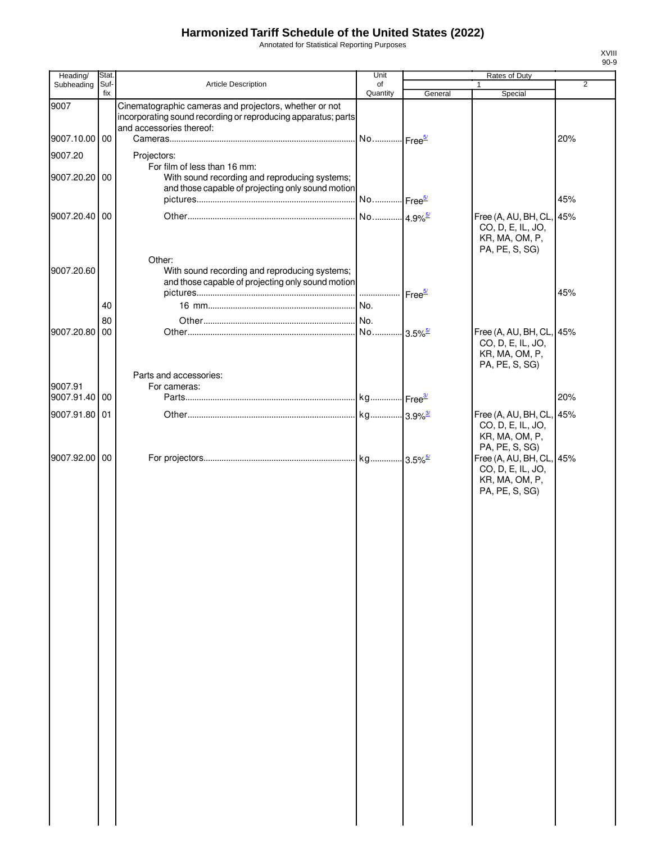Annotated for Statistical Reporting Purposes

| Heading/      | Stat. |                                                                                                                                    | Unit     |         | Rates of Duty                                                                                   |                |
|---------------|-------|------------------------------------------------------------------------------------------------------------------------------------|----------|---------|-------------------------------------------------------------------------------------------------|----------------|
| Subheading    | Suf-  | Article Description                                                                                                                | of       |         | 1                                                                                               | $\overline{2}$ |
| 9007          | fix   | Cinematographic cameras and projectors, whether or not<br>incorporating sound recording or reproducing apparatus; parts            | Quantity | General | Special                                                                                         |                |
| 9007.10.00 00 |       | and accessories thereof:                                                                                                           |          |         |                                                                                                 | 20%            |
| 9007.20       |       | Projectors:                                                                                                                        |          |         |                                                                                                 |                |
| 9007.20.20 00 |       | For film of less than 16 mm:<br>With sound recording and reproducing systems;<br>and those capable of projecting only sound motion |          |         |                                                                                                 |                |
|               |       |                                                                                                                                    |          |         |                                                                                                 | 45%            |
| 9007.20.40 00 |       | Other:                                                                                                                             |          |         | Free (A, AU, BH, CL, 45%<br>CO, D, E, IL, JO,<br>KR, MA, OM, P,<br>PA, PE, S, SG)               |                |
| 9007.20.60    |       | With sound recording and reproducing systems;<br>and those capable of projecting only sound motion                                 |          |         |                                                                                                 |                |
|               |       |                                                                                                                                    |          |         |                                                                                                 | 45%            |
|               | 40    |                                                                                                                                    |          |         |                                                                                                 |                |
|               | 80    |                                                                                                                                    |          |         |                                                                                                 |                |
| 9007.20.80    | 00    |                                                                                                                                    |          |         | Free (A, AU, BH, CL, 45%<br>CO, D, E, IL, JO,<br>KR, MA, OM, P,<br>PA, PE, S, SG)               |                |
|               |       | Parts and accessories:                                                                                                             |          |         |                                                                                                 |                |
| 9007.91       |       | For cameras:                                                                                                                       |          |         |                                                                                                 |                |
| 9007.91.40 00 |       |                                                                                                                                    |          |         |                                                                                                 | 20%            |
| 9007.91.80 01 |       |                                                                                                                                    |          |         | Free (A, AU, BH, CL, 45%<br>CO, D, E, IL, JO,<br>KR, MA, OM, P,                                 |                |
| 9007.92.00 00 |       |                                                                                                                                    |          |         | PA, PE, S, SG)<br>Free (A, AU, BH, CL,<br>CO, D, E, IL, JO,<br>KR, MA, OM, P,<br>PA, PE, S, SG) | 45%            |
|               |       |                                                                                                                                    |          |         |                                                                                                 |                |
|               |       |                                                                                                                                    |          |         |                                                                                                 |                |
|               |       |                                                                                                                                    |          |         |                                                                                                 |                |
|               |       |                                                                                                                                    |          |         |                                                                                                 |                |
|               |       |                                                                                                                                    |          |         |                                                                                                 |                |
|               |       |                                                                                                                                    |          |         |                                                                                                 |                |
|               |       |                                                                                                                                    |          |         |                                                                                                 |                |
|               |       |                                                                                                                                    |          |         |                                                                                                 |                |
|               |       |                                                                                                                                    |          |         |                                                                                                 |                |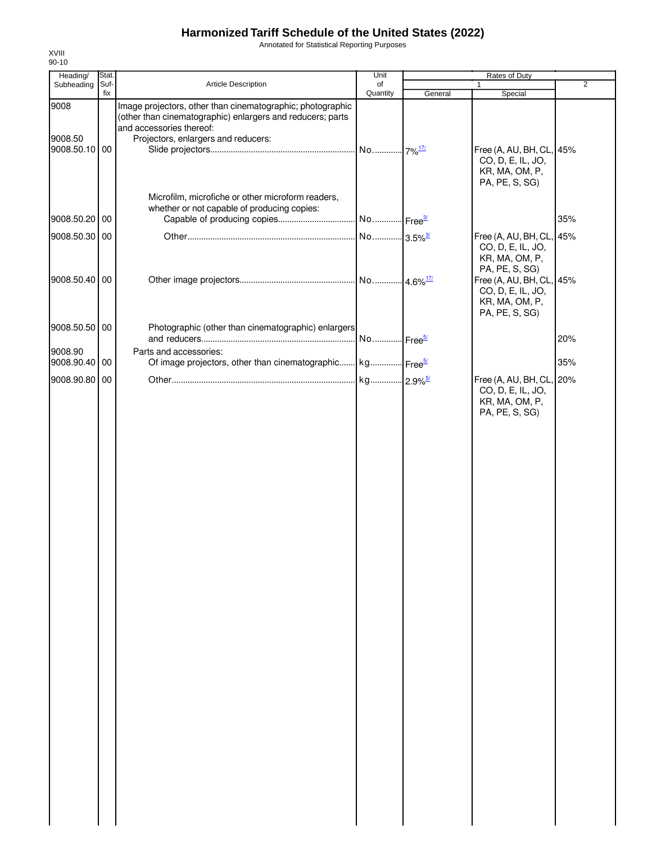Annotated for Statistical Reporting Purposes

| Heading/                 | Stat.       |                                                                                                                                                      | Unit                  |         | Rates of Duty                                                                     |                |
|--------------------------|-------------|------------------------------------------------------------------------------------------------------------------------------------------------------|-----------------------|---------|-----------------------------------------------------------------------------------|----------------|
| Subheading               | Suf-<br>fix | Article Description                                                                                                                                  | of<br>Quantity        | General | 1<br>Special                                                                      | $\overline{2}$ |
| 9008                     |             | Image projectors, other than cinematographic; photographic<br>(other than cinematographic) enlargers and reducers; parts<br>and accessories thereof: |                       |         |                                                                                   |                |
| 9008.50<br>9008.50.10 00 |             | Projectors, enlargers and reducers:                                                                                                                  |                       |         | Free (A, AU, BH, CL, 45%<br>CO, D, E, IL, JO,<br>KR, MA, OM, P,                   |                |
|                          |             | Microfilm, microfiche or other microform readers,<br>whether or not capable of producing copies:                                                     |                       |         | PA, PE, S, SG)                                                                    |                |
| 9008.50.20 00            |             |                                                                                                                                                      |                       |         |                                                                                   | 35%            |
| 9008.50.30 00            |             |                                                                                                                                                      |                       |         | Free (A, AU, BH, CL, 45%<br>CO, D, E, IL, JO,<br>KR, MA, OM, P,<br>PA, PE, S, SG) |                |
| 9008.50.40 00            |             |                                                                                                                                                      |                       |         | Free (A, AU, BH, CL, 45%<br>CO, D, E, IL, JO,<br>KR, MA, OM, P,<br>PA, PE, S, SG) |                |
| 9008.50.50 00<br>9008.90 |             | Photographic (other than cinematographic) enlargers<br>Parts and accessories:                                                                        | No Free <sup>5/</sup> |         |                                                                                   | 20%            |
| 9008.90.40 00            |             | Of image projectors, other than cinematographic kg Free <sup>5/</sup>                                                                                |                       |         |                                                                                   | 35%            |
| 9008.90.80 00            |             |                                                                                                                                                      |                       |         | Free (A, AU, BH, CL, 20%                                                          |                |
|                          |             |                                                                                                                                                      |                       |         | CO, D, E, IL, JO,<br>KR, MA, OM, P,<br>PA, PE, S, SG)                             |                |
|                          |             |                                                                                                                                                      |                       |         |                                                                                   |                |
|                          |             |                                                                                                                                                      |                       |         |                                                                                   |                |
|                          |             |                                                                                                                                                      |                       |         |                                                                                   |                |
|                          |             |                                                                                                                                                      |                       |         |                                                                                   |                |
|                          |             |                                                                                                                                                      |                       |         |                                                                                   |                |
|                          |             |                                                                                                                                                      |                       |         |                                                                                   |                |
|                          |             |                                                                                                                                                      |                       |         |                                                                                   |                |
|                          |             |                                                                                                                                                      |                       |         |                                                                                   |                |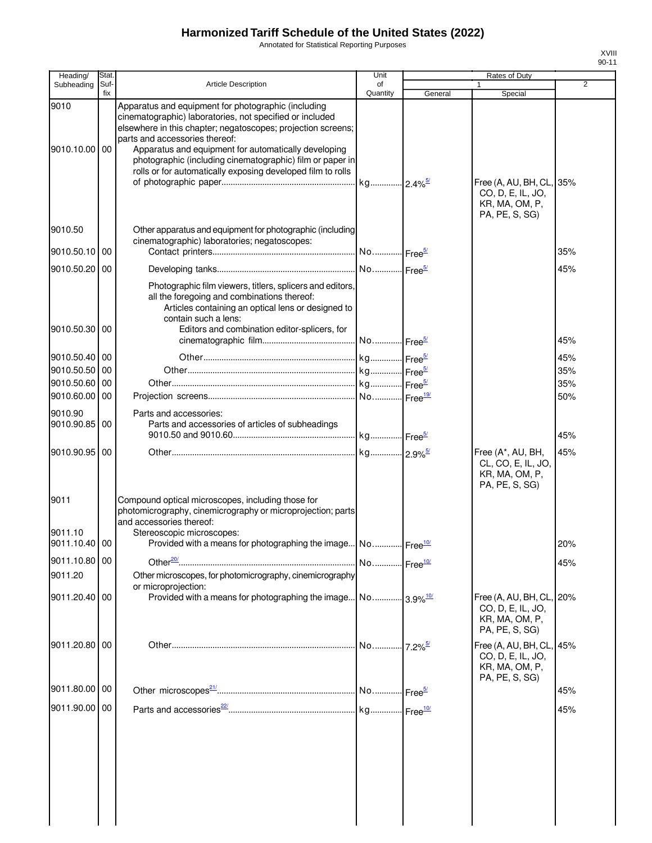Annotated for Statistical Reporting Purposes

| Heading/                 | Stat.       |                                                                                                                                                                                                                                                                                                                                                                                                       | Unit           |         | Rates of Duty                                                                     |     |
|--------------------------|-------------|-------------------------------------------------------------------------------------------------------------------------------------------------------------------------------------------------------------------------------------------------------------------------------------------------------------------------------------------------------------------------------------------------------|----------------|---------|-----------------------------------------------------------------------------------|-----|
| Subheading               | Suf-<br>fix | <b>Article Description</b>                                                                                                                                                                                                                                                                                                                                                                            | of<br>Quantity | General | 1<br>Special                                                                      | 2   |
| 9010<br>9010.10.00 00    |             | Apparatus and equipment for photographic (including<br>cinematographic) laboratories, not specified or included<br>elsewhere in this chapter; negatoscopes; projection screens;<br>parts and accessories thereof:<br>Apparatus and equipment for automatically developing<br>photographic (including cinematographic) film or paper in<br>rolls or for automatically exposing developed film to rolls |                |         | Free (A, AU, BH, CL, 35%<br>CO, D, E, IL, JO,<br>KR, MA, OM, P,                   |     |
| 9010.50                  |             | Other apparatus and equipment for photographic (including                                                                                                                                                                                                                                                                                                                                             |                |         | PA, PE, S, SG)                                                                    |     |
| 9010.50.10 00            |             | cinematographic) laboratories; negatoscopes:                                                                                                                                                                                                                                                                                                                                                          |                |         |                                                                                   | 35% |
| 9010.50.20               | 00          |                                                                                                                                                                                                                                                                                                                                                                                                       |                |         |                                                                                   | 45% |
| 9010.50.30 00            |             | Photographic film viewers, titlers, splicers and editors,<br>all the foregoing and combinations thereof:<br>Articles containing an optical lens or designed to<br>contain such a lens:<br>Editors and combination editor-splicers, for                                                                                                                                                                |                |         |                                                                                   |     |
|                          |             |                                                                                                                                                                                                                                                                                                                                                                                                       |                |         |                                                                                   | 45% |
| 9010.50.40 00            |             |                                                                                                                                                                                                                                                                                                                                                                                                       |                |         |                                                                                   | 45% |
| 9010.50.50 00            |             |                                                                                                                                                                                                                                                                                                                                                                                                       |                |         |                                                                                   | 35% |
| 9010.50.60 00            |             |                                                                                                                                                                                                                                                                                                                                                                                                       |                |         |                                                                                   | 35% |
| 9010.60.00 00            |             |                                                                                                                                                                                                                                                                                                                                                                                                       |                |         |                                                                                   | 50% |
| 9010.90<br>9010.90.85 00 |             | Parts and accessories:<br>Parts and accessories of articles of subheadings                                                                                                                                                                                                                                                                                                                            |                |         |                                                                                   | 45% |
| 9010.90.95               | 00          |                                                                                                                                                                                                                                                                                                                                                                                                       |                |         | Free (A*, AU, BH,<br>CL, CO, E, IL, JO,<br>KR, MA, OM, P,<br>PA, PE, S, SG)       | 45% |
| 9011<br>9011.10          |             | Compound optical microscopes, including those for<br>photomicrography, cinemicrography or microprojection; parts<br>and accessories thereof:<br>Stereoscopic microscopes:                                                                                                                                                                                                                             |                |         |                                                                                   |     |
| 9011.10.40 00            |             | Provided with a means for photographing the image No Free <sup>10/</sup>                                                                                                                                                                                                                                                                                                                              |                |         |                                                                                   | 20% |
| 9011.10.80 00            |             |                                                                                                                                                                                                                                                                                                                                                                                                       |                |         |                                                                                   | 45% |
| 9011.20                  |             | Other microscopes, for photomicrography, cinemicrography<br>or microprojection:                                                                                                                                                                                                                                                                                                                       |                |         |                                                                                   |     |
| 9011.20.40 00            |             | Provided with a means for photographing the image No 3.9% <sup>10/</sup>                                                                                                                                                                                                                                                                                                                              |                |         | Free (A, AU, BH, CL, 20%<br>CO, D, E, IL, JO,<br>KR, MA, OM, P,<br>PA, PE, S, SG) |     |
| 9011.20.80               | 00          |                                                                                                                                                                                                                                                                                                                                                                                                       |                |         | Free (A, AU, BH, CL,<br>CO, D, E, IL, JO,<br>KR, MA, OM, P,<br>PA, PE, S, SG)     | 45% |
| 9011.80.00 00            |             |                                                                                                                                                                                                                                                                                                                                                                                                       |                |         |                                                                                   | 45% |
| 9011.90.00 00            |             |                                                                                                                                                                                                                                                                                                                                                                                                       |                |         |                                                                                   | 45% |
|                          |             |                                                                                                                                                                                                                                                                                                                                                                                                       |                |         |                                                                                   |     |

XVIII 90-11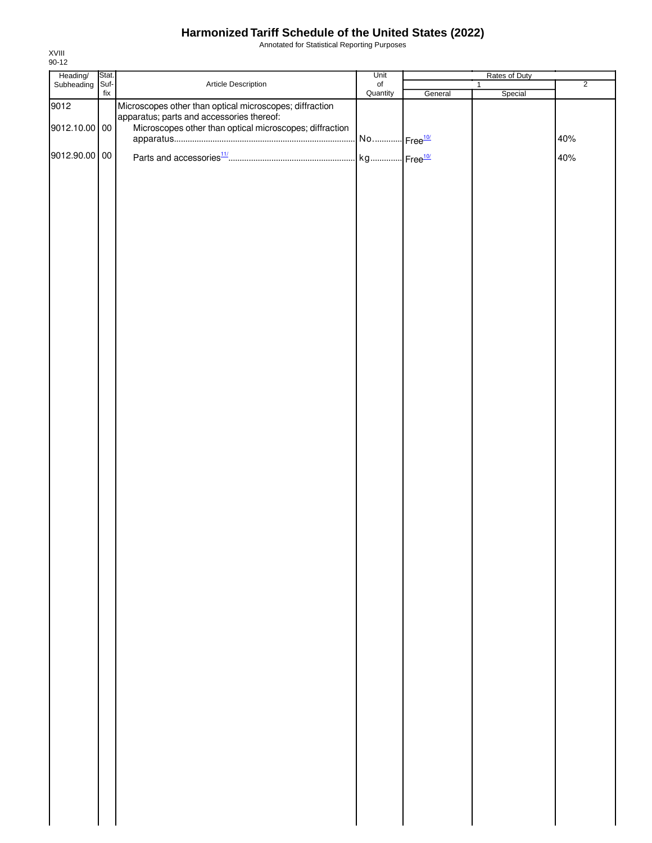Annotated for Statistical Reporting Purposes

| Heading/ Stat.<br>Subheading Suf- |                          |                                                         | Unit                  |         | Rates of Duty |                |
|-----------------------------------|--------------------------|---------------------------------------------------------|-----------------------|---------|---------------|----------------|
|                                   | $\operatorname{\sf fix}$ | Article Description                                     | $\circ$ f<br>Quantity |         | 1             | $\overline{2}$ |
|                                   |                          |                                                         |                       | General | Special       |                |
| 9012                              |                          | Microscopes other than optical microscopes; diffraction |                       |         |               |                |
| 9012.10.00 00                     |                          | apparatus; parts and accessories thereof:               |                       |         |               |                |
|                                   |                          | Microscopes other than optical microscopes; diffraction |                       |         |               |                |
|                                   |                          |                                                         |                       |         |               | 40%            |
| 9012.90.00 00                     |                          |                                                         |                       |         |               | 40%            |
|                                   |                          |                                                         |                       |         |               |                |
|                                   |                          |                                                         |                       |         |               |                |
|                                   |                          |                                                         |                       |         |               |                |
|                                   |                          |                                                         |                       |         |               |                |
|                                   |                          |                                                         |                       |         |               |                |
|                                   |                          |                                                         |                       |         |               |                |
|                                   |                          |                                                         |                       |         |               |                |
|                                   |                          |                                                         |                       |         |               |                |
|                                   |                          |                                                         |                       |         |               |                |
|                                   |                          |                                                         |                       |         |               |                |
|                                   |                          |                                                         |                       |         |               |                |
|                                   |                          |                                                         |                       |         |               |                |
|                                   |                          |                                                         |                       |         |               |                |
|                                   |                          |                                                         |                       |         |               |                |
|                                   |                          |                                                         |                       |         |               |                |
|                                   |                          |                                                         |                       |         |               |                |
|                                   |                          |                                                         |                       |         |               |                |
|                                   |                          |                                                         |                       |         |               |                |
|                                   |                          |                                                         |                       |         |               |                |
|                                   |                          |                                                         |                       |         |               |                |
|                                   |                          |                                                         |                       |         |               |                |
|                                   |                          |                                                         |                       |         |               |                |
|                                   |                          |                                                         |                       |         |               |                |
|                                   |                          |                                                         |                       |         |               |                |
|                                   |                          |                                                         |                       |         |               |                |
|                                   |                          |                                                         |                       |         |               |                |
|                                   |                          |                                                         |                       |         |               |                |
|                                   |                          |                                                         |                       |         |               |                |
|                                   |                          |                                                         |                       |         |               |                |
|                                   |                          |                                                         |                       |         |               |                |
|                                   |                          |                                                         |                       |         |               |                |
|                                   |                          |                                                         |                       |         |               |                |
|                                   |                          |                                                         |                       |         |               |                |
|                                   |                          |                                                         |                       |         |               |                |
|                                   |                          |                                                         |                       |         |               |                |
|                                   |                          |                                                         |                       |         |               |                |
|                                   |                          |                                                         |                       |         |               |                |
|                                   |                          |                                                         |                       |         |               |                |
|                                   |                          |                                                         |                       |         |               |                |
|                                   |                          |                                                         |                       |         |               |                |
|                                   |                          |                                                         |                       |         |               |                |
|                                   |                          |                                                         |                       |         |               |                |
|                                   |                          |                                                         |                       |         |               |                |
|                                   |                          |                                                         |                       |         |               |                |
|                                   |                          |                                                         |                       |         |               |                |
|                                   |                          |                                                         |                       |         |               |                |
|                                   |                          |                                                         |                       |         |               |                |
|                                   |                          |                                                         |                       |         |               |                |
|                                   |                          |                                                         |                       |         |               |                |
|                                   |                          |                                                         |                       |         |               |                |
|                                   |                          |                                                         |                       |         |               |                |
|                                   |                          |                                                         |                       |         |               |                |
|                                   |                          |                                                         |                       |         |               |                |
|                                   |                          |                                                         |                       |         |               |                |
|                                   |                          |                                                         |                       |         |               |                |
|                                   |                          |                                                         |                       |         |               |                |
|                                   |                          |                                                         |                       |         |               |                |
|                                   |                          |                                                         |                       |         |               |                |
|                                   |                          |                                                         |                       |         |               |                |
|                                   |                          |                                                         |                       |         |               |                |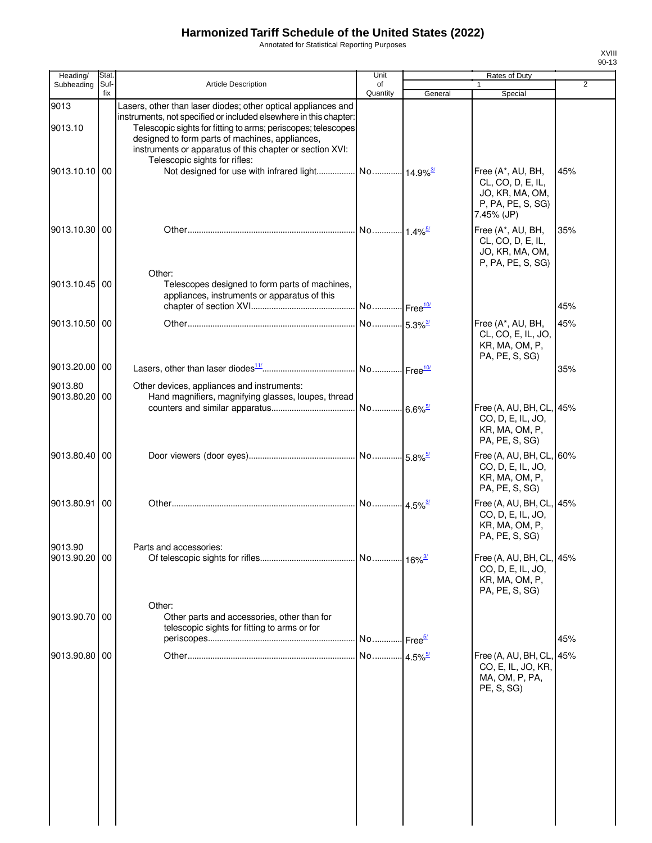Annotated for Statistical Reporting Purposes

| Heading/                 | Stat.       |                                                                                                                                                                                                                                                                                                                    | Unit                  |         | Rates of Duty                                                                                |     |
|--------------------------|-------------|--------------------------------------------------------------------------------------------------------------------------------------------------------------------------------------------------------------------------------------------------------------------------------------------------------------------|-----------------------|---------|----------------------------------------------------------------------------------------------|-----|
| Subheading               | Suf-<br>fix | <b>Article Description</b>                                                                                                                                                                                                                                                                                         | of<br>Quantity        | General | $\mathbf{1}$<br>Special                                                                      | 2   |
| 9013<br>9013.10          |             | Lasers, other than laser diodes; other optical appliances and<br>instruments, not specified or included elsewhere in this chapter:<br>Telescopic sights for fitting to arms; periscopes; telescopes<br>designed to form parts of machines, appliances,<br>instruments or apparatus of this chapter or section XVI: |                       |         |                                                                                              |     |
| 9013.10.10 00            |             | Telescopic sights for rifles:                                                                                                                                                                                                                                                                                      |                       |         | Free (A*, AU, BH,<br>CL, CO, D, E, IL,<br>JO, KR, MA, OM,<br>P, PA, PE, S, SG)<br>7.45% (JP) | 45% |
| 9013.10.30 00            |             |                                                                                                                                                                                                                                                                                                                    |                       |         | Free (A*, AU, BH,<br>CL, CO, D, E, IL,<br>JO, KR, MA, OM,<br>P, PA, PE, S, SG)               | 35% |
| 9013.10.45 00            |             | Other:<br>Telescopes designed to form parts of machines,<br>appliances, instruments or apparatus of this                                                                                                                                                                                                           |                       |         |                                                                                              | 45% |
| 9013.10.50 00            |             |                                                                                                                                                                                                                                                                                                                    |                       |         | Free (A*, AU, BH,<br>CL, CO, E, IL, JO,<br>KR, MA, OM, P,<br>PA, PE, S, SG)                  | 45% |
| 9013.20.00 00            |             |                                                                                                                                                                                                                                                                                                                    |                       |         |                                                                                              | 35% |
| 9013.80<br>9013.80.20 00 |             | Other devices, appliances and instruments:<br>Hand magnifiers, magnifying glasses, loupes, thread                                                                                                                                                                                                                  |                       |         | Free (A, AU, BH, CL, 45%<br>CO, D, E, IL, JO,<br>KR, MA, OM, P,<br>PA, PE, S, SG)            |     |
| 9013.80.40 00            |             |                                                                                                                                                                                                                                                                                                                    |                       |         | Free (A, AU, BH, CL, 60%<br>CO, D, E, IL, JO,<br>KR, MA, OM, P,<br>PA, PE, S, SG)            |     |
| 9013.80.91               | 00          |                                                                                                                                                                                                                                                                                                                    |                       |         | Free (A, AU, BH, CL, 45%<br>CO, D, E, IL, JO,<br>KR, MA, OM, P,<br>PA, PE, S, SG)            |     |
| 9013.90<br>9013.90.20 00 |             | Parts and accessories:                                                                                                                                                                                                                                                                                             |                       |         | Free (A, AU, BH, CL, 45%<br>CO, D, E, IL, JO,<br>KR, MA, OM, P,<br>PA, PE, S, SG)            |     |
| 9013.90.70 00            |             | Other:<br>Other parts and accessories, other than for<br>telescopic sights for fitting to arms or for                                                                                                                                                                                                              |                       |         |                                                                                              | 45% |
| 9013.90.80 00            |             |                                                                                                                                                                                                                                                                                                                    | No 4.5% <sup>5/</sup> |         | Free (A, AU, BH, CL,<br>CO, E, IL, JO, KR,<br>MA, OM, P, PA,<br>PE, S, SG)                   | 45% |
|                          |             |                                                                                                                                                                                                                                                                                                                    |                       |         |                                                                                              |     |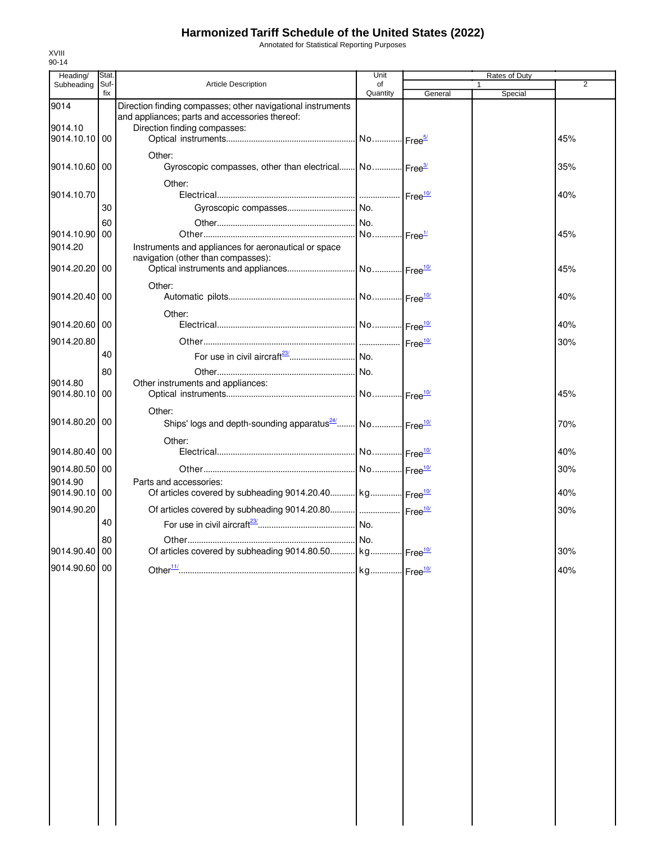Annotated for Statistical Reporting Purposes

| Heading/                 | Stat.       |                                                                                            | Unit           |         | Rates of Duty           |                |
|--------------------------|-------------|--------------------------------------------------------------------------------------------|----------------|---------|-------------------------|----------------|
| Subheading               | Suf-<br>fix | Article Description                                                                        | of<br>Quantity | General | $\mathbf{1}$<br>Special | $\overline{2}$ |
| 9014                     |             | Direction finding compasses; other navigational instruments                                |                |         |                         |                |
|                          |             | and appliances; parts and accessories thereof:                                             |                |         |                         |                |
| 9014.10                  |             | Direction finding compasses:                                                               |                |         |                         |                |
| 9014.10.10 00            |             |                                                                                            |                |         |                         | 45%            |
|                          |             | Other:                                                                                     |                |         |                         |                |
| 9014.10.60 00            |             | Gyroscopic compasses, other than electrical No Free3                                       |                |         |                         | 35%            |
|                          |             | Other:                                                                                     |                |         |                         |                |
| 9014.10.70               |             |                                                                                            |                |         |                         | 40%            |
|                          | 30          |                                                                                            |                |         |                         |                |
|                          | 60          |                                                                                            |                |         |                         |                |
| 9014.10.90 00            |             |                                                                                            |                |         |                         | 45%            |
| 9014.20                  |             | Instruments and appliances for aeronautical or space<br>navigation (other than compasses): |                |         |                         |                |
| 9014.20.20 00            |             |                                                                                            |                |         |                         | 45%            |
|                          |             | Other:                                                                                     |                |         |                         |                |
| 9014.20.40 00            |             |                                                                                            |                |         |                         | 40%            |
|                          |             |                                                                                            |                |         |                         |                |
| 9014.20.60 00            |             | Other:                                                                                     |                |         |                         | 40%            |
|                          |             |                                                                                            |                |         |                         |                |
| 9014.20.80               |             |                                                                                            |                |         |                         | 30%            |
|                          | 40          |                                                                                            |                |         |                         |                |
|                          | 80          |                                                                                            |                |         |                         |                |
| 9014.80<br>9014.80.10 00 |             | Other instruments and appliances:                                                          |                |         |                         | 45%            |
|                          |             |                                                                                            |                |         |                         |                |
|                          |             | Other:                                                                                     |                |         |                         |                |
| 9014.80.20 00            |             | Ships' logs and depth-sounding apparatus <sup>24</sup> No Free <sup>10/</sup>              |                |         |                         | 70%            |
|                          |             | Other:                                                                                     |                |         |                         |                |
| 9014.80.40 00            |             |                                                                                            |                |         |                         | 40%            |
| 9014.80.50 00            |             |                                                                                            |                |         |                         | 30%            |
| 9014.90                  |             | Parts and accessories:                                                                     |                |         |                         |                |
| 9014.90.10 00            |             | Of articles covered by subheading 9014.20.40 kg Free <sup>10/</sup>                        |                |         |                         | 40%            |
| 9014.90.20               |             | Of articles covered by subheading 9014.20.80    Free <sup>10/</sup>                        |                |         |                         | 30%            |
|                          | 40          |                                                                                            |                |         |                         |                |
|                          | 80          |                                                                                            |                |         |                         |                |
| 9014.90.40 00            |             | Of articles covered by subheading 9014.80.50 kg Free <sup>10/</sup>                        |                |         |                         | 30%            |
| 9014.90.60 00            |             |                                                                                            |                |         |                         | 40%            |
|                          |             |                                                                                            |                |         |                         |                |
|                          |             |                                                                                            |                |         |                         |                |
|                          |             |                                                                                            |                |         |                         |                |
|                          |             |                                                                                            |                |         |                         |                |
|                          |             |                                                                                            |                |         |                         |                |
|                          |             |                                                                                            |                |         |                         |                |
|                          |             |                                                                                            |                |         |                         |                |
|                          |             |                                                                                            |                |         |                         |                |
|                          |             |                                                                                            |                |         |                         |                |
|                          |             |                                                                                            |                |         |                         |                |
|                          |             |                                                                                            |                |         |                         |                |
|                          |             |                                                                                            |                |         |                         |                |
|                          |             |                                                                                            |                |         |                         |                |
|                          |             |                                                                                            |                |         |                         |                |
|                          |             |                                                                                            |                |         |                         |                |
|                          |             |                                                                                            |                |         |                         |                |
|                          |             |                                                                                            |                |         |                         |                |
|                          |             |                                                                                            |                |         |                         |                |
|                          |             |                                                                                            |                |         |                         |                |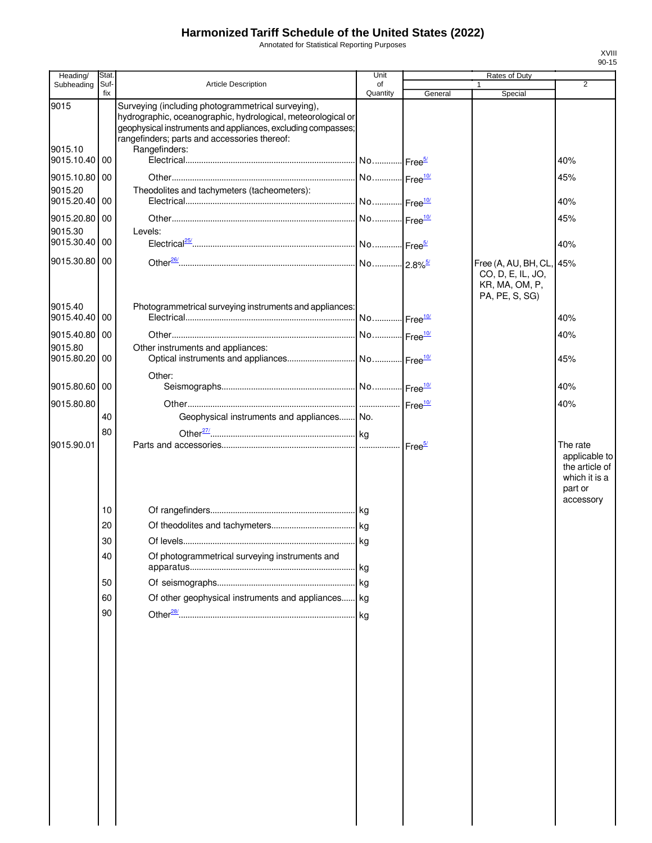Annotated for Statistical Reporting Purposes

| Heading/                 | Stat.       |                                                                                                                                                                                                                                    | Unit           |         | Rates of Duty                                                                     |                                                                                      |
|--------------------------|-------------|------------------------------------------------------------------------------------------------------------------------------------------------------------------------------------------------------------------------------------|----------------|---------|-----------------------------------------------------------------------------------|--------------------------------------------------------------------------------------|
| Subheading               | Suf-<br>fix | <b>Article Description</b>                                                                                                                                                                                                         | of<br>Quantity | General | 1<br>Special                                                                      | 2                                                                                    |
| 9015                     |             | Surveying (including photogrammetrical surveying),<br>hydrographic, oceanographic, hydrological, meteorological or<br>geophysical instruments and appliances, excluding compasses;<br>rangefinders; parts and accessories thereof: |                |         |                                                                                   |                                                                                      |
| 9015.10<br>9015.10.40 00 |             | Rangefinders:                                                                                                                                                                                                                      |                |         |                                                                                   | 40%                                                                                  |
| 9015.10.80 00            |             |                                                                                                                                                                                                                                    |                |         |                                                                                   | 45%                                                                                  |
| 9015.20<br>9015.20.40    | 00          | Theodolites and tachymeters (tacheometers):                                                                                                                                                                                        |                |         |                                                                                   | 40%                                                                                  |
| 9015.20.80 00            |             |                                                                                                                                                                                                                                    |                |         |                                                                                   | 45%                                                                                  |
| 9015.30                  |             | Levels:                                                                                                                                                                                                                            |                |         |                                                                                   |                                                                                      |
| 9015.30.40 00            |             |                                                                                                                                                                                                                                    |                |         |                                                                                   | 40%                                                                                  |
| 9015.30.80 00            |             |                                                                                                                                                                                                                                    |                |         | Free (A, AU, BH, CL, 45%<br>CO, D, E, IL, JO,<br>KR, MA, OM, P,<br>PA, PE, S, SG) |                                                                                      |
| 9015.40<br>9015.40.40 00 |             | Photogrammetrical surveying instruments and appliances:                                                                                                                                                                            |                |         |                                                                                   | 40%                                                                                  |
| 9015.40.80 00            |             |                                                                                                                                                                                                                                    |                |         |                                                                                   | 40%                                                                                  |
| 9015.80                  |             | Other instruments and appliances:                                                                                                                                                                                                  |                |         |                                                                                   |                                                                                      |
| 9015.80.20 00            |             | Other:                                                                                                                                                                                                                             |                |         |                                                                                   | 45%                                                                                  |
| 9015.80.60 00            |             |                                                                                                                                                                                                                                    |                |         |                                                                                   | 40%                                                                                  |
| 9015.80.80               |             |                                                                                                                                                                                                                                    |                |         |                                                                                   | 40%                                                                                  |
|                          | 40          | Geophysical instruments and appliances No.                                                                                                                                                                                         |                |         |                                                                                   |                                                                                      |
|                          | 80          |                                                                                                                                                                                                                                    |                |         |                                                                                   |                                                                                      |
| 9015.90.01               |             |                                                                                                                                                                                                                                    |                |         |                                                                                   | The rate<br>applicable to<br>the article of<br>which it is a<br>part or<br>accessory |
|                          | 10          |                                                                                                                                                                                                                                    |                |         |                                                                                   |                                                                                      |
|                          | 20          |                                                                                                                                                                                                                                    |                |         |                                                                                   |                                                                                      |
|                          | 30          |                                                                                                                                                                                                                                    |                |         |                                                                                   |                                                                                      |
|                          | 40          | Of photogrammetrical surveying instruments and                                                                                                                                                                                     |                |         |                                                                                   |                                                                                      |
|                          | 50          |                                                                                                                                                                                                                                    |                |         |                                                                                   |                                                                                      |
|                          | 60          | Of other geophysical instruments and appliances kg                                                                                                                                                                                 |                |         |                                                                                   |                                                                                      |
|                          | 90          |                                                                                                                                                                                                                                    |                |         |                                                                                   |                                                                                      |
|                          |             |                                                                                                                                                                                                                                    |                |         |                                                                                   |                                                                                      |

XVIII 90-15

 $\mathsf{l}$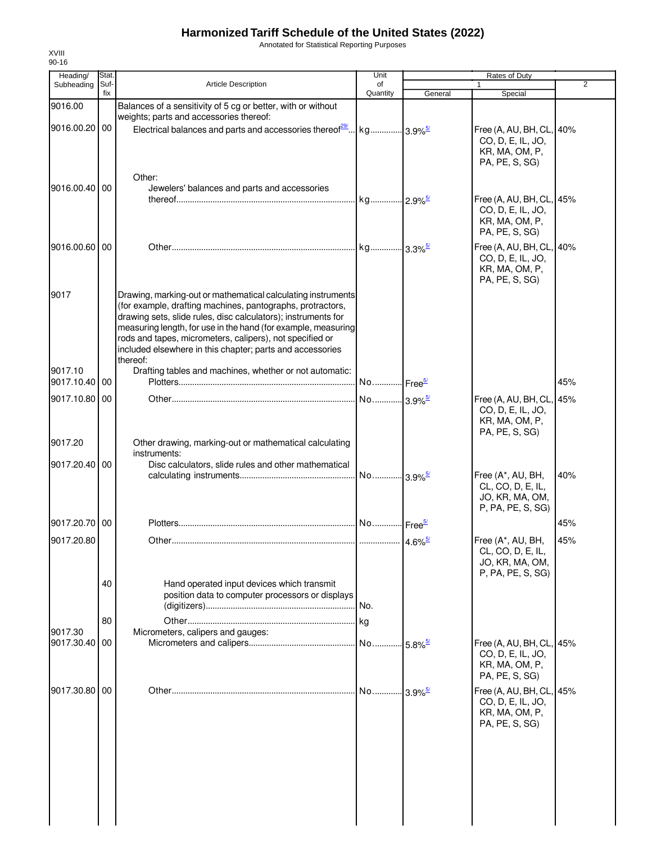Annotated for Statistical Reporting Purposes

| Heading/                 | Stat.       |                                                                                                                                                                                                                                                                                                                                                                                                   | Unit                  |                        | Rates of Duty                                                                     |                |
|--------------------------|-------------|---------------------------------------------------------------------------------------------------------------------------------------------------------------------------------------------------------------------------------------------------------------------------------------------------------------------------------------------------------------------------------------------------|-----------------------|------------------------|-----------------------------------------------------------------------------------|----------------|
| Subheading               | Suf-<br>fix | <b>Article Description</b>                                                                                                                                                                                                                                                                                                                                                                        | of<br>Quantity        | General                | Special                                                                           | $\overline{2}$ |
| 9016.00                  |             | Balances of a sensitivity of 5 cg or better, with or without                                                                                                                                                                                                                                                                                                                                      |                       |                        |                                                                                   |                |
| 9016.00.20 00            |             | weights; parts and accessories thereof:                                                                                                                                                                                                                                                                                                                                                           |                       |                        |                                                                                   |                |
|                          |             | Electrical balances and parts and accessories thereof $\frac{297}{21}$ kg 3.9% <sup>5/</sup>                                                                                                                                                                                                                                                                                                      |                       |                        | Free (A, AU, BH, CL, 40%<br>CO, D, E, IL, JO,<br>KR, MA, OM, P,<br>PA, PE, S, SG) |                |
| 9016.00.40 00            |             | Other:<br>Jewelers' balances and parts and accessories                                                                                                                                                                                                                                                                                                                                            |                       |                        |                                                                                   |                |
|                          |             |                                                                                                                                                                                                                                                                                                                                                                                                   |                       |                        | Free (A, AU, BH, CL, 45%<br>CO, D, E, IL, JO,<br>KR, MA, OM, P,<br>PA, PE, S, SG) |                |
| 9016.00.60 00            |             |                                                                                                                                                                                                                                                                                                                                                                                                   |                       |                        | Free (A, AU, BH, CL, 40%<br>CO, D, E, IL, JO,<br>KR, MA, OM, P,<br>PA, PE, S, SG) |                |
| 9017                     |             | Drawing, marking-out or mathematical calculating instruments<br>(for example, drafting machines, pantographs, protractors,<br>drawing sets, slide rules, disc calculators); instruments for<br>measuring length, for use in the hand (for example, measuring<br>rods and tapes, micrometers, calipers), not specified or<br>included elsewhere in this chapter; parts and accessories<br>thereof: |                       |                        |                                                                                   |                |
| 9017.10<br>9017.10.40 00 |             | Drafting tables and machines, whether or not automatic:                                                                                                                                                                                                                                                                                                                                           | No Free <sup>5/</sup> |                        |                                                                                   | 45%            |
| 9017.10.80 00            |             |                                                                                                                                                                                                                                                                                                                                                                                                   | No 3.9% <sup>5/</sup> |                        | Free (A, AU, BH, CL, 45%                                                          |                |
| 9017.20<br>9017.20.40 00 |             | Other drawing, marking-out or mathematical calculating<br>instruments:<br>Disc calculators, slide rules and other mathematical                                                                                                                                                                                                                                                                    |                       |                        | CO, D, E, IL, JO,<br>KR, MA, OM, P,<br>PA, PE, S, SG)                             |                |
|                          |             |                                                                                                                                                                                                                                                                                                                                                                                                   |                       |                        | Free (A*, AU, BH,<br>CL, CO, D, E, IL,<br>JO, KR, MA, OM,<br>P, PA, PE, S, SG)    | 40%            |
| 9017.20.70 00            |             |                                                                                                                                                                                                                                                                                                                                                                                                   |                       |                        |                                                                                   | 45%            |
| 9017.20.80               |             |                                                                                                                                                                                                                                                                                                                                                                                                   |                       |                        | Free (A*, AU, BH,<br>CL, CO, D, E, IL,<br>JO, KR, MA, OM,                         | 45%            |
|                          | 40          | Hand operated input devices which transmit<br>position data to computer processors or displays                                                                                                                                                                                                                                                                                                    | No.                   |                        | P, PA, PE, S, SG)                                                                 |                |
|                          | 80          |                                                                                                                                                                                                                                                                                                                                                                                                   |                       |                        |                                                                                   |                |
| 9017.30<br>9017.30.40 00 |             | Micrometers, calipers and gauges:                                                                                                                                                                                                                                                                                                                                                                 | No                    | $-5.8\%$ <sup>5/</sup> | Free (A, AU, BH, CL, 45%<br>CO, D, E, IL, JO,<br>KR, MA, OM, P,<br>PA, PE, S, SG) |                |
| 9017.30.80 00            |             |                                                                                                                                                                                                                                                                                                                                                                                                   | No 3.9% <sup>5/</sup> |                        | Free (A, AU, BH, CL, 45%<br>CO, D, E, IL, JO,<br>KR, MA, OM, P,<br>PA, PE, S, SG) |                |
|                          |             |                                                                                                                                                                                                                                                                                                                                                                                                   |                       |                        |                                                                                   |                |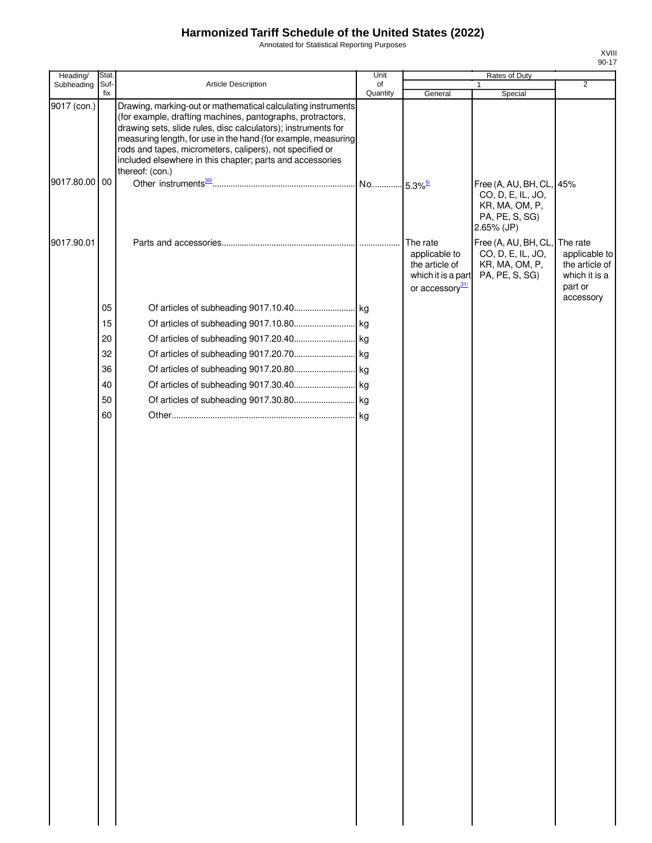Annotated for Statistical Reporting Purposes

| Heading/      | Stat.       |                                                                                                                                                                                                                                                                                                                                                                                                          | Unit           |                                                                                                  | Rates of Duty                                                                                   | $\overline{2}$                                                                       |
|---------------|-------------|----------------------------------------------------------------------------------------------------------------------------------------------------------------------------------------------------------------------------------------------------------------------------------------------------------------------------------------------------------------------------------------------------------|----------------|--------------------------------------------------------------------------------------------------|-------------------------------------------------------------------------------------------------|--------------------------------------------------------------------------------------|
| Subheading    | Suf-<br>fix | Article Description                                                                                                                                                                                                                                                                                                                                                                                      | of<br>Quantity | General                                                                                          | 1<br>Special                                                                                    |                                                                                      |
| 9017 (con.)   |             | Drawing, marking-out or mathematical calculating instruments<br>(for example, drafting machines, pantographs, protractors,<br>drawing sets, slide rules, disc calculators); instruments for<br>measuring length, for use in the hand (for example, measuring<br>rods and tapes, micrometers, calipers), not specified or<br>included elsewhere in this chapter; parts and accessories<br>thereof: (con.) |                |                                                                                                  |                                                                                                 |                                                                                      |
| 9017.80.00 00 |             |                                                                                                                                                                                                                                                                                                                                                                                                          |                |                                                                                                  | Free (A, AU, BH, CL, 45%<br>CO, D, E, IL, JO,<br>KR, MA, OM, P,<br>PA, PE, S, SG)<br>2.65% (JP) |                                                                                      |
| 9017.90.01    |             |                                                                                                                                                                                                                                                                                                                                                                                                          |                | The rate<br>applicable to<br>the article of<br>which it is a part<br>or accessory <sup>31/</sup> | Free (A, AU, BH, CL,<br>CO, D, E, IL, JO,<br>KR, MA, OM, P,<br>PA, PE, S, SG)                   | The rate<br>applicable to<br>the article of<br>which it is a<br>part or<br>accessory |
|               | 05          |                                                                                                                                                                                                                                                                                                                                                                                                          |                |                                                                                                  |                                                                                                 |                                                                                      |
|               | 15          |                                                                                                                                                                                                                                                                                                                                                                                                          |                |                                                                                                  |                                                                                                 |                                                                                      |
|               | 20          |                                                                                                                                                                                                                                                                                                                                                                                                          |                |                                                                                                  |                                                                                                 |                                                                                      |
|               | 32          |                                                                                                                                                                                                                                                                                                                                                                                                          |                |                                                                                                  |                                                                                                 |                                                                                      |
|               | 36          |                                                                                                                                                                                                                                                                                                                                                                                                          |                |                                                                                                  |                                                                                                 |                                                                                      |
|               | 40          |                                                                                                                                                                                                                                                                                                                                                                                                          |                |                                                                                                  |                                                                                                 |                                                                                      |
|               | 50          |                                                                                                                                                                                                                                                                                                                                                                                                          |                |                                                                                                  |                                                                                                 |                                                                                      |
|               | 60          |                                                                                                                                                                                                                                                                                                                                                                                                          |                |                                                                                                  |                                                                                                 |                                                                                      |
|               |             |                                                                                                                                                                                                                                                                                                                                                                                                          |                |                                                                                                  |                                                                                                 |                                                                                      |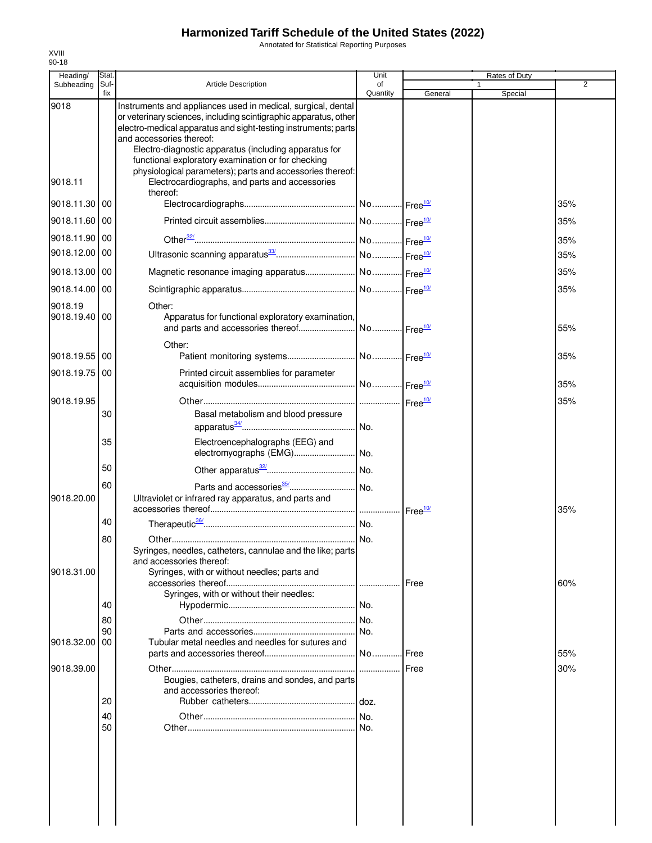Annotated for Statistical Reporting Purposes

| Heading/                 | <b>Stat</b> |                                                                                                                                                                                                                                                                                                                                                                                                            | Unit           |                    | Rates of Duty |                |
|--------------------------|-------------|------------------------------------------------------------------------------------------------------------------------------------------------------------------------------------------------------------------------------------------------------------------------------------------------------------------------------------------------------------------------------------------------------------|----------------|--------------------|---------------|----------------|
| Subheading               | Suf-<br>fix | <b>Article Description</b>                                                                                                                                                                                                                                                                                                                                                                                 | οf<br>Quantity | General            | 1<br>Special  | $\overline{2}$ |
| 9018                     |             | Instruments and appliances used in medical, surgical, dental<br>or veterinary sciences, including scintigraphic apparatus, other<br>electro-medical apparatus and sight-testing instruments; parts<br>and accessories thereof:<br>Electro-diagnostic apparatus (including apparatus for<br>functional exploratory examination or for checking<br>physiological parameters); parts and accessories thereof: |                |                    |               |                |
| 9018.11                  |             | Electrocardiographs, and parts and accessories<br>thereof:                                                                                                                                                                                                                                                                                                                                                 |                |                    |               |                |
| 9018.11.30 00            |             |                                                                                                                                                                                                                                                                                                                                                                                                            |                |                    |               | 35%            |
| 9018.11.60 00            |             |                                                                                                                                                                                                                                                                                                                                                                                                            |                |                    |               | 35%            |
| 9018.11.90               | 00          |                                                                                                                                                                                                                                                                                                                                                                                                            |                |                    |               | 35%            |
| 9018.12.00 00            |             |                                                                                                                                                                                                                                                                                                                                                                                                            |                |                    |               | 35%            |
| 9018.13.00 00            |             |                                                                                                                                                                                                                                                                                                                                                                                                            |                |                    |               | 35%            |
| 9018.14.00 00            |             |                                                                                                                                                                                                                                                                                                                                                                                                            |                |                    |               | 35%            |
| 9018.19<br>9018.19.40 00 |             | Other:<br>Apparatus for functional exploratory examination,                                                                                                                                                                                                                                                                                                                                                |                |                    |               | 55%            |
| 9018.19.55               |             | Other:                                                                                                                                                                                                                                                                                                                                                                                                     |                |                    |               |                |
|                          | 00          |                                                                                                                                                                                                                                                                                                                                                                                                            |                |                    |               | 35%            |
| 9018.19.75               | 00          | Printed circuit assemblies for parameter                                                                                                                                                                                                                                                                                                                                                                   |                |                    |               | 35%            |
| 9018.19.95               |             |                                                                                                                                                                                                                                                                                                                                                                                                            |                |                    |               | 35%            |
|                          | 30          | Basal metabolism and blood pressure                                                                                                                                                                                                                                                                                                                                                                        |                |                    |               |                |
|                          |             |                                                                                                                                                                                                                                                                                                                                                                                                            |                |                    |               |                |
|                          | 35          | Electroencephalographs (EEG) and<br>electromyographs (EMG) No.                                                                                                                                                                                                                                                                                                                                             |                |                    |               |                |
|                          | 50          |                                                                                                                                                                                                                                                                                                                                                                                                            |                |                    |               |                |
|                          | 60          |                                                                                                                                                                                                                                                                                                                                                                                                            |                |                    |               |                |
| 9018.20.00               |             | Ultraviolet or infrared ray apparatus, and parts and                                                                                                                                                                                                                                                                                                                                                       |                | Free <sup>10</sup> |               | 35%            |
|                          | 40          |                                                                                                                                                                                                                                                                                                                                                                                                            |                |                    |               |                |
|                          | 80          |                                                                                                                                                                                                                                                                                                                                                                                                            |                |                    |               |                |
| 9018.31.00               |             | Syringes, needles, catheters, cannulae and the like; parts<br>and accessories thereof:<br>Syringes, with or without needles; parts and                                                                                                                                                                                                                                                                     |                | Free               |               | 60%            |
|                          |             | Syringes, with or without their needles:                                                                                                                                                                                                                                                                                                                                                                   |                |                    |               |                |
|                          | 40<br>80    |                                                                                                                                                                                                                                                                                                                                                                                                            | .I No.         |                    |               |                |
|                          | 90          |                                                                                                                                                                                                                                                                                                                                                                                                            | No.            |                    |               |                |
| 9018.32.00               | 00          | Tubular metal needles and needles for sutures and                                                                                                                                                                                                                                                                                                                                                          |                | l Free             |               | 55%            |
| 9018.39.00               |             |                                                                                                                                                                                                                                                                                                                                                                                                            |                | Free               |               | 30%            |
|                          | 20          | Bougies, catheters, drains and sondes, and parts<br>and accessories thereof:                                                                                                                                                                                                                                                                                                                               |                |                    |               |                |
|                          | 40          |                                                                                                                                                                                                                                                                                                                                                                                                            |                |                    |               |                |
|                          | 50          |                                                                                                                                                                                                                                                                                                                                                                                                            |                |                    |               |                |
|                          |             |                                                                                                                                                                                                                                                                                                                                                                                                            |                |                    |               |                |
|                          |             |                                                                                                                                                                                                                                                                                                                                                                                                            |                |                    |               |                |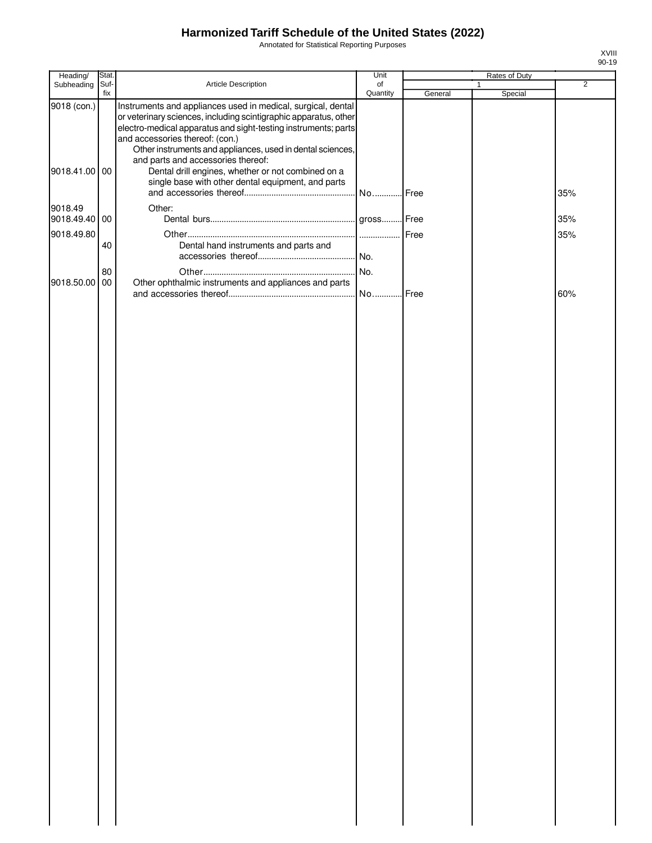Annotated for Statistical Reporting Purposes

| Heading/                 | Stat.       |                                                                                                                                                                                                                                                                                                                                           | Unit           |         | Rates of Duty |                |
|--------------------------|-------------|-------------------------------------------------------------------------------------------------------------------------------------------------------------------------------------------------------------------------------------------------------------------------------------------------------------------------------------------|----------------|---------|---------------|----------------|
| Subheading               | Suf-<br>fix | Article Description                                                                                                                                                                                                                                                                                                                       | of<br>Quantity |         | $\mathbf{1}$  | $\overline{2}$ |
| 9018 (con.)              |             | Instruments and appliances used in medical, surgical, dental<br>or veterinary sciences, including scintigraphic apparatus, other<br>electro-medical apparatus and sight-testing instruments; parts<br>and accessories thereof: (con.)<br>Other instruments and appliances, used in dental sciences,<br>and parts and accessories thereof: |                | General | Special       |                |
| 9018.41.00 00            |             | Dental drill engines, whether or not combined on a<br>single base with other dental equipment, and parts                                                                                                                                                                                                                                  |                |         |               | 35%            |
| 9018.49<br>9018.49.40 00 |             | Other:                                                                                                                                                                                                                                                                                                                                    |                |         |               | 35%            |
| 9018.49.80               | 40          | Dental hand instruments and parts and                                                                                                                                                                                                                                                                                                     |                | Free    |               | 35%            |
| 9018.50.00               | 80<br>00    | Other ophthalmic instruments and appliances and parts                                                                                                                                                                                                                                                                                     |                |         |               |                |
|                          |             |                                                                                                                                                                                                                                                                                                                                           | No Free        |         |               | 60%            |
|                          |             |                                                                                                                                                                                                                                                                                                                                           |                |         |               |                |
|                          |             |                                                                                                                                                                                                                                                                                                                                           |                |         |               |                |
|                          |             |                                                                                                                                                                                                                                                                                                                                           |                |         |               |                |
|                          |             |                                                                                                                                                                                                                                                                                                                                           |                |         |               |                |
|                          |             |                                                                                                                                                                                                                                                                                                                                           |                |         |               |                |
|                          |             |                                                                                                                                                                                                                                                                                                                                           |                |         |               |                |
|                          |             |                                                                                                                                                                                                                                                                                                                                           |                |         |               |                |
|                          |             |                                                                                                                                                                                                                                                                                                                                           |                |         |               |                |
|                          |             |                                                                                                                                                                                                                                                                                                                                           |                |         |               |                |
|                          |             |                                                                                                                                                                                                                                                                                                                                           |                |         |               |                |
|                          |             |                                                                                                                                                                                                                                                                                                                                           |                |         |               |                |
|                          |             |                                                                                                                                                                                                                                                                                                                                           |                |         |               |                |
|                          |             |                                                                                                                                                                                                                                                                                                                                           |                |         |               |                |
|                          |             |                                                                                                                                                                                                                                                                                                                                           |                |         |               |                |
|                          |             |                                                                                                                                                                                                                                                                                                                                           |                |         |               |                |
|                          |             |                                                                                                                                                                                                                                                                                                                                           |                |         |               |                |
|                          |             |                                                                                                                                                                                                                                                                                                                                           |                |         |               |                |
|                          |             |                                                                                                                                                                                                                                                                                                                                           |                |         |               |                |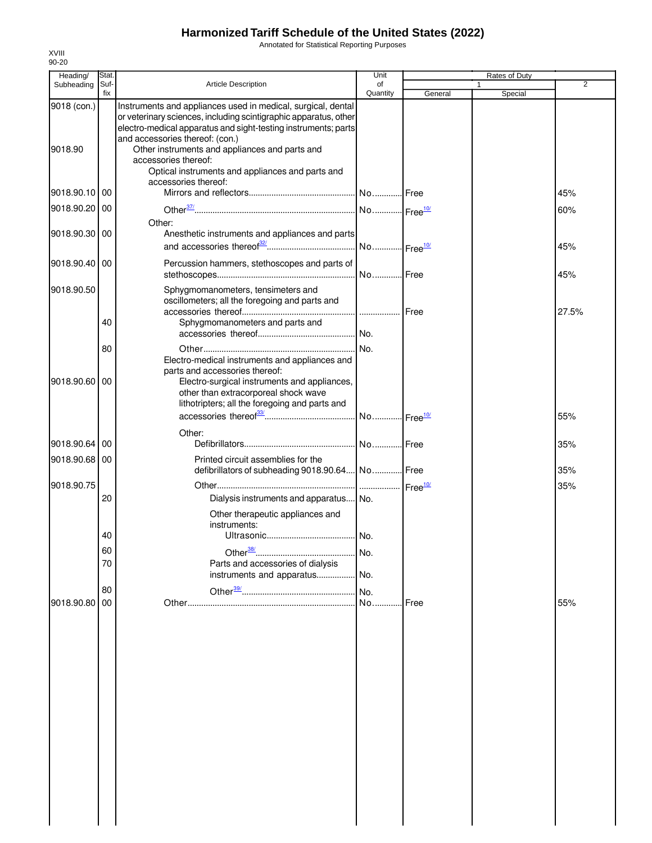Annotated for Statistical Reporting Purposes

| Stat.    |                                                                                                                                                                                                                                                                                         | Unit                                                                              |                                                                                                                                               | Rates of Duty                                                |                |
|----------|-----------------------------------------------------------------------------------------------------------------------------------------------------------------------------------------------------------------------------------------------------------------------------------------|-----------------------------------------------------------------------------------|-----------------------------------------------------------------------------------------------------------------------------------------------|--------------------------------------------------------------|----------------|
| fix      |                                                                                                                                                                                                                                                                                         | Quantity                                                                          | General                                                                                                                                       | Special                                                      | $\overline{2}$ |
|          | Instruments and appliances used in medical, surgical, dental<br>or veterinary sciences, including scintigraphic apparatus, other<br>electro-medical apparatus and sight-testing instruments; parts<br>and accessories thereof: (con.)<br>Other instruments and appliances and parts and |                                                                                   |                                                                                                                                               |                                                              |                |
|          | Optical instruments and appliances and parts and<br>accessories thereof:                                                                                                                                                                                                                |                                                                                   |                                                                                                                                               |                                                              | 45%            |
|          |                                                                                                                                                                                                                                                                                         |                                                                                   |                                                                                                                                               |                                                              | 60%            |
|          | Other:                                                                                                                                                                                                                                                                                  |                                                                                   |                                                                                                                                               |                                                              | 45%            |
|          | Percussion hammers, stethoscopes and parts of                                                                                                                                                                                                                                           |                                                                                   |                                                                                                                                               |                                                              | 45%            |
| 40       | Sphygmomanometers, tensimeters and<br>oscillometers; all the foregoing and parts and<br>Sphygmomanometers and parts and                                                                                                                                                                 |                                                                                   |                                                                                                                                               |                                                              | 27.5%          |
|          |                                                                                                                                                                                                                                                                                         |                                                                                   |                                                                                                                                               |                                                              |                |
|          | Electro-medical instruments and appliances and<br>parts and accessories thereof:<br>Electro-surgical instruments and appliances,<br>other than extracorporeal shock wave<br>lithotripters; all the foregoing and parts and                                                              |                                                                                   |                                                                                                                                               |                                                              | 55%            |
|          | Other:                                                                                                                                                                                                                                                                                  |                                                                                   |                                                                                                                                               |                                                              |                |
|          |                                                                                                                                                                                                                                                                                         |                                                                                   |                                                                                                                                               |                                                              | 35%            |
|          |                                                                                                                                                                                                                                                                                         |                                                                                   |                                                                                                                                               |                                                              | 35%            |
|          |                                                                                                                                                                                                                                                                                         |                                                                                   |                                                                                                                                               |                                                              | 35%            |
|          | Other therapeutic appliances and<br>instruments:                                                                                                                                                                                                                                        |                                                                                   |                                                                                                                                               |                                                              |                |
| 40       |                                                                                                                                                                                                                                                                                         |                                                                                   |                                                                                                                                               |                                                              |                |
| 60<br>70 | Parts and accessories of dialysis                                                                                                                                                                                                                                                       | No.                                                                               |                                                                                                                                               |                                                              |                |
| 80       |                                                                                                                                                                                                                                                                                         |                                                                                   |                                                                                                                                               |                                                              |                |
| 00       |                                                                                                                                                                                                                                                                                         |                                                                                   |                                                                                                                                               |                                                              | 55%            |
|          | Suf-<br>9018 (con.)<br>9018.90.10 00<br>9018.90.20 00<br>9018.90.30 00<br>9018.90.40 00<br>9018.90.50<br>80<br>9018.90.60 00<br>9018.90.64 00<br>9018.90.68 00<br>9018.90.75<br>20<br>9018.90.80                                                                                        | Article Description<br>accessories thereof:<br>Printed circuit assemblies for the | of<br>Anesthetic instruments and appliances and parts<br>Dialysis instruments and apparatus No.<br>instruments and apparatus No.<br>No.<br>No | defibrillators of subheading 9018.90.64 No.  Free<br>.l Free | $\mathbf{1}$   |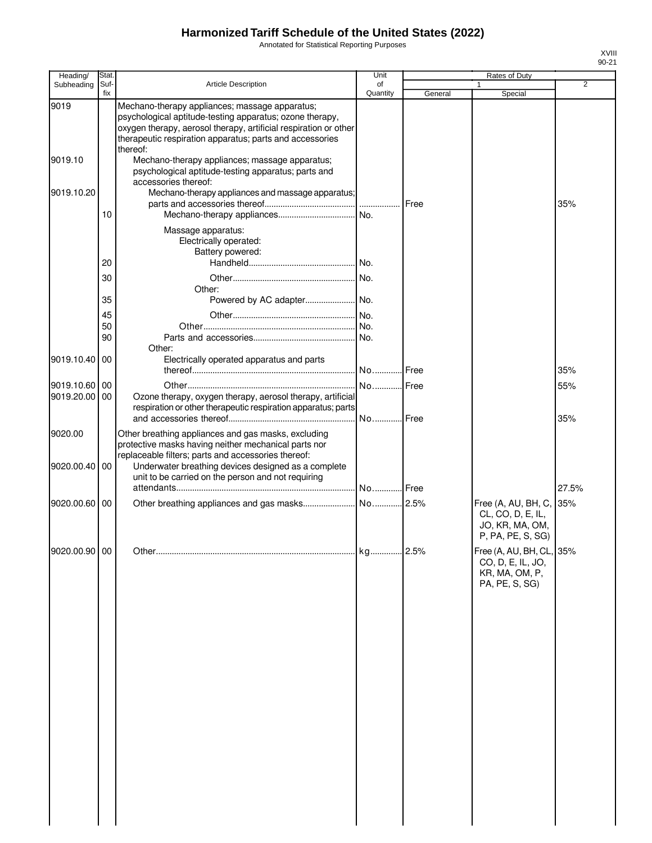Annotated for Statistical Reporting Purposes

| Heading/      | Stat.       |                                                                                                                                                                                | Unit     |         | Rates of Duty                        |       |
|---------------|-------------|--------------------------------------------------------------------------------------------------------------------------------------------------------------------------------|----------|---------|--------------------------------------|-------|
| Subheading    | Suf-<br>fix | Article Description                                                                                                                                                            | of       |         | 1                                    | 2     |
| 9019          |             |                                                                                                                                                                                | Quantity | General | Special                              |       |
|               |             | Mechano-therapy appliances; massage apparatus;<br>psychological aptitude-testing apparatus; ozone therapy,<br>oxygen therapy, aerosol therapy, artificial respiration or other |          |         |                                      |       |
|               |             | therapeutic respiration apparatus; parts and accessories                                                                                                                       |          |         |                                      |       |
| 9019.10       |             | thereof:                                                                                                                                                                       |          |         |                                      |       |
|               |             | Mechano-therapy appliances; massage apparatus;<br>psychological aptitude-testing apparatus; parts and                                                                          |          |         |                                      |       |
|               |             | accessories thereof:                                                                                                                                                           |          |         |                                      |       |
| 9019.10.20    |             | Mechano-therapy appliances and massage apparatus;                                                                                                                              |          |         |                                      |       |
|               |             |                                                                                                                                                                                |          |         |                                      | 35%   |
|               | 10          |                                                                                                                                                                                |          |         |                                      |       |
|               |             | Massage apparatus:                                                                                                                                                             |          |         |                                      |       |
|               |             | Electrically operated:                                                                                                                                                         |          |         |                                      |       |
|               | 20          | Battery powered:                                                                                                                                                               |          |         |                                      |       |
|               |             |                                                                                                                                                                                |          |         |                                      |       |
|               | 30          | Other:                                                                                                                                                                         | No.      |         |                                      |       |
|               | 35          |                                                                                                                                                                                |          |         |                                      |       |
|               | 45          |                                                                                                                                                                                |          |         |                                      |       |
|               | 50          |                                                                                                                                                                                |          |         |                                      |       |
|               | 90          |                                                                                                                                                                                |          |         |                                      |       |
|               |             | Other:                                                                                                                                                                         |          |         |                                      |       |
| 9019.10.40    | 00          | Electrically operated apparatus and parts                                                                                                                                      |          |         |                                      |       |
|               |             |                                                                                                                                                                                | No Free  |         |                                      | 35%   |
| 9019.10.60 00 |             |                                                                                                                                                                                |          |         |                                      | 55%   |
| 9019.20.00    | 00          | Ozone therapy, oxygen therapy, aerosol therapy, artificial                                                                                                                     |          |         |                                      |       |
|               |             | respiration or other therapeutic respiration apparatus; parts                                                                                                                  | No Free  |         |                                      |       |
|               |             |                                                                                                                                                                                |          |         |                                      | 35%   |
| 9020.00       |             | Other breathing appliances and gas masks, excluding<br>protective masks having neither mechanical parts nor                                                                    |          |         |                                      |       |
|               |             | replaceable filters; parts and accessories thereof:                                                                                                                            |          |         |                                      |       |
| 9020.00.40    | 00          | Underwater breathing devices designed as a complete                                                                                                                            |          |         |                                      |       |
|               |             | unit to be carried on the person and not requiring                                                                                                                             |          |         |                                      |       |
|               |             |                                                                                                                                                                                |          |         |                                      | 27.5% |
| 9020.00.60    | 00          |                                                                                                                                                                                |          |         | Free (A, AU, BH, C, 35%              |       |
|               |             |                                                                                                                                                                                |          |         | CL, CO, D, E, IL,                    |       |
|               |             |                                                                                                                                                                                |          |         | JO, KR, MA, OM,<br>P, PA, PE, S, SG) |       |
|               |             |                                                                                                                                                                                |          |         |                                      |       |
| 9020.00.90 00 |             |                                                                                                                                                                                | kg 2.5%  |         | Free (A, AU, BH, CL, 35%             |       |
|               |             |                                                                                                                                                                                |          |         | CO, D, E, IL, JO,<br>KR, MA, OM, P,  |       |
|               |             |                                                                                                                                                                                |          |         | PA, PE, S, SG)                       |       |
|               |             |                                                                                                                                                                                |          |         |                                      |       |
|               |             |                                                                                                                                                                                |          |         |                                      |       |
|               |             |                                                                                                                                                                                |          |         |                                      |       |
|               |             |                                                                                                                                                                                |          |         |                                      |       |
|               |             |                                                                                                                                                                                |          |         |                                      |       |
|               |             |                                                                                                                                                                                |          |         |                                      |       |
|               |             |                                                                                                                                                                                |          |         |                                      |       |
|               |             |                                                                                                                                                                                |          |         |                                      |       |
|               |             |                                                                                                                                                                                |          |         |                                      |       |
|               |             |                                                                                                                                                                                |          |         |                                      |       |
|               |             |                                                                                                                                                                                |          |         |                                      |       |
|               |             |                                                                                                                                                                                |          |         |                                      |       |
|               |             |                                                                                                                                                                                |          |         |                                      |       |
|               |             |                                                                                                                                                                                |          |         |                                      |       |
|               |             |                                                                                                                                                                                |          |         |                                      |       |
|               |             |                                                                                                                                                                                |          |         |                                      |       |
|               |             |                                                                                                                                                                                |          |         |                                      |       |
|               |             |                                                                                                                                                                                |          |         |                                      |       |
|               |             |                                                                                                                                                                                |          |         |                                      |       |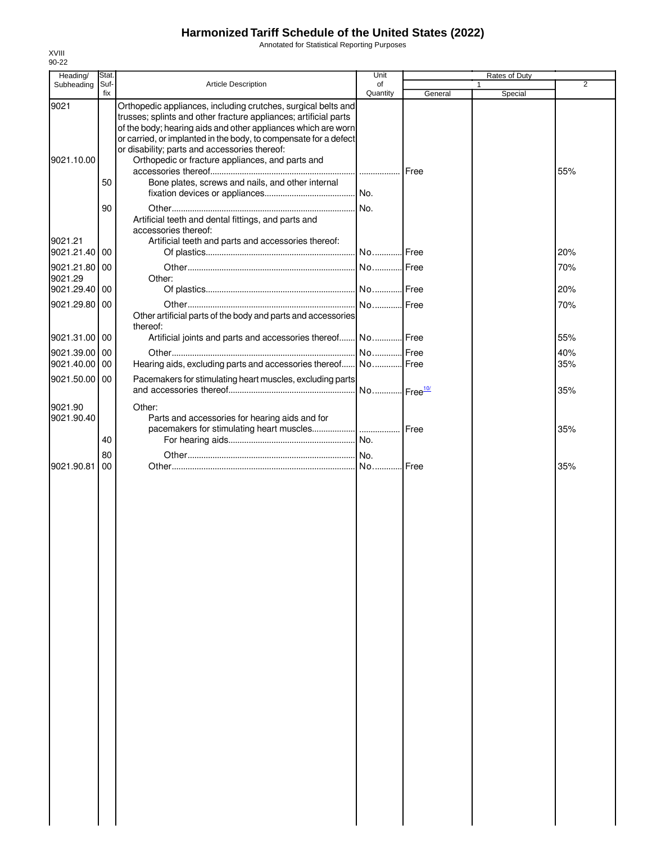Annotated for Statistical Reporting Purposes

| Heading/                            | Stat.       |                                                                                                                                                                                                                                                                                                                                                                             | Unit                   |                          | Rates of Duty |                |
|-------------------------------------|-------------|-----------------------------------------------------------------------------------------------------------------------------------------------------------------------------------------------------------------------------------------------------------------------------------------------------------------------------------------------------------------------------|------------------------|--------------------------|---------------|----------------|
| Subheading                          | Suf-<br>fix | <b>Article Description</b>                                                                                                                                                                                                                                                                                                                                                  | of<br>Quantity         |                          |               | $\overline{2}$ |
| 9021<br>9021.10.00                  |             | Orthopedic appliances, including crutches, surgical belts and<br>trusses; splints and other fracture appliances; artificial parts<br>of the body; hearing aids and other appliances which are worn<br>or carried, or implanted in the body, to compensate for a defect<br>or disability; parts and accessories thereof:<br>Orthopedic or fracture appliances, and parts and |                        | General<br><b>I</b> Free | Special       | 55%            |
|                                     | 50<br>90    | Bone plates, screws and nails, and other internal<br>Artificial teeth and dental fittings, and parts and                                                                                                                                                                                                                                                                    | . No.                  |                          |               |                |
| 9021.21<br>9021.21.40               | 00          | accessories thereof:<br>Artificial teeth and parts and accessories thereof:                                                                                                                                                                                                                                                                                                 | No Free                |                          |               | 20%            |
| 9021.21.80<br>9021.29<br>9021.29.40 | 00<br>00    | Other:                                                                                                                                                                                                                                                                                                                                                                      |                        |                          |               | 70%<br>20%     |
| 9021.29.80 00                       |             | Other artificial parts of the body and parts and accessories<br>thereof:                                                                                                                                                                                                                                                                                                    |                        |                          |               | 70%            |
| 9021.31.00 00<br>9021.39.00 00      |             | Artificial joints and parts and accessories thereof                                                                                                                                                                                                                                                                                                                         | . No.  Free<br>No Free |                          |               | 55%<br>40%     |
| 9021.40.00 00<br>9021.50.00 00      |             | Hearing aids, excluding parts and accessories thereof<br>Pacemakers for stimulating heart muscles, excluding parts                                                                                                                                                                                                                                                          | No Free                |                          |               | 35%            |
| 9021.90                             |             | Other:                                                                                                                                                                                                                                                                                                                                                                      | No Free <sup>10/</sup> |                          |               | 35%            |
| 9021.90.40                          | 40          | Parts and accessories for hearing aids and for                                                                                                                                                                                                                                                                                                                              |                        | Free                     |               | 35%            |
| 9021.90.81                          | 80<br>00    |                                                                                                                                                                                                                                                                                                                                                                             | No                     | Free                     |               | 35%            |
|                                     |             |                                                                                                                                                                                                                                                                                                                                                                             |                        |                          |               |                |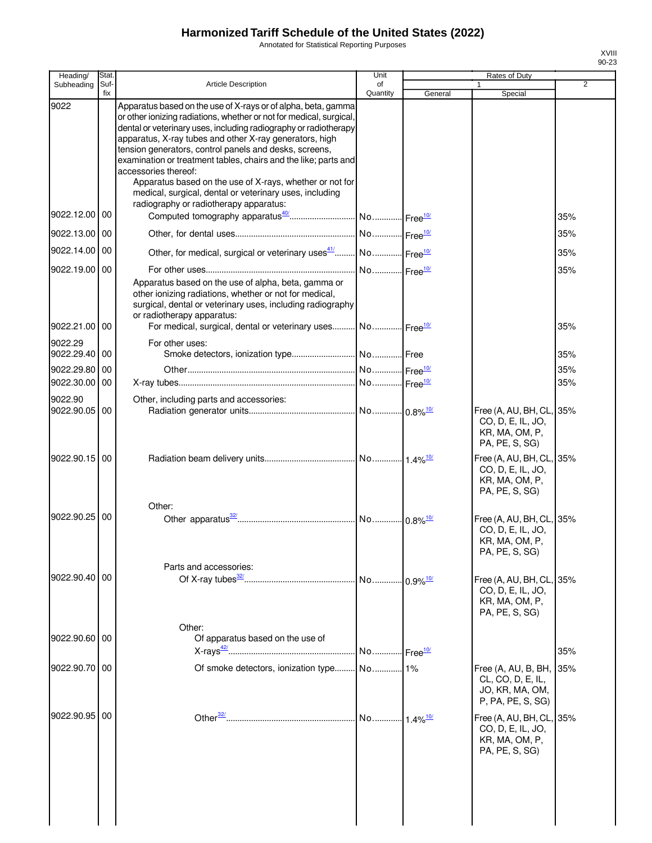Annotated for Statistical Reporting Purposes

| Heading/                               | Stat.       |                                                                                                                                                                                                                                                                                                                                                                                                                                                                                                                                                                                           | Unit           |         | Rates of Duty                                                                                                            |     |
|----------------------------------------|-------------|-------------------------------------------------------------------------------------------------------------------------------------------------------------------------------------------------------------------------------------------------------------------------------------------------------------------------------------------------------------------------------------------------------------------------------------------------------------------------------------------------------------------------------------------------------------------------------------------|----------------|---------|--------------------------------------------------------------------------------------------------------------------------|-----|
| Subheading                             | Suf-<br>fix | <b>Article Description</b>                                                                                                                                                                                                                                                                                                                                                                                                                                                                                                                                                                | of<br>Quantity | General | $\mathbf{1}$<br>Special                                                                                                  | 2   |
| 9022                                   |             | Apparatus based on the use of X-rays or of alpha, beta, gamma<br>or other ionizing radiations, whether or not for medical, surgical,<br>dental or veterinary uses, including radiography or radiotherapy<br>apparatus, X-ray tubes and other X-ray generators, high<br>tension generators, control panels and desks, screens,<br>examination or treatment tables, chairs and the like; parts and<br>accessories thereof:<br>Apparatus based on the use of X-rays, whether or not for<br>medical, surgical, dental or veterinary uses, including<br>radiography or radiotherapy apparatus: |                |         |                                                                                                                          |     |
| 9022.12.00                             | 00          |                                                                                                                                                                                                                                                                                                                                                                                                                                                                                                                                                                                           |                |         |                                                                                                                          | 35% |
| 9022.13.00 00                          |             |                                                                                                                                                                                                                                                                                                                                                                                                                                                                                                                                                                                           |                |         |                                                                                                                          | 35% |
| 9022.14.00                             | 00          | Other, for medical, surgical or veterinary uses <sup>41</sup> No Free <sup>10/</sup>                                                                                                                                                                                                                                                                                                                                                                                                                                                                                                      |                |         |                                                                                                                          | 35% |
| 9022.19.00                             | 00          | Apparatus based on the use of alpha, beta, gamma or<br>other ionizing radiations, whether or not for medical,<br>surgical, dental or veterinary uses, including radiography<br>or radiotherapy apparatus:                                                                                                                                                                                                                                                                                                                                                                                 |                |         |                                                                                                                          | 35% |
| 9022.21.00                             | 00          | For medical, surgical, dental or veterinary uses No Free <sup>10/</sup>                                                                                                                                                                                                                                                                                                                                                                                                                                                                                                                   |                |         |                                                                                                                          | 35% |
| 9022.29<br>9022.29.40                  | 00          | For other uses:                                                                                                                                                                                                                                                                                                                                                                                                                                                                                                                                                                           |                |         |                                                                                                                          | 35% |
| 9022.29.80                             | 00          |                                                                                                                                                                                                                                                                                                                                                                                                                                                                                                                                                                                           |                |         |                                                                                                                          | 35% |
| 9022.30.00<br>9022.90<br>9022.90.05 00 | 00          | Other, including parts and accessories:                                                                                                                                                                                                                                                                                                                                                                                                                                                                                                                                                   |                |         | Free (A, AU, BH, CL, 35%                                                                                                 | 35% |
| 9022.90.15 00                          |             |                                                                                                                                                                                                                                                                                                                                                                                                                                                                                                                                                                                           |                |         | CO, D, E, IL, JO,<br>KR, MA, OM, P,<br>PA, PE, S, SG)<br>Free (A, AU, BH, CL, 35%<br>CO, D, E, IL, JO,<br>KR, MA, OM, P, |     |
| 9022.90.25                             | 00          | Other:                                                                                                                                                                                                                                                                                                                                                                                                                                                                                                                                                                                    |                |         | PA, PE, S, SG)<br>Free (A, AU, BH, CL, 35%<br>CO, D, E, IL, JO,<br>KR, MA, OM, P,<br>PA, PE, S, SG)                      |     |
| 9022.90.40 00                          |             | Parts and accessories:                                                                                                                                                                                                                                                                                                                                                                                                                                                                                                                                                                    |                |         | Free (A, AU, BH, CL,<br>CO, D, E, IL, JO,<br>KR, MA, OM, P,<br>PA, PE, S, SG)                                            | 35% |
| 9022.90.60 00                          |             | Other:<br>Of apparatus based on the use of                                                                                                                                                                                                                                                                                                                                                                                                                                                                                                                                                |                |         |                                                                                                                          | 35% |
| 9022.90.70 00                          |             | Of smoke detectors, ionization type No 1%                                                                                                                                                                                                                                                                                                                                                                                                                                                                                                                                                 |                |         | Free (A, AU, B, BH,<br>CL, CO, D, E, IL,<br>JO, KR, MA, OM,<br>P, PA, PE, S, SG)                                         | 35% |
| 9022.90.95 00                          |             |                                                                                                                                                                                                                                                                                                                                                                                                                                                                                                                                                                                           |                |         | Free (A, AU, BH, CL, 35%<br>CO, D, E, IL, JO,<br>KR, MA, OM, P,<br>PA, PE, S, SG)                                        |     |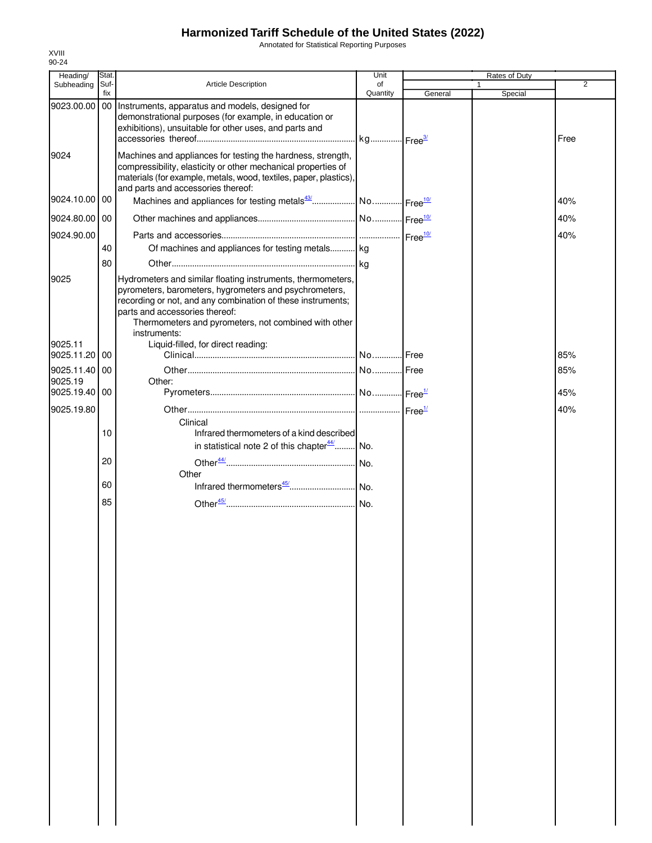Annotated for Statistical Reporting Purposes

| Heading/                 | Stat.       |                                                                                                                                                                                                                                                                                                | Unit           |         | Rates of Duty |                |
|--------------------------|-------------|------------------------------------------------------------------------------------------------------------------------------------------------------------------------------------------------------------------------------------------------------------------------------------------------|----------------|---------|---------------|----------------|
| Subheading               | Suf-<br>fix | <b>Article Description</b>                                                                                                                                                                                                                                                                     | of<br>Quantity | General | Special       | $\overline{2}$ |
| 9023.00.00               |             | 00 Instruments, apparatus and models, designed for<br>demonstrational purposes (for example, in education or<br>exhibitions), unsuitable for other uses, and parts and                                                                                                                         |                |         |               | Free           |
| 9024                     |             | Machines and appliances for testing the hardness, strength,<br>compressibility, elasticity or other mechanical properties of<br>materials (for example, metals, wood, textiles, paper, plastics),<br>and parts and accessories thereof:                                                        |                |         |               |                |
| 9024.10.00 00            |             |                                                                                                                                                                                                                                                                                                |                |         |               | 40%            |
| 9024.80.00 00            |             |                                                                                                                                                                                                                                                                                                |                |         |               | 40%            |
| 9024.90.00               |             |                                                                                                                                                                                                                                                                                                |                |         |               | 40%            |
|                          | 40          | Of machines and appliances for testing metals kg                                                                                                                                                                                                                                               |                |         |               |                |
|                          | 80          |                                                                                                                                                                                                                                                                                                |                |         |               |                |
| 9025                     |             | Hydrometers and similar floating instruments, thermometers,<br>pyrometers, barometers, hygrometers and psychrometers,<br>recording or not, and any combination of these instruments;<br>parts and accessories thereof:<br>Thermometers and pyrometers, not combined with other<br>instruments: |                |         |               |                |
| 9025.11<br>9025.11.20 00 |             | Liquid-filled, for direct reading:                                                                                                                                                                                                                                                             |                |         |               | 85%            |
| 9025.11.40 00            |             |                                                                                                                                                                                                                                                                                                |                |         |               | 85%            |
| 9025.19<br>9025.19.40 00 |             | Other:                                                                                                                                                                                                                                                                                         |                |         |               | 45%            |
|                          |             |                                                                                                                                                                                                                                                                                                |                |         |               |                |
| 9025.19.80               |             | Clinical                                                                                                                                                                                                                                                                                       |                |         |               | 40%            |
|                          | 10          | Infrared thermometers of a kind described<br>in statistical note 2 of this chapter $44$ No.                                                                                                                                                                                                    |                |         |               |                |
|                          | 20          | Other                                                                                                                                                                                                                                                                                          | No.            |         |               |                |
|                          | 60          |                                                                                                                                                                                                                                                                                                |                |         |               |                |
|                          | 85          |                                                                                                                                                                                                                                                                                                |                |         |               |                |
|                          |             |                                                                                                                                                                                                                                                                                                |                |         |               |                |
|                          |             |                                                                                                                                                                                                                                                                                                |                |         |               |                |
|                          |             |                                                                                                                                                                                                                                                                                                |                |         |               |                |
|                          |             |                                                                                                                                                                                                                                                                                                |                |         |               |                |
|                          |             |                                                                                                                                                                                                                                                                                                |                |         |               |                |
|                          |             |                                                                                                                                                                                                                                                                                                |                |         |               |                |
|                          |             |                                                                                                                                                                                                                                                                                                |                |         |               |                |
|                          |             |                                                                                                                                                                                                                                                                                                |                |         |               |                |
|                          |             |                                                                                                                                                                                                                                                                                                |                |         |               |                |
|                          |             |                                                                                                                                                                                                                                                                                                |                |         |               |                |
|                          |             |                                                                                                                                                                                                                                                                                                |                |         |               |                |
|                          |             |                                                                                                                                                                                                                                                                                                |                |         |               |                |
|                          |             |                                                                                                                                                                                                                                                                                                |                |         |               |                |
|                          |             |                                                                                                                                                                                                                                                                                                |                |         |               |                |
|                          |             |                                                                                                                                                                                                                                                                                                |                |         |               |                |
|                          |             |                                                                                                                                                                                                                                                                                                |                |         |               |                |
|                          |             |                                                                                                                                                                                                                                                                                                |                |         |               |                |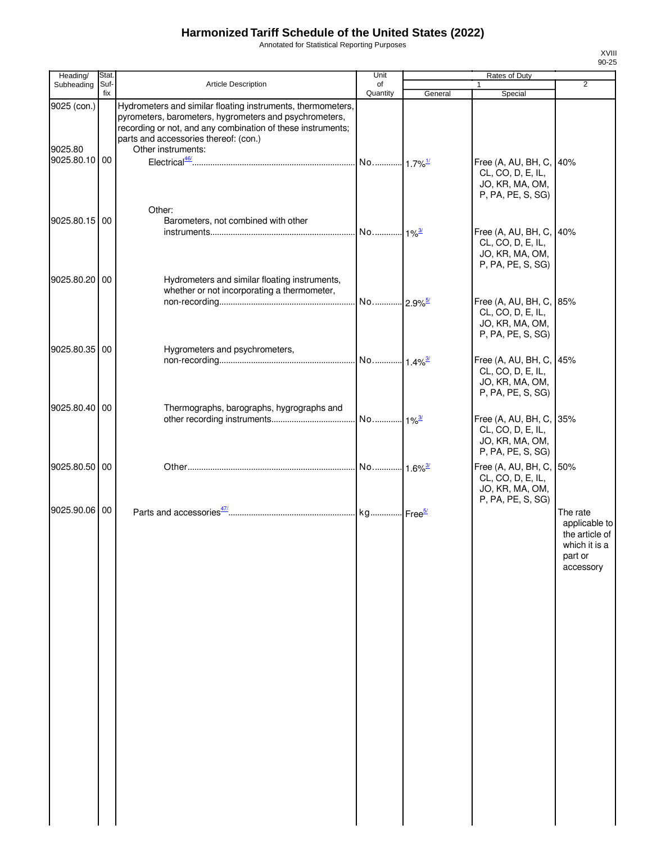Annotated for Statistical Reporting Purposes

| Heading/                 | <b>Stat</b> |                                                                                                                                                                                      | Unit                  |         | Rates of Duty                                                                        |                                                                                      |
|--------------------------|-------------|--------------------------------------------------------------------------------------------------------------------------------------------------------------------------------------|-----------------------|---------|--------------------------------------------------------------------------------------|--------------------------------------------------------------------------------------|
| Subheading               | Suf-        | Article Description                                                                                                                                                                  | of                    |         | 1                                                                                    | $\overline{2}$                                                                       |
| 9025 (con.)              | fix         | Hydrometers and similar floating instruments, thermometers,<br>pyrometers, barometers, hygrometers and psychrometers,<br>recording or not, and any combination of these instruments; | Quantity              | General | Special                                                                              |                                                                                      |
| 9025.80<br>9025.80.10 00 |             | parts and accessories thereof: (con.)<br>Other instruments:                                                                                                                          |                       |         | Free (A, AU, BH, C,<br>CL, CO, D, E, IL,<br>JO, KR, MA, OM,<br>P, PA, PE, S, SG)     | 40%                                                                                  |
| 9025.80.15 00            |             | Other:<br>Barometers, not combined with other                                                                                                                                        |                       |         | Free (A, AU, BH, C, 40%<br>CL, CO, D, E, IL,<br>JO, KR, MA, OM,<br>P, PA, PE, S, SG) |                                                                                      |
| 9025.80.20               | 00          | Hydrometers and similar floating instruments,<br>whether or not incorporating a thermometer,                                                                                         | No 2.9% <sup>5/</sup> |         | Free (A, AU, BH, C, 85%<br>CL, CO, D, E, IL,<br>JO, KR, MA, OM,<br>P, PA, PE, S, SG) |                                                                                      |
| 9025.80.35 00            |             | Hygrometers and psychrometers,                                                                                                                                                       |                       |         | Free (A, AU, BH, C, 45%<br>CL, CO, D, E, IL,<br>JO, KR, MA, OM,<br>P, PA, PE, S, SG) |                                                                                      |
| 9025.80.40               | 00          | Thermographs, barographs, hygrographs and                                                                                                                                            |                       |         | Free (A, AU, BH, C, 35%<br>CL, CO, D, E, IL,<br>JO, KR, MA, OM,<br>P, PA, PE, S, SG) |                                                                                      |
| 9025.80.50 00            |             |                                                                                                                                                                                      |                       |         | Free (A, AU, BH, C, 50%<br>CL, CO, D, E, IL,<br>JO, KR, MA, OM,<br>P, PA, PE, S, SG) |                                                                                      |
| 9025.90.06               | 00          |                                                                                                                                                                                      |                       |         |                                                                                      | The rate<br>applicable to<br>the article of<br>which it is a<br>part or<br>accessory |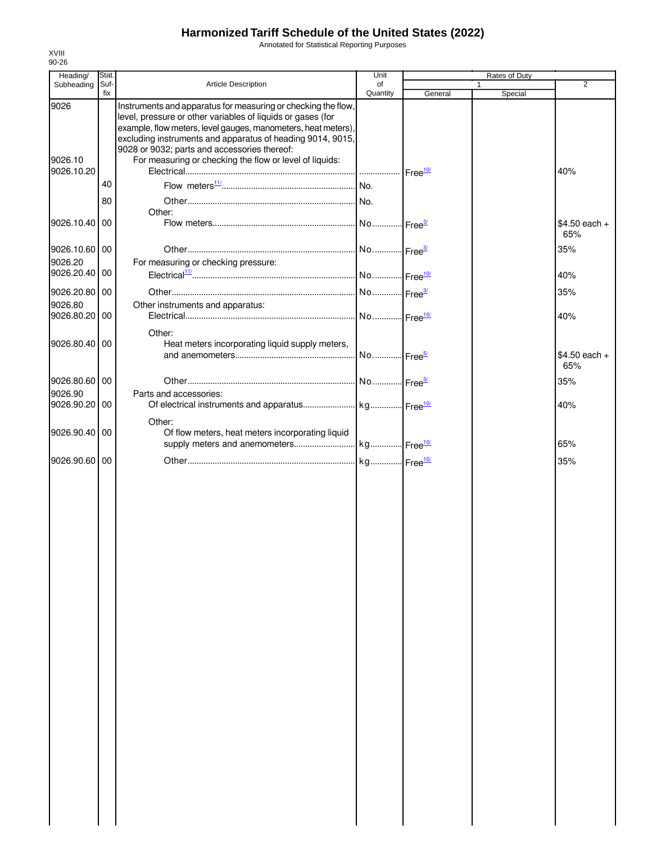Annotated for Statistical Reporting Purposes

| Heading/                 | Stat. |                                                               | Unit     |         | Rates of Duty |                       |
|--------------------------|-------|---------------------------------------------------------------|----------|---------|---------------|-----------------------|
| Subheading               | Suf-  | Article Description                                           | of       |         |               | 2                     |
| 9026                     | fix   | Instruments and apparatus for measuring or checking the flow, | Quantity | General | Special       |                       |
|                          |       | level, pressure or other variables of liquids or gases (for   |          |         |               |                       |
|                          |       | example, flow meters, level gauges, manometers, heat meters), |          |         |               |                       |
|                          |       | excluding instruments and apparatus of heading 9014, 9015,    |          |         |               |                       |
|                          |       | 9028 or 9032; parts and accessories thereof:                  |          |         |               |                       |
| 9026.10                  |       | For measuring or checking the flow or level of liquids:       |          |         |               |                       |
| 9026.10.20               |       |                                                               |          |         |               | 40%                   |
|                          | 40    |                                                               |          |         |               |                       |
|                          | 80    |                                                               |          |         |               |                       |
|                          |       | Other:                                                        |          |         |               |                       |
| 9026.10.40               | 00    |                                                               |          |         |               | $$4.50$ each +<br>65% |
| 9026.10.60 00            |       |                                                               |          |         |               | 35%                   |
|                          |       | For measuring or checking pressure:                           |          |         |               |                       |
| 9026.20<br>9026.20.40 00 |       |                                                               |          |         |               |                       |
|                          |       |                                                               |          |         |               | 40%                   |
| 9026.20.80 00            |       |                                                               |          |         |               | 35%                   |
| 9026.80                  |       | Other instruments and apparatus:                              |          |         |               |                       |
| 9026.80.20 00            |       |                                                               |          |         |               | 40%                   |
|                          |       |                                                               |          |         |               |                       |
|                          |       | Other:                                                        |          |         |               |                       |
| 9026.80.40 00            |       | Heat meters incorporating liquid supply meters,               |          |         |               |                       |
|                          |       |                                                               |          |         |               | $$4.50$ each +<br>65% |
|                          |       |                                                               |          |         |               |                       |
| 9026.80.60 00            |       |                                                               |          |         |               | 35%                   |
| 9026.90                  |       | Parts and accessories:                                        |          |         |               |                       |
| 9026.90.20 00            |       |                                                               |          |         |               | 40%                   |
|                          |       | Other:                                                        |          |         |               |                       |
| 9026.90.40 00            |       | Of flow meters, heat meters incorporating liquid              |          |         |               |                       |
|                          |       |                                                               |          |         |               | 65%                   |
|                          |       |                                                               |          |         |               |                       |
| 9026.90.60 00            |       |                                                               |          |         |               | 35%                   |
|                          |       |                                                               |          |         |               |                       |
|                          |       |                                                               |          |         |               |                       |
|                          |       |                                                               |          |         |               |                       |
|                          |       |                                                               |          |         |               |                       |
|                          |       |                                                               |          |         |               |                       |
|                          |       |                                                               |          |         |               |                       |
|                          |       |                                                               |          |         |               |                       |
|                          |       |                                                               |          |         |               |                       |
|                          |       |                                                               |          |         |               |                       |
|                          |       |                                                               |          |         |               |                       |
|                          |       |                                                               |          |         |               |                       |
|                          |       |                                                               |          |         |               |                       |
|                          |       |                                                               |          |         |               |                       |
|                          |       |                                                               |          |         |               |                       |
|                          |       |                                                               |          |         |               |                       |
|                          |       |                                                               |          |         |               |                       |
|                          |       |                                                               |          |         |               |                       |
|                          |       |                                                               |          |         |               |                       |
|                          |       |                                                               |          |         |               |                       |
|                          |       |                                                               |          |         |               |                       |
|                          |       |                                                               |          |         |               |                       |
|                          |       |                                                               |          |         |               |                       |
|                          |       |                                                               |          |         |               |                       |
|                          |       |                                                               |          |         |               |                       |
|                          |       |                                                               |          |         |               |                       |
|                          |       |                                                               |          |         |               |                       |
|                          |       |                                                               |          |         |               |                       |
|                          |       |                                                               |          |         |               |                       |
|                          |       |                                                               |          |         |               |                       |
|                          |       |                                                               |          |         |               |                       |
|                          |       |                                                               |          |         |               |                       |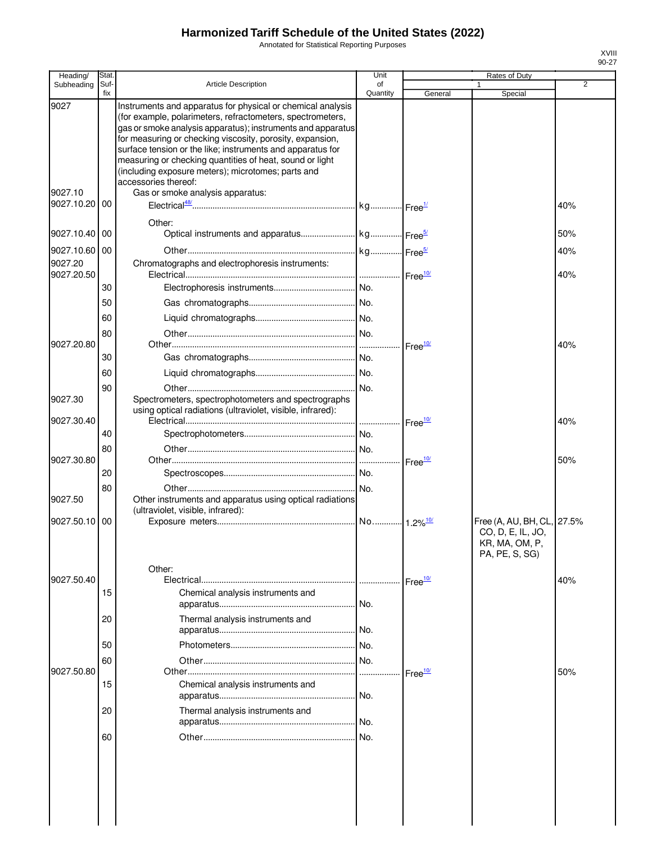Annotated for Statistical Reporting Purposes

| Heading/              | Stat.       |                                                                                                                                                                                                                                                                                                                                                                                                                                                               | Unit           |                     | Rates of Duty                                                                       |     |
|-----------------------|-------------|---------------------------------------------------------------------------------------------------------------------------------------------------------------------------------------------------------------------------------------------------------------------------------------------------------------------------------------------------------------------------------------------------------------------------------------------------------------|----------------|---------------------|-------------------------------------------------------------------------------------|-----|
| Subheading            | Suf-<br>fix | <b>Article Description</b>                                                                                                                                                                                                                                                                                                                                                                                                                                    | οf<br>Quantity | General             | 1<br>Special                                                                        | 2   |
| 9027                  |             | Instruments and apparatus for physical or chemical analysis<br>(for example, polarimeters, refractometers, spectrometers,<br>gas or smoke analysis apparatus); instruments and apparatus<br>for measuring or checking viscosity, porosity, expansion,<br>surface tension or the like; instruments and apparatus for<br>measuring or checking quantities of heat, sound or light<br>(including exposure meters); microtomes; parts and<br>accessories thereof: |                |                     |                                                                                     |     |
| 9027.10<br>9027.10.20 | 00          | Gas or smoke analysis apparatus:                                                                                                                                                                                                                                                                                                                                                                                                                              |                |                     |                                                                                     | 40% |
| 9027.10.40            | 00          | Other:                                                                                                                                                                                                                                                                                                                                                                                                                                                        |                |                     |                                                                                     | 50% |
| 9027.10.60            | 00          |                                                                                                                                                                                                                                                                                                                                                                                                                                                               |                |                     |                                                                                     | 40% |
| 9027.20<br>9027.20.50 |             | Chromatographs and electrophoresis instruments:                                                                                                                                                                                                                                                                                                                                                                                                               |                |                     |                                                                                     | 40% |
|                       | 30          |                                                                                                                                                                                                                                                                                                                                                                                                                                                               |                |                     |                                                                                     |     |
|                       | 50          |                                                                                                                                                                                                                                                                                                                                                                                                                                                               |                |                     |                                                                                     |     |
|                       | 60          |                                                                                                                                                                                                                                                                                                                                                                                                                                                               |                |                     |                                                                                     |     |
| 9027.20.80            | 80          |                                                                                                                                                                                                                                                                                                                                                                                                                                                               |                | Free $\frac{10}{2}$ |                                                                                     | 40% |
|                       | 30          |                                                                                                                                                                                                                                                                                                                                                                                                                                                               |                |                     |                                                                                     |     |
|                       | 60          |                                                                                                                                                                                                                                                                                                                                                                                                                                                               |                |                     |                                                                                     |     |
| 9027.30               | 90          | Spectrometers, spectrophotometers and spectrographs<br>using optical radiations (ultraviolet, visible, infrared):                                                                                                                                                                                                                                                                                                                                             |                |                     |                                                                                     |     |
| 9027.30.40            |             |                                                                                                                                                                                                                                                                                                                                                                                                                                                               |                | Free <sup>10</sup>  |                                                                                     | 40% |
|                       | 40          |                                                                                                                                                                                                                                                                                                                                                                                                                                                               |                |                     |                                                                                     |     |
|                       | 80          |                                                                                                                                                                                                                                                                                                                                                                                                                                                               |                |                     |                                                                                     |     |
| 9027.30.80            |             |                                                                                                                                                                                                                                                                                                                                                                                                                                                               |                |                     |                                                                                     | 50% |
|                       | 20          |                                                                                                                                                                                                                                                                                                                                                                                                                                                               |                |                     |                                                                                     |     |
| 9027.50               | 80          | Other instruments and apparatus using optical radiations<br>(ultraviolet, visible, infrared):                                                                                                                                                                                                                                                                                                                                                                 |                |                     |                                                                                     |     |
| 9027.50.10 00         |             |                                                                                                                                                                                                                                                                                                                                                                                                                                                               |                |                     | Free (A, AU, BH, CL, 27.5%<br>CO, D, E, IL, JO,<br>KR. MA. OM. P.<br>PA, PE, S, SG) |     |
|                       |             | Other:                                                                                                                                                                                                                                                                                                                                                                                                                                                        |                |                     |                                                                                     |     |
| 9027.50.40            | 15          | Chemical analysis instruments and                                                                                                                                                                                                                                                                                                                                                                                                                             | .              | Free <sup>10/</sup> |                                                                                     | 40% |
|                       |             |                                                                                                                                                                                                                                                                                                                                                                                                                                                               |                |                     |                                                                                     |     |
|                       | 20          | Thermal analysis instruments and                                                                                                                                                                                                                                                                                                                                                                                                                              |                |                     |                                                                                     |     |
|                       | 50          |                                                                                                                                                                                                                                                                                                                                                                                                                                                               |                |                     |                                                                                     |     |
| 9027.50.80            | 60          |                                                                                                                                                                                                                                                                                                                                                                                                                                                               |                | Free $\frac{10}{2}$ |                                                                                     | 50% |
|                       | 15          | Chemical analysis instruments and                                                                                                                                                                                                                                                                                                                                                                                                                             |                |                     |                                                                                     |     |
|                       | 20          | Thermal analysis instruments and                                                                                                                                                                                                                                                                                                                                                                                                                              |                |                     |                                                                                     |     |
|                       | 60          |                                                                                                                                                                                                                                                                                                                                                                                                                                                               |                |                     |                                                                                     |     |
|                       |             |                                                                                                                                                                                                                                                                                                                                                                                                                                                               |                |                     |                                                                                     |     |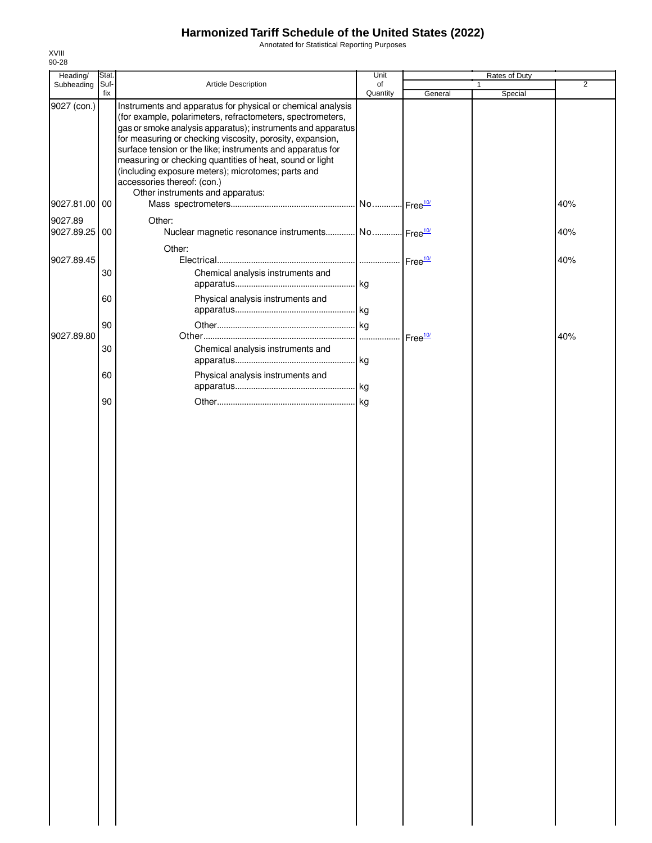Annotated for Statistical Reporting Purposes

| Heading/      | Stat.       |                                                                                                                                                                                                                                                                                                                                                                                                                                                                                                          | Unit           |                    | Rates of Duty |                |
|---------------|-------------|----------------------------------------------------------------------------------------------------------------------------------------------------------------------------------------------------------------------------------------------------------------------------------------------------------------------------------------------------------------------------------------------------------------------------------------------------------------------------------------------------------|----------------|--------------------|---------------|----------------|
| Subheading    | Suf-<br>fix | Article Description                                                                                                                                                                                                                                                                                                                                                                                                                                                                                      | of<br>Quantity |                    |               | $\overline{2}$ |
| 9027 (con.)   |             | Instruments and apparatus for physical or chemical analysis<br>(for example, polarimeters, refractometers, spectrometers,<br>gas or smoke analysis apparatus); instruments and apparatus<br>for measuring or checking viscosity, porosity, expansion,<br>surface tension or the like; instruments and apparatus for<br>measuring or checking quantities of heat, sound or light<br>(including exposure meters); microtomes; parts and<br>accessories thereof: (con.)<br>Other instruments and apparatus: |                | General            | Special       |                |
| 9027.81.00 00 |             |                                                                                                                                                                                                                                                                                                                                                                                                                                                                                                          |                |                    |               | 40%            |
| 9027.89       |             | Other:                                                                                                                                                                                                                                                                                                                                                                                                                                                                                                   |                |                    |               |                |
| 9027.89.25 00 |             | Nuclear magnetic resonance instruments No Free <sup>10/</sup>                                                                                                                                                                                                                                                                                                                                                                                                                                            |                |                    |               | 40%            |
|               |             | Other:                                                                                                                                                                                                                                                                                                                                                                                                                                                                                                   |                |                    |               |                |
| 9027.89.45    |             |                                                                                                                                                                                                                                                                                                                                                                                                                                                                                                          |                |                    |               | 40%            |
|               | 30          | Chemical analysis instruments and                                                                                                                                                                                                                                                                                                                                                                                                                                                                        |                |                    |               |                |
|               | 60          | Physical analysis instruments and                                                                                                                                                                                                                                                                                                                                                                                                                                                                        |                |                    |               |                |
|               |             |                                                                                                                                                                                                                                                                                                                                                                                                                                                                                                          |                |                    |               |                |
|               | 90          |                                                                                                                                                                                                                                                                                                                                                                                                                                                                                                          | .lkg           |                    |               |                |
| 9027.89.80    |             |                                                                                                                                                                                                                                                                                                                                                                                                                                                                                                          |                | Free <sup>10</sup> |               | 40%            |
|               | 30          | Chemical analysis instruments and                                                                                                                                                                                                                                                                                                                                                                                                                                                                        |                |                    |               |                |
|               |             |                                                                                                                                                                                                                                                                                                                                                                                                                                                                                                          |                |                    |               |                |
|               | 60          | Physical analysis instruments and                                                                                                                                                                                                                                                                                                                                                                                                                                                                        |                |                    |               |                |
|               | 90          |                                                                                                                                                                                                                                                                                                                                                                                                                                                                                                          |                |                    |               |                |
|               |             |                                                                                                                                                                                                                                                                                                                                                                                                                                                                                                          |                |                    |               |                |
|               |             |                                                                                                                                                                                                                                                                                                                                                                                                                                                                                                          |                |                    |               |                |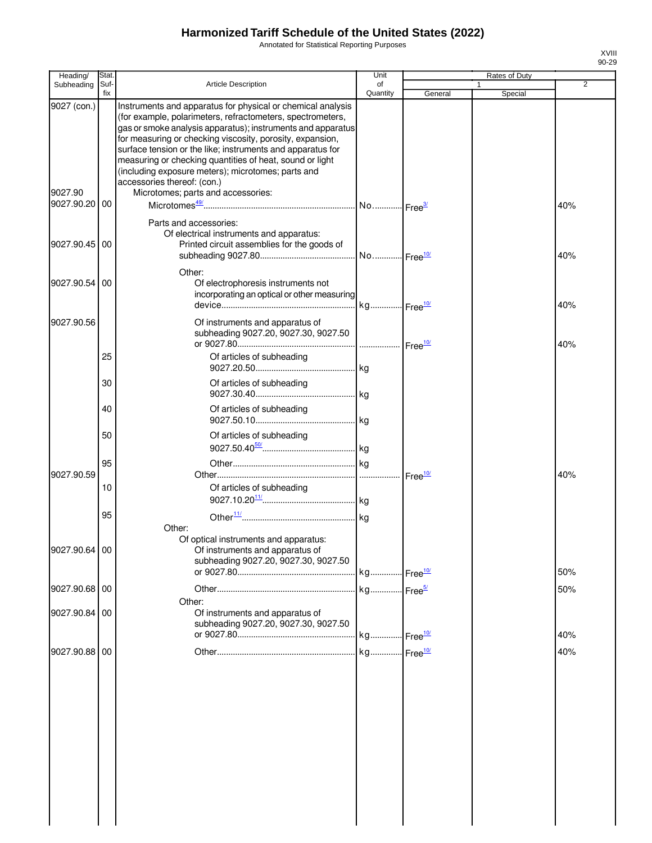Annotated for Statistical Reporting Purposes

| Heading/                       | Stat.       |                                                                                                                                                                                                                                                                                                                                                                                                                                                                      | Unit                     |                    | Rates of Duty |     |
|--------------------------------|-------------|----------------------------------------------------------------------------------------------------------------------------------------------------------------------------------------------------------------------------------------------------------------------------------------------------------------------------------------------------------------------------------------------------------------------------------------------------------------------|--------------------------|--------------------|---------------|-----|
| Subheading                     | Suf-<br>fix | <b>Article Description</b>                                                                                                                                                                                                                                                                                                                                                                                                                                           | of<br>Quantity           | General            | 1<br>Special  | 2   |
| 9027 (con.)                    |             | Instruments and apparatus for physical or chemical analysis<br>(for example, polarimeters, refractometers, spectrometers,<br>gas or smoke analysis apparatus); instruments and apparatus<br>for measuring or checking viscosity, porosity, expansion,<br>surface tension or the like; instruments and apparatus for<br>measuring or checking quantities of heat, sound or light<br>(including exposure meters); microtomes; parts and<br>accessories thereof: (con.) |                          |                    |               |     |
| 9027.90                        |             | Microtomes; parts and accessories:                                                                                                                                                                                                                                                                                                                                                                                                                                   |                          |                    |               |     |
| 9027.90.20 00<br>9027.90.45 00 |             | Parts and accessories:<br>Of electrical instruments and apparatus:<br>Printed circuit assemblies for the goods of                                                                                                                                                                                                                                                                                                                                                    |                          |                    |               | 40% |
|                                |             |                                                                                                                                                                                                                                                                                                                                                                                                                                                                      |                          |                    |               | 40% |
| 9027.90.54 00                  |             | Other:<br>Of electrophoresis instruments not<br>incorporating an optical or other measuring                                                                                                                                                                                                                                                                                                                                                                          | . kg Free <sup>10/</sup> |                    |               | 40% |
| 9027.90.56                     |             | Of instruments and apparatus of<br>subheading 9027.20, 9027.30, 9027.50                                                                                                                                                                                                                                                                                                                                                                                              |                          |                    |               | 40% |
|                                | 25          | Of articles of subheading                                                                                                                                                                                                                                                                                                                                                                                                                                            |                          |                    |               |     |
|                                | 30          | Of articles of subheading                                                                                                                                                                                                                                                                                                                                                                                                                                            |                          |                    |               |     |
|                                | 40          | Of articles of subheading                                                                                                                                                                                                                                                                                                                                                                                                                                            |                          |                    |               |     |
|                                | 50          | Of articles of subheading                                                                                                                                                                                                                                                                                                                                                                                                                                            |                          |                    |               |     |
|                                | 95          |                                                                                                                                                                                                                                                                                                                                                                                                                                                                      |                          |                    |               |     |
| 9027.90.59                     | 10          | Of articles of subheading                                                                                                                                                                                                                                                                                                                                                                                                                                            |                          | Free <sup>10</sup> |               | 40% |
|                                | 95          | Other:                                                                                                                                                                                                                                                                                                                                                                                                                                                               |                          |                    |               |     |
| 9027.90.64 00                  |             | Of optical instruments and apparatus:<br>Of instruments and apparatus of<br>subheading 9027.20, 9027.30, 9027.50                                                                                                                                                                                                                                                                                                                                                     |                          |                    |               | 50% |
| 9027.90.68 00                  |             |                                                                                                                                                                                                                                                                                                                                                                                                                                                                      |                          |                    |               | 50% |
| 9027.90.84 00                  |             | Other:<br>Of instruments and apparatus of<br>subheading 9027.20, 9027.30, 9027.50                                                                                                                                                                                                                                                                                                                                                                                    |                          |                    |               | 40% |
| 9027.90.88 00                  |             |                                                                                                                                                                                                                                                                                                                                                                                                                                                                      |                          |                    |               | 40% |
|                                |             |                                                                                                                                                                                                                                                                                                                                                                                                                                                                      |                          |                    |               |     |

XVIII 90-29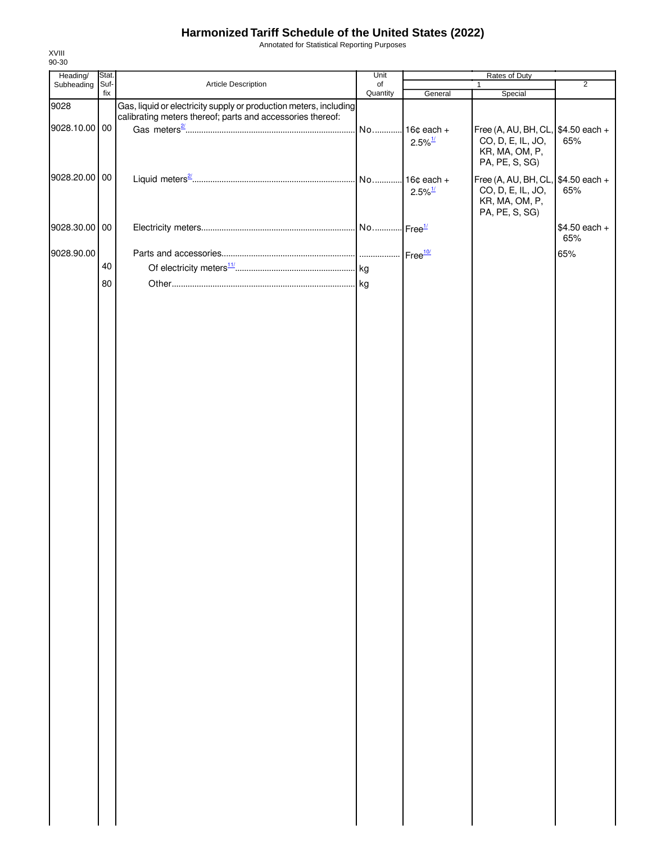Annotated for Statistical Reporting Purposes

| Heading/        | Stat. |                                                                   | Unit           |                       | Rates of Duty                             |                      |
|-----------------|-------|-------------------------------------------------------------------|----------------|-----------------------|-------------------------------------------|----------------------|
| Subheading Suf- | fix   | Article Description                                               | of<br>Quantity | General               | $\mathbf{1}$<br>Special                   | $\overline{2}$       |
| 9028            |       | Gas, liquid or electricity supply or production meters, including |                |                       |                                           |                      |
|                 |       | calibrating meters thereof; parts and accessories thereof:        |                |                       |                                           |                      |
| 9028.10.00 00   |       |                                                                   |                | $16¢$ each $+$        | Free (A, AU, BH, CL, \$4.50 each +        |                      |
|                 |       |                                                                   |                | $2.5\%$ <sup>1/</sup> | CO, D, E, IL, JO,                         | 65%                  |
|                 |       |                                                                   |                |                       | KR, MA, OM, P,                            |                      |
|                 |       |                                                                   |                |                       | PA, PE, S, SG)                            |                      |
| 9028.20.00 00   |       |                                                                   |                | $16¢$ each +          | Free (A, AU, BH, CL,<br>CO, D, E, IL, JO, | \$4.50 each +<br>65% |
|                 |       |                                                                   |                | $2.5\%$ <sup>1/</sup> | KR, MA, OM, P,                            |                      |
|                 |       |                                                                   |                |                       | PA, PE, S, SG)                            |                      |
| 9028.30.00 00   |       |                                                                   |                |                       |                                           | \$4.50 each +        |
|                 |       |                                                                   |                |                       |                                           | 65%                  |
| 9028.90.00      |       |                                                                   |                |                       |                                           | 65%                  |
|                 | 40    |                                                                   |                |                       |                                           |                      |
|                 | 80    |                                                                   |                |                       |                                           |                      |
|                 |       |                                                                   |                |                       |                                           |                      |
|                 |       |                                                                   |                |                       |                                           |                      |
|                 |       |                                                                   |                |                       |                                           |                      |
|                 |       |                                                                   |                |                       |                                           |                      |
|                 |       |                                                                   |                |                       |                                           |                      |
|                 |       |                                                                   |                |                       |                                           |                      |
|                 |       |                                                                   |                |                       |                                           |                      |
|                 |       |                                                                   |                |                       |                                           |                      |
|                 |       |                                                                   |                |                       |                                           |                      |
|                 |       |                                                                   |                |                       |                                           |                      |
|                 |       |                                                                   |                |                       |                                           |                      |
|                 |       |                                                                   |                |                       |                                           |                      |
|                 |       |                                                                   |                |                       |                                           |                      |
|                 |       |                                                                   |                |                       |                                           |                      |
|                 |       |                                                                   |                |                       |                                           |                      |
|                 |       |                                                                   |                |                       |                                           |                      |
|                 |       |                                                                   |                |                       |                                           |                      |
|                 |       |                                                                   |                |                       |                                           |                      |
|                 |       |                                                                   |                |                       |                                           |                      |
|                 |       |                                                                   |                |                       |                                           |                      |
|                 |       |                                                                   |                |                       |                                           |                      |
|                 |       |                                                                   |                |                       |                                           |                      |
|                 |       |                                                                   |                |                       |                                           |                      |
|                 |       |                                                                   |                |                       |                                           |                      |
|                 |       |                                                                   |                |                       |                                           |                      |
|                 |       |                                                                   |                |                       |                                           |                      |
|                 |       |                                                                   |                |                       |                                           |                      |
|                 |       |                                                                   |                |                       |                                           |                      |
|                 |       |                                                                   |                |                       |                                           |                      |
|                 |       |                                                                   |                |                       |                                           |                      |
|                 |       |                                                                   |                |                       |                                           |                      |
|                 |       |                                                                   |                |                       |                                           |                      |
|                 |       |                                                                   |                |                       |                                           |                      |
|                 |       |                                                                   |                |                       |                                           |                      |
|                 |       |                                                                   |                |                       |                                           |                      |
|                 |       |                                                                   |                |                       |                                           |                      |
|                 |       |                                                                   |                |                       |                                           |                      |
|                 |       |                                                                   |                |                       |                                           |                      |
|                 |       |                                                                   |                |                       |                                           |                      |
|                 |       |                                                                   |                |                       |                                           |                      |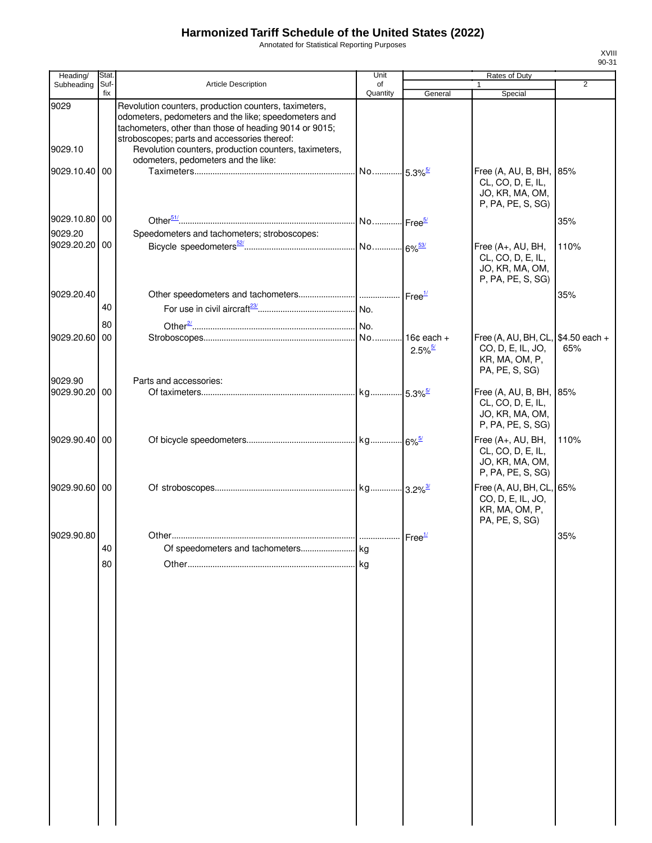Annotated for Statistical Reporting Purposes

| Heading/      | Stat.       |                                                                                                                                                                         | Unit           |                       | Rates of Duty                                                                        |                |
|---------------|-------------|-------------------------------------------------------------------------------------------------------------------------------------------------------------------------|----------------|-----------------------|--------------------------------------------------------------------------------------|----------------|
| Subheading    | Suf-<br>fix | <b>Article Description</b>                                                                                                                                              | of<br>Quantity | General               | 1                                                                                    | $\overline{2}$ |
| 9029          |             | Revolution counters, production counters, taximeters,<br>odometers, pedometers and the like; speedometers and<br>tachometers, other than those of heading 9014 or 9015; |                |                       | Special                                                                              |                |
| 9029.10       |             | stroboscopes; parts and accessories thereof:<br>Revolution counters, production counters, taximeters,<br>odometers, pedometers and the like:                            |                |                       |                                                                                      |                |
| 9029.10.40 00 |             |                                                                                                                                                                         |                |                       | Free (A, AU, B, BH, 85%<br>CL, CO, D, E, IL,<br>JO, KR, MA, OM,<br>P, PA, PE, S, SG) |                |
| 9029.10.80 00 |             |                                                                                                                                                                         |                |                       |                                                                                      | 35%            |
| 9029.20       |             | Speedometers and tachometers; stroboscopes:                                                                                                                             |                |                       |                                                                                      |                |
| 9029.20.20 00 |             |                                                                                                                                                                         |                |                       | Free (A+, AU, BH,<br>CL, CO, D, E, IL,<br>JO, KR, MA, OM,<br>P, PA, PE, S, SG)       | 110%           |
| 9029.20.40    |             |                                                                                                                                                                         |                | Free <sup>1/</sup>    |                                                                                      | 35%            |
|               | 40          |                                                                                                                                                                         |                |                       |                                                                                      |                |
|               | 80          |                                                                                                                                                                         |                |                       |                                                                                      |                |
| 9029.20.60 00 |             |                                                                                                                                                                         |                |                       | Free (A, AU, BH, CL, $\frac{1}{3}4.50$ each +                                        |                |
| 9029.90       |             | Parts and accessories:                                                                                                                                                  |                | $2.5\%$ <sup>5/</sup> | CO, D, E, IL, JO,<br>KR, MA, OM, P,<br>PA, PE, S, SG)                                | 65%            |
| 9029.90.20 00 |             |                                                                                                                                                                         |                |                       | Free (A, AU, B, BH,                                                                  | 85%            |
|               |             |                                                                                                                                                                         |                |                       | CL, CO, D, E, IL,<br>JO, KR, MA, OM,<br>P, PA, PE, S, SG)                            |                |
| 9029.90.40 00 |             |                                                                                                                                                                         |                |                       | Free (A+, AU, BH,<br>CL, CO, D, E, IL,<br>JO, KR, MA, OM,<br>P, PA, PE, S, SG)       | 110%           |
| 9029.90.60 00 |             |                                                                                                                                                                         |                |                       | Free (A, AU, BH, CL, 65%<br>CO, D, E, IL, JO,<br>KR, MA, OM, P,<br>PA, PE, S, SG)    |                |
| 9029.90.80    |             |                                                                                                                                                                         |                |                       |                                                                                      | 35%            |
|               | 4U          |                                                                                                                                                                         |                |                       |                                                                                      |                |
|               |             |                                                                                                                                                                         |                |                       |                                                                                      |                |
|               | 80          |                                                                                                                                                                         |                |                       |                                                                                      |                |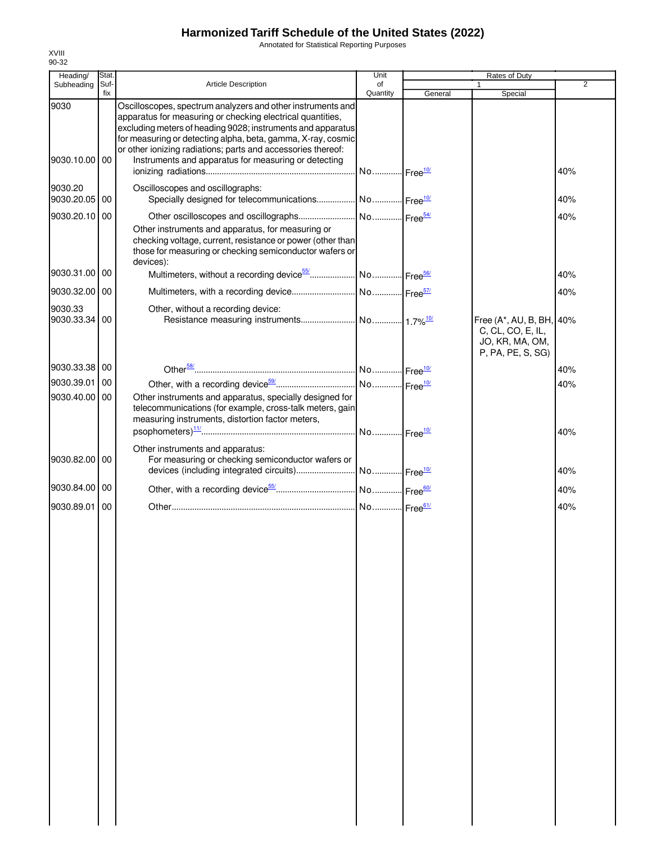Annotated for Statistical Reporting Purposes

| Heading/                       | Stat.       |                                                                                                                                                                                                                                                                                                                                                                                  | Unit           |         | <b>Rates of Duty</b>                                                                  |                |
|--------------------------------|-------------|----------------------------------------------------------------------------------------------------------------------------------------------------------------------------------------------------------------------------------------------------------------------------------------------------------------------------------------------------------------------------------|----------------|---------|---------------------------------------------------------------------------------------|----------------|
| Subheading                     | Suf-<br>fix | Article Description                                                                                                                                                                                                                                                                                                                                                              | of<br>Quantity | General | Special                                                                               | $\overline{2}$ |
| 9030<br>9030.10.00 00          |             | Oscilloscopes, spectrum analyzers and other instruments and<br>apparatus for measuring or checking electrical quantities,<br>excluding meters of heading 9028; instruments and apparatus<br>for measuring or detecting alpha, beta, gamma, X-ray, cosmic<br>or other ionizing radiations; parts and accessories thereof:<br>Instruments and apparatus for measuring or detecting |                |         |                                                                                       | 40%            |
| 9030.20<br>9030.20.05 00       |             | Oscilloscopes and oscillographs:<br>Specially designed for telecommunications  No  Free <sup>10/</sup>                                                                                                                                                                                                                                                                           |                |         |                                                                                       | 40%            |
| 9030.20.10 00                  |             | Other instruments and apparatus, for measuring or<br>checking voltage, current, resistance or power (other than<br>those for measuring or checking semiconductor wafers or<br>devices):                                                                                                                                                                                          |                |         |                                                                                       | 40%            |
| 9030.31.00 00                  |             |                                                                                                                                                                                                                                                                                                                                                                                  |                |         |                                                                                       | 40%            |
| 9030.32.00 00                  |             |                                                                                                                                                                                                                                                                                                                                                                                  |                |         |                                                                                       | 40%            |
| 9030.33<br>9030.33.34 00       |             | Other, without a recording device:                                                                                                                                                                                                                                                                                                                                               |                |         | Free (A*, AU, B, BH, 40%<br>C, CL, CO, E, IL,<br>JO, KR, MA, OM,<br>P, PA, PE, S, SG) |                |
| 9030.33.38 00                  |             |                                                                                                                                                                                                                                                                                                                                                                                  |                |         |                                                                                       | 40%            |
| 9030.39.01 00<br>9030.40.00 00 |             | Other instruments and apparatus, specially designed for<br>telecommunications (for example, cross-talk meters, gain<br>measuring instruments, distortion factor meters,                                                                                                                                                                                                          |                |         |                                                                                       | 40%            |
| 9030.82.00 00                  |             | Other instruments and apparatus:<br>For measuring or checking semiconductor wafers or                                                                                                                                                                                                                                                                                            |                |         |                                                                                       | 40%<br>40%     |
| 9030.84.00 00                  |             |                                                                                                                                                                                                                                                                                                                                                                                  |                |         |                                                                                       | 40%            |
| 9030.89.01                     | 00          |                                                                                                                                                                                                                                                                                                                                                                                  |                |         |                                                                                       | 40%            |
|                                |             |                                                                                                                                                                                                                                                                                                                                                                                  |                |         |                                                                                       |                |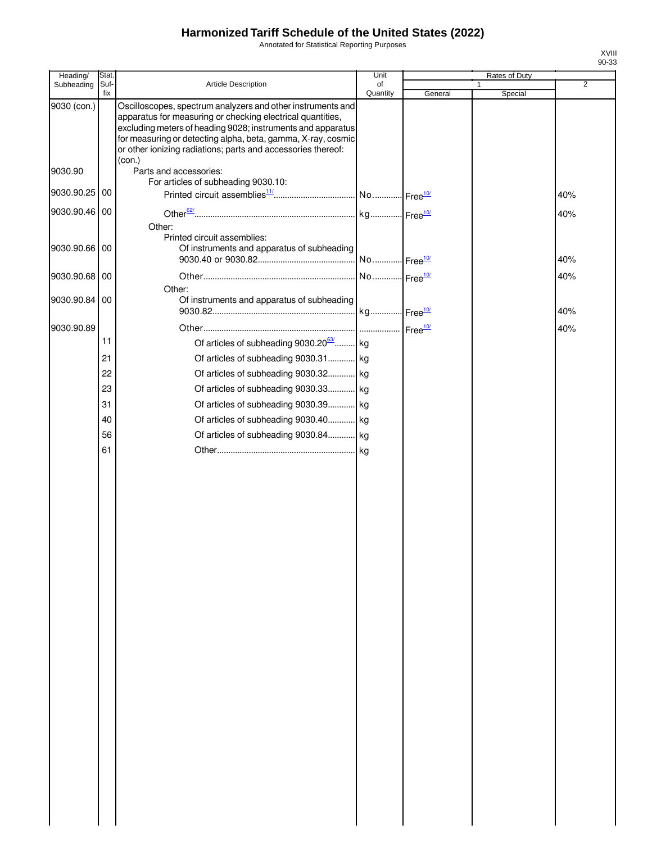Annotated for Statistical Reporting Purposes

| Heading/      | Stat.       |                                                                                                                                                                                                                                                                                                                                    | Unit           |         | Rates of Duty |                |
|---------------|-------------|------------------------------------------------------------------------------------------------------------------------------------------------------------------------------------------------------------------------------------------------------------------------------------------------------------------------------------|----------------|---------|---------------|----------------|
| Subheading    | Suf-<br>fix | Article Description                                                                                                                                                                                                                                                                                                                | of<br>Quantity | General | 1<br>Special  | $\overline{2}$ |
| 9030 (con.)   |             | Oscilloscopes, spectrum analyzers and other instruments and<br>apparatus for measuring or checking electrical quantities,<br>excluding meters of heading 9028; instruments and apparatus<br>for measuring or detecting alpha, beta, gamma, X-ray, cosmic<br>or other ionizing radiations; parts and accessories thereof:<br>(con.) |                |         |               |                |
| 9030.90       |             | Parts and accessories:<br>For articles of subheading 9030.10:                                                                                                                                                                                                                                                                      |                |         |               |                |
| 9030.90.25    | 00          |                                                                                                                                                                                                                                                                                                                                    |                |         |               | 40%            |
| 9030.90.46 00 |             | Other:<br>Printed circuit assemblies:                                                                                                                                                                                                                                                                                              |                |         |               | 40%            |
| 9030.90.66 00 |             | Of instruments and apparatus of subheading                                                                                                                                                                                                                                                                                         |                |         |               |                |
| 9030.90.68 00 |             |                                                                                                                                                                                                                                                                                                                                    |                |         |               | 40%<br>40%     |
| 9030.90.84 00 |             | Other:<br>Of instruments and apparatus of subheading                                                                                                                                                                                                                                                                               |                |         |               | 40%            |
|               |             |                                                                                                                                                                                                                                                                                                                                    |                |         |               |                |
| 9030.90.89    | 11          | Of articles of subheading 9030.20 <sup>63</sup> kg                                                                                                                                                                                                                                                                                 |                |         |               | 40%            |
|               | 21          | Of articles of subheading 9030.31 kg                                                                                                                                                                                                                                                                                               |                |         |               |                |
|               | 22          | Of articles of subheading 9030.32 kg                                                                                                                                                                                                                                                                                               |                |         |               |                |
|               | 23          | Of articles of subheading 9030.33 kg                                                                                                                                                                                                                                                                                               |                |         |               |                |
|               | 31          | Of articles of subheading 9030.39 kg                                                                                                                                                                                                                                                                                               |                |         |               |                |
|               | 40          | Of articles of subheading 9030.40 kg                                                                                                                                                                                                                                                                                               |                |         |               |                |
|               | 56          | Of articles of subheading 9030.84 kg                                                                                                                                                                                                                                                                                               |                |         |               |                |
|               | 61          |                                                                                                                                                                                                                                                                                                                                    |                |         |               |                |
|               |             |                                                                                                                                                                                                                                                                                                                                    |                |         |               |                |
|               |             |                                                                                                                                                                                                                                                                                                                                    |                |         |               |                |
|               |             |                                                                                                                                                                                                                                                                                                                                    |                |         |               |                |
|               |             |                                                                                                                                                                                                                                                                                                                                    |                |         |               |                |
|               |             |                                                                                                                                                                                                                                                                                                                                    |                |         |               |                |
|               |             |                                                                                                                                                                                                                                                                                                                                    |                |         |               |                |
|               |             |                                                                                                                                                                                                                                                                                                                                    |                |         |               |                |
|               |             |                                                                                                                                                                                                                                                                                                                                    |                |         |               |                |
|               |             |                                                                                                                                                                                                                                                                                                                                    |                |         |               |                |
|               |             |                                                                                                                                                                                                                                                                                                                                    |                |         |               |                |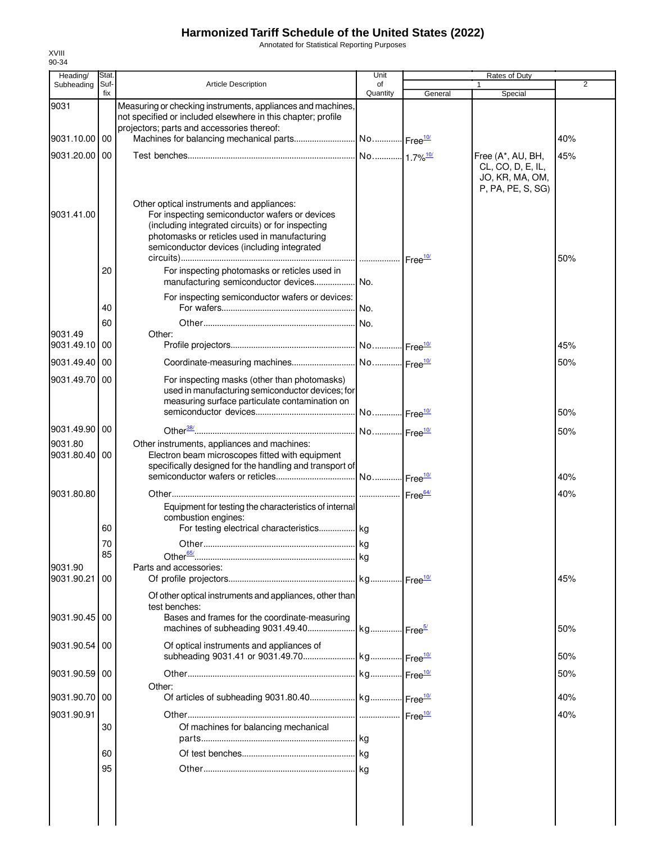Annotated for Statistical Reporting Purposes

| Heading/                 | Stat.       |                                                                                                                                                                                                                                                 | Unit           |                    | Rates of Duty                                                                  |                |
|--------------------------|-------------|-------------------------------------------------------------------------------------------------------------------------------------------------------------------------------------------------------------------------------------------------|----------------|--------------------|--------------------------------------------------------------------------------|----------------|
| Subheading               | Suf-<br>fix | <b>Article Description</b>                                                                                                                                                                                                                      | of<br>Quantity | General            | 1<br>Special                                                                   | $\overline{2}$ |
| 9031                     |             | Measuring or checking instruments, appliances and machines,<br>not specified or included elsewhere in this chapter; profile<br>projectors; parts and accessories thereof:                                                                       |                |                    |                                                                                |                |
| 9031.10.00 00            |             |                                                                                                                                                                                                                                                 |                |                    |                                                                                | 40%            |
| 9031.20.00               | 00          |                                                                                                                                                                                                                                                 |                |                    | Free (A*, AU, BH,<br>CL, CO, D, E, IL,<br>JO, KR, MA, OM,<br>P, PA, PE, S, SG) | 45%            |
| 9031.41.00               |             | Other optical instruments and appliances:<br>For inspecting semiconductor wafers or devices<br>(including integrated circuits) or for inspecting<br>photomasks or reticles used in manufacturing<br>semiconductor devices (including integrated |                |                    |                                                                                | 50%            |
|                          | 20          | For inspecting photomasks or reticles used in<br>manufacturing semiconductor devices No.                                                                                                                                                        |                |                    |                                                                                |                |
|                          | 40          | For inspecting semiconductor wafers or devices:                                                                                                                                                                                                 |                |                    |                                                                                |                |
| 9031.49                  | 60          | Other:                                                                                                                                                                                                                                          |                |                    |                                                                                |                |
| 9031.49.10               | 00          |                                                                                                                                                                                                                                                 |                |                    |                                                                                | 45%            |
| 9031.49.40 00            |             |                                                                                                                                                                                                                                                 |                |                    |                                                                                | 50%            |
| 9031.49.70 00            |             | For inspecting masks (other than photomasks)<br>used in manufacturing semiconductor devices; for<br>measuring surface particulate contamination on                                                                                              |                |                    |                                                                                | 50%            |
|                          |             |                                                                                                                                                                                                                                                 |                |                    |                                                                                |                |
| 9031.49.90 00<br>9031.80 |             | Other instruments, appliances and machines:                                                                                                                                                                                                     |                |                    |                                                                                | 50%            |
| 9031.80.40 00            |             | Electron beam microscopes fitted with equipment<br>specifically designed for the handling and transport of                                                                                                                                      |                |                    |                                                                                | 40%            |
| 9031.80.80               |             |                                                                                                                                                                                                                                                 |                |                    |                                                                                | 40%            |
|                          | 60          | Equipment for testing the characteristics of internal<br>combustion engines:<br>For testing electrical characteristics kg                                                                                                                       |                |                    |                                                                                |                |
|                          | 70          |                                                                                                                                                                                                                                                 |                |                    |                                                                                |                |
|                          | 85          |                                                                                                                                                                                                                                                 |                |                    |                                                                                |                |
| 9031.90<br>9031.90.21    | 00          | Parts and accessories:                                                                                                                                                                                                                          |                |                    |                                                                                | 45%            |
|                          |             | Of other optical instruments and appliances, other than<br>test benches:                                                                                                                                                                        |                |                    |                                                                                |                |
| 9031.90.45 00            |             | Bases and frames for the coordinate-measuring                                                                                                                                                                                                   |                |                    |                                                                                | 50%            |
| 9031.90.54 00            |             | Of optical instruments and appliances of                                                                                                                                                                                                        |                |                    |                                                                                | 50%            |
| 9031.90.59 00            |             |                                                                                                                                                                                                                                                 |                |                    |                                                                                | 50%            |
| 9031.90.70 00            |             | Other:                                                                                                                                                                                                                                          |                |                    |                                                                                | 40%            |
| 9031.90.91               | 30          | Of machines for balancing mechanical                                                                                                                                                                                                            |                | Free <sup>10</sup> |                                                                                | 40%            |
|                          | 60          |                                                                                                                                                                                                                                                 |                |                    |                                                                                |                |
|                          | 95          |                                                                                                                                                                                                                                                 |                |                    |                                                                                |                |
|                          |             |                                                                                                                                                                                                                                                 |                |                    |                                                                                |                |

XVIII 90-34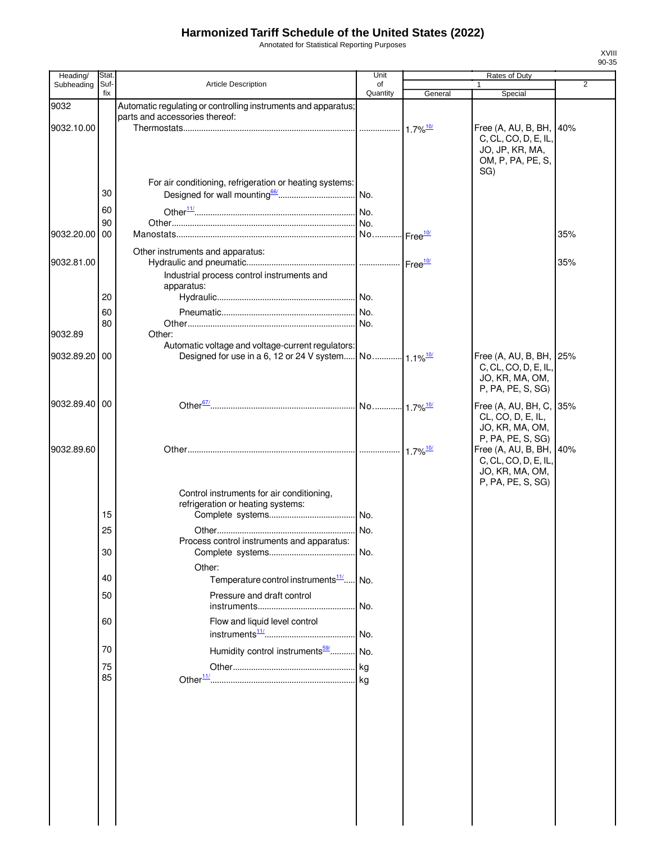Annotated for Statistical Reporting Purposes

| Heading/      | Stat.       |                                                                | Unit                   |                        | Rates of Duty                           |                |
|---------------|-------------|----------------------------------------------------------------|------------------------|------------------------|-----------------------------------------|----------------|
| Subheading    | Suf-<br>fix | Article Description                                            | of<br>Quantity         |                        |                                         | $\overline{2}$ |
| 9032          |             | Automatic regulating or controlling instruments and apparatus; |                        | General                | Special                                 |                |
|               |             | parts and accessories thereof:                                 |                        |                        |                                         |                |
| 9032.10.00    |             |                                                                |                        | $1.7\%$ <sup>10/</sup> | Free (A, AU, B, BH, 40%                 |                |
|               |             |                                                                |                        |                        | C, CL, CO, D, E, IL,                    |                |
|               |             |                                                                |                        |                        | JO, JP, KR, MA,                         |                |
|               |             |                                                                |                        |                        | OM, P, PA, PE, S,                       |                |
|               |             | For air conditioning, refrigeration or heating systems:        |                        |                        | SG)                                     |                |
|               | 30          |                                                                |                        |                        |                                         |                |
|               | 60          |                                                                |                        |                        |                                         |                |
|               | 90          | Other $\frac{11}{1}$ No.                                       |                        |                        |                                         |                |
| 9032.20.00    | 00          |                                                                |                        | -Free <sup>10/</sup>   |                                         | 35%            |
|               |             |                                                                |                        |                        |                                         |                |
| 9032.81.00    |             | Other instruments and apparatus:                               |                        |                        |                                         | 35%            |
|               |             | Industrial process control instruments and                     |                        |                        |                                         |                |
|               |             | apparatus:                                                     |                        |                        |                                         |                |
|               | 20          |                                                                |                        |                        |                                         |                |
|               | 60          |                                                                |                        |                        |                                         |                |
|               | 80          |                                                                | No.                    |                        |                                         |                |
| 9032.89       |             | Other:                                                         |                        |                        |                                         |                |
|               |             | Automatic voltage and voltage-current regulators:              |                        |                        |                                         |                |
| 9032.89.20 00 |             | Designed for use in a 6, 12 or 24 V system                     | No 1.1% <sup>10/</sup> |                        | Free (A, AU, B, BH, 25%                 |                |
|               |             |                                                                |                        |                        | C, CL, CO, D, E, IL,<br>JO, KR, MA, OM, |                |
|               |             |                                                                |                        |                        | P, PA, PE, S, SG)                       |                |
| 9032.89.40 00 |             |                                                                | No 1.7% <sup>10/</sup> |                        | Free (A, AU, BH, C, 35%                 |                |
|               |             |                                                                |                        |                        | CL, CO, D, E, IL,                       |                |
|               |             |                                                                |                        |                        | JO, KR, MA, OM,                         |                |
|               |             |                                                                |                        |                        | P, PA, PE, S, SG)                       |                |
| 9032.89.60    |             |                                                                |                        | $1.7\%$ <sup>10/</sup> | Free (A, AU, B, BH, 40%                 |                |
|               |             |                                                                |                        |                        | C, CL, CO, D, E, IL,<br>JO, KR, MA, OM, |                |
|               |             |                                                                |                        |                        | P, PA, PE, S, SG)                       |                |
|               |             | Control instruments for air conditioning,                      |                        |                        |                                         |                |
|               |             | refrigeration or heating systems:                              |                        |                        |                                         |                |
|               | 15          |                                                                |                        |                        |                                         |                |
|               | 25          |                                                                | No.                    |                        |                                         |                |
|               | 30          | Process control instruments and apparatus:                     | No.                    |                        |                                         |                |
|               |             |                                                                |                        |                        |                                         |                |
|               | 40          | Other:                                                         |                        |                        |                                         |                |
|               |             | Temperature control instruments <sup>11/</sup> No.             |                        |                        |                                         |                |
|               | 50          | Pressure and draft control                                     |                        |                        |                                         |                |
|               |             |                                                                | No.                    |                        |                                         |                |
|               | 60          | Flow and liquid level control                                  |                        |                        |                                         |                |
|               |             |                                                                | No.                    |                        |                                         |                |
|               | 70          | Humidity control instruments <sup>59</sup>                     | No.                    |                        |                                         |                |
|               | 75          |                                                                |                        |                        |                                         |                |
|               | 85          |                                                                |                        |                        |                                         |                |
|               |             |                                                                |                        |                        |                                         |                |
|               |             |                                                                |                        |                        |                                         |                |
|               |             |                                                                |                        |                        |                                         |                |
|               |             |                                                                |                        |                        |                                         |                |
|               |             |                                                                |                        |                        |                                         |                |
|               |             |                                                                |                        |                        |                                         |                |
|               |             |                                                                |                        |                        |                                         |                |
|               |             |                                                                |                        |                        |                                         |                |
|               |             |                                                                |                        |                        |                                         |                |
|               |             |                                                                |                        |                        |                                         |                |
|               |             |                                                                |                        |                        |                                         |                |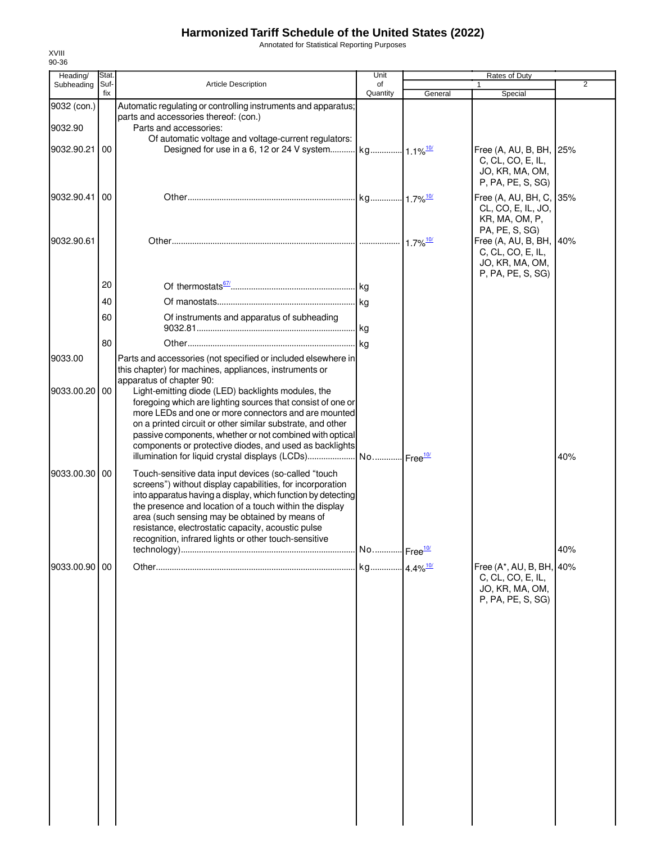Annotated for Statistical Reporting Purposes

| Heading/      | Stat.       |                                                                                                                           | Unit                      |                        | Rates of Duty                                |     |
|---------------|-------------|---------------------------------------------------------------------------------------------------------------------------|---------------------------|------------------------|----------------------------------------------|-----|
| Subheading    | Suf-<br>fix | <b>Article Description</b>                                                                                                | of                        |                        |                                              | 2   |
| 9032 (con.)   |             | Automatic regulating or controlling instruments and apparatus;                                                            | Quantity                  | General                | Special                                      |     |
|               |             | parts and accessories thereof: (con.)                                                                                     |                           |                        |                                              |     |
| 9032.90       |             | Parts and accessories:                                                                                                    |                           |                        |                                              |     |
|               |             | Of automatic voltage and voltage-current regulators:                                                                      |                           |                        |                                              |     |
| 9032.90.21    | 00          |                                                                                                                           |                           |                        | Free (A, AU, B, BH, 25%<br>C, CL, CO, E, IL, |     |
|               |             |                                                                                                                           |                           |                        | JO, KR, MA, OM,                              |     |
|               |             |                                                                                                                           |                           |                        | P, PA, PE, S, SG)                            |     |
| 9032.90.41    | 00          |                                                                                                                           |                           |                        | Free (A, AU, BH, C, 35%                      |     |
|               |             |                                                                                                                           |                           |                        | CL, CO, E, IL, JO,                           |     |
|               |             |                                                                                                                           |                           |                        | KR, MA, OM, P,                               |     |
|               |             |                                                                                                                           |                           |                        | PA, PE, S, SG)                               |     |
| 9032.90.61    |             |                                                                                                                           |                           | $1.7\%$ <sup>10/</sup> | Free (A, AU, B, BH, 40%<br>C, CL, CO, E, IL, |     |
|               |             |                                                                                                                           |                           |                        | JO, KR, MA, OM,                              |     |
|               |             |                                                                                                                           |                           |                        | P, PA, PE, S, SG)                            |     |
|               | 20          |                                                                                                                           |                           |                        |                                              |     |
|               | 40          |                                                                                                                           | kg                        |                        |                                              |     |
|               | 60          | Of instruments and apparatus of subheading                                                                                |                           |                        |                                              |     |
|               |             |                                                                                                                           |                           |                        |                                              |     |
|               | 80          |                                                                                                                           | kg                        |                        |                                              |     |
| 9033.00       |             | Parts and accessories (not specified or included elsewhere in                                                             |                           |                        |                                              |     |
|               |             | this chapter) for machines, appliances, instruments or                                                                    |                           |                        |                                              |     |
|               |             | apparatus of chapter 90:                                                                                                  |                           |                        |                                              |     |
| 9033.00.20    | 00          | Light-emitting diode (LED) backlights modules, the                                                                        |                           |                        |                                              |     |
|               |             | foregoing which are lighting sources that consist of one or<br>more LEDs and one or more connectors and are mounted       |                           |                        |                                              |     |
|               |             | on a printed circuit or other similar substrate, and other                                                                |                           |                        |                                              |     |
|               |             | passive components, whether or not combined with optical                                                                  |                           |                        |                                              |     |
|               |             | components or protective diodes, and used as backlights                                                                   |                           |                        |                                              |     |
|               |             | illumination for liquid crystal displays (LCDs)                                                                           | . No  Free <sup>10/</sup> |                        |                                              | 40% |
| 9033.00.30 00 |             | Touch-sensitive data input devices (so-called "touch                                                                      |                           |                        |                                              |     |
|               |             | screens") without display capabilities, for incorporation<br>into apparatus having a display, which function by detecting |                           |                        |                                              |     |
|               |             | the presence and location of a touch within the display                                                                   |                           |                        |                                              |     |
|               |             | area (such sensing may be obtained by means of                                                                            |                           |                        |                                              |     |
|               |             | resistance, electrostatic capacity, acoustic pulse                                                                        |                           |                        |                                              |     |
|               |             | recognition, infrared lights or other touch-sensitive                                                                     |                           |                        |                                              | 40% |
|               |             |                                                                                                                           |                           |                        |                                              |     |
| 9033.00.90 00 |             |                                                                                                                           |                           |                        | Free (A*, AU, B, BH, 40%                     |     |
|               |             |                                                                                                                           |                           |                        | C, CL, CO, E, IL,<br>JO, KR, MA, OM,         |     |
|               |             |                                                                                                                           |                           |                        | P, PA, PE, S, SG)                            |     |
|               |             |                                                                                                                           |                           |                        |                                              |     |
|               |             |                                                                                                                           |                           |                        |                                              |     |
|               |             |                                                                                                                           |                           |                        |                                              |     |
|               |             |                                                                                                                           |                           |                        |                                              |     |
|               |             |                                                                                                                           |                           |                        |                                              |     |
|               |             |                                                                                                                           |                           |                        |                                              |     |
|               |             |                                                                                                                           |                           |                        |                                              |     |
|               |             |                                                                                                                           |                           |                        |                                              |     |
|               |             |                                                                                                                           |                           |                        |                                              |     |
|               |             |                                                                                                                           |                           |                        |                                              |     |
|               |             |                                                                                                                           |                           |                        |                                              |     |
|               |             |                                                                                                                           |                           |                        |                                              |     |
|               |             |                                                                                                                           |                           |                        |                                              |     |
|               |             |                                                                                                                           |                           |                        |                                              |     |
|               |             |                                                                                                                           |                           |                        |                                              |     |
|               |             |                                                                                                                           |                           |                        |                                              |     |
|               |             |                                                                                                                           |                           |                        |                                              |     |